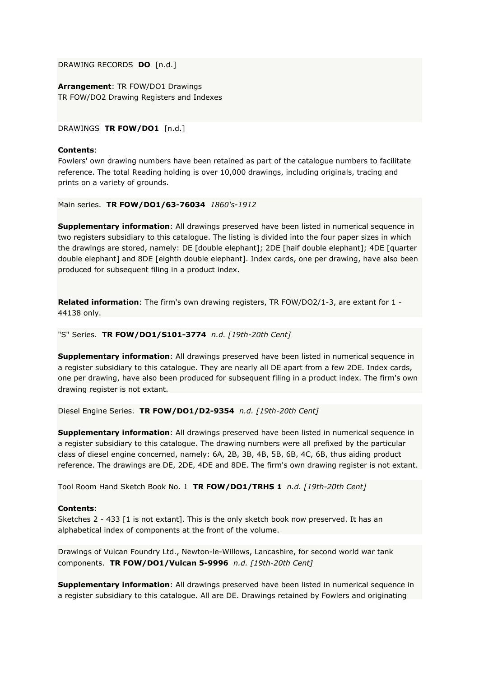DRAWING RECORDS **DO** [n.d.]

**Arrangement**: TR FOW/DO1 Drawings TR FOW/DO2 Drawing Registers and Indexes

DRAWINGS **TR FOW/DO1** [n.d.]

### **Contents**:

Fowlers' own drawing numbers have been retained as part of the catalogue numbers to facilitate reference. The total Reading holding is over 10,000 drawings, including originals, tracing and prints on a variety of grounds.

Main series. **TR FOW/DO1/63-76034** *1860's-1912*

**Supplementary information**: All drawings preserved have been listed in numerical sequence in two registers subsidiary to this catalogue. The listing is divided into the four paper sizes in which the drawings are stored, namely: DE [double elephant]; 2DE [half double elephant]; 4DE [quarter double elephant] and 8DE [eighth double elephant]. Index cards, one per drawing, have also been produced for subsequent filing in a product index.

**Related information**: The firm's own drawing registers, TR FOW/DO2/1-3, are extant for 1 - 44138 only.

"S" Series. **TR FOW/DO1/S101-3774** *n.d. [19th-20th Cent]*

**Supplementary information**: All drawings preserved have been listed in numerical sequence in a register subsidiary to this catalogue. They are nearly all DE apart from a few 2DE. Index cards, one per drawing, have also been produced for subsequent filing in a product index. The firm's own drawing register is not extant.

Diesel Engine Series. **TR FOW/DO1/D2-9354** *n.d. [19th-20th Cent]*

**Supplementary information**: All drawings preserved have been listed in numerical sequence in a register subsidiary to this catalogue. The drawing numbers were all prefixed by the particular class of diesel engine concerned, namely: 6A, 2B, 3B, 4B, 5B, 6B, 4C, 6B, thus aiding product reference. The drawings are DE, 2DE, 4DE and 8DE. The firm's own drawing register is not extant.

Tool Room Hand Sketch Book No. 1 **TR FOW/DO1/TRHS 1** *n.d. [19th-20th Cent]*

### **Contents**:

Sketches 2 - 433 [1 is not extant]. This is the only sketch book now preserved. It has an alphabetical index of components at the front of the volume.

Drawings of Vulcan Foundry Ltd., Newton-le-Willows, Lancashire, for second world war tank components. **TR FOW/DO1/Vulcan 5-9996** *n.d. [19th-20th Cent]*

**Supplementary information**: All drawings preserved have been listed in numerical sequence in a register subsidiary to this catalogue. All are DE. Drawings retained by Fowlers and originating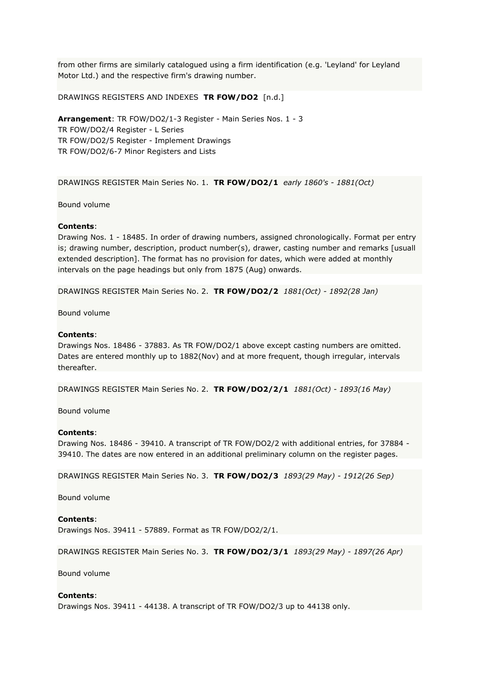from other firms are similarly catalogued using a firm identification (e.g. 'Leyland' for Leyland Motor Ltd.) and the respective firm's drawing number.

DRAWINGS REGISTERS AND INDEXES **TR FOW/DO2** [n.d.]

**Arrangement**: TR FOW/DO2/1-3 Register - Main Series Nos. 1 - 3 TR FOW/DO2/4 Register - L Series TR FOW/DO2/5 Register - Implement Drawings TR FOW/DO2/6-7 Minor Registers and Lists

DRAWINGS REGISTER Main Series No. 1. **TR FOW/DO2/1** *early 1860's - 1881(Oct)*

Bound volume

### **Contents**:

Drawing Nos. 1 - 18485. In order of drawing numbers, assigned chronologically. Format per entry is; drawing number, description, product number(s), drawer, casting number and remarks [usuall extended description]. The format has no provision for dates, which were added at monthly intervals on the page headings but only from 1875 (Aug) onwards.

DRAWINGS REGISTER Main Series No. 2. **TR FOW/DO2/2** *1881(Oct) - 1892(28 Jan)*

Bound volume

### **Contents**:

Drawings Nos. 18486 - 37883. As TR FOW/DO2/1 above except casting numbers are omitted. Dates are entered monthly up to 1882(Nov) and at more frequent, though irregular, intervals thereafter.

DRAWINGS REGISTER Main Series No. 2. **TR FOW/DO2/2/1** *1881(Oct) - 1893(16 May)*

Bound volume

### **Contents**:

Drawing Nos. 18486 - 39410. A transcript of TR FOW/DO2/2 with additional entries, for 37884 - 39410. The dates are now entered in an additional preliminary column on the register pages.

DRAWINGS REGISTER Main Series No. 3. **TR FOW/DO2/3** *1893(29 May) - 1912(26 Sep)*

Bound volume

### **Contents**:

Drawings Nos. 39411 - 57889. Format as TR FOW/DO2/2/1.

DRAWINGS REGISTER Main Series No. 3. **TR FOW/DO2/3/1** *1893(29 May) - 1897(26 Apr)*

Bound volume

#### **Contents**:

Drawings Nos. 39411 - 44138. A transcript of TR FOW/DO2/3 up to 44138 only.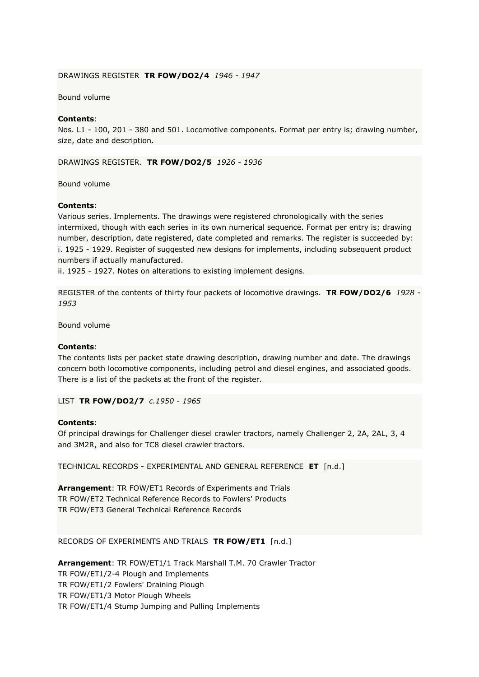### DRAWINGS REGISTER **TR FOW/DO2/4** *1946 - 1947*

#### Bound volume

### **Contents**:

Nos. L1 - 100, 201 - 380 and 501. Locomotive components. Format per entry is; drawing number, size, date and description.

DRAWINGS REGISTER. **TR FOW/DO2/5** *1926 - 1936*

Bound volume

#### **Contents**:

Various series. Implements. The drawings were registered chronologically with the series intermixed, though with each series in its own numerical sequence. Format per entry is; drawing number, description, date registered, date completed and remarks. The register is succeeded by: i. 1925 - 1929. Register of suggested new designs for implements, including subsequent product numbers if actually manufactured.

ii. 1925 - 1927. Notes on alterations to existing implement designs.

REGISTER of the contents of thirty four packets of locomotive drawings. **TR FOW/DO2/6** *1928 - 1953*

Bound volume

#### **Contents**:

The contents lists per packet state drawing description, drawing number and date. The drawings concern both locomotive components, including petrol and diesel engines, and associated goods. There is a list of the packets at the front of the register.

LIST **TR FOW/DO2/7** *c.1950 - 1965*

#### **Contents**:

Of principal drawings for Challenger diesel crawler tractors, namely Challenger 2, 2A, 2AL, 3, 4 and 3M2R, and also for TC8 diesel crawler tractors.

TECHNICAL RECORDS - EXPERIMENTAL AND GENERAL REFERENCE **ET** [n.d.]

**Arrangement**: TR FOW/ET1 Records of Experiments and Trials TR FOW/ET2 Technical Reference Records to Fowlers' Products TR FOW/ET3 General Technical Reference Records

RECORDS OF EXPERIMENTS AND TRIALS **TR FOW/ET1** [n.d.]

**Arrangement**: TR FOW/ET1/1 Track Marshall T.M. 70 Crawler Tractor TR FOW/ET1/2-4 Plough and Implements TR FOW/ET1/2 Fowlers' Draining Plough TR FOW/ET1/3 Motor Plough Wheels TR FOW/ET1/4 Stump Jumping and Pulling Implements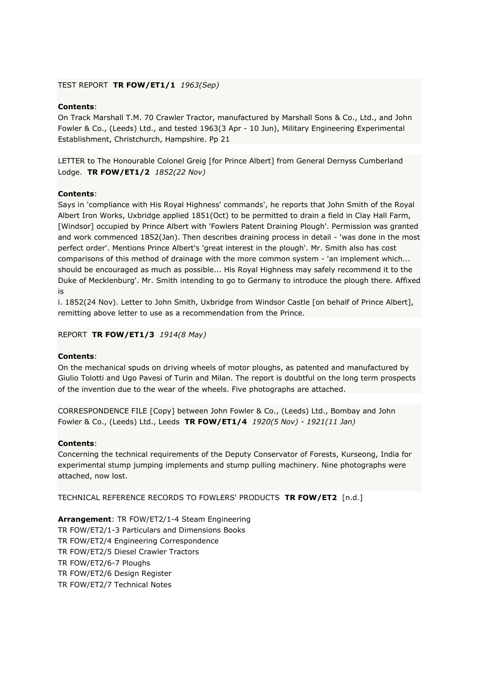### TEST REPORT **TR FOW/ET1/1** *1963(Sep)*

# **Contents**:

On Track Marshall T.M. 70 Crawler Tractor, manufactured by Marshall Sons & Co., Ltd., and John Fowler & Co., (Leeds) Ltd., and tested 1963(3 Apr - 10 Jun), Military Engineering Experimental Establishment, Christchurch, Hampshire. Pp 21

LETTER to The Honourable Colonel Greig [for Prince Albert] from General Dernyss Cumberland Lodge. **TR FOW/ET1/2** *1852(22 Nov)*

## **Contents**:

Says in 'compliance with His Royal Highness' commands', he reports that John Smith of the Royal Albert Iron Works, Uxbridge applied 1851(Oct) to be permitted to drain a field in Clay Hall Farm, [Windsor] occupied by Prince Albert with 'Fowlers Patent Draining Plough'. Permission was granted and work commenced 1852(Jan). Then describes draining process in detail - 'was done in the most perfect order'. Mentions Prince Albert's 'great interest in the plough'. Mr. Smith also has cost comparisons of this method of drainage with the more common system - 'an implement which... should be encouraged as much as possible... His Royal Highness may safely recommend it to the Duke of Mecklenburg'. Mr. Smith intending to go to Germany to introduce the plough there. Affixed is

i. 1852(24 Nov). Letter to John Smith, Uxbridge from Windsor Castle [on behalf of Prince Albert], remitting above letter to use as a recommendation from the Prince.

REPORT **TR FOW/ET1/3** *1914(8 May)*

### **Contents**:

On the mechanical spuds on driving wheels of motor ploughs, as patented and manufactured by Giulio Tolotti and Ugo Pavesi of Turin and Milan. The report is doubtful on the long term prospects of the invention due to the wear of the wheels. Five photographs are attached.

CORRESPONDENCE FILE [Copy] between John Fowler & Co., (Leeds) Ltd., Bombay and John Fowler & Co., (Leeds) Ltd., Leeds **TR FOW/ET1/4** *1920(5 Nov) - 1921(11 Jan)*

### **Contents**:

Concerning the technical requirements of the Deputy Conservator of Forests, Kurseong, India for experimental stump jumping implements and stump pulling machinery. Nine photographs were attached, now lost.

TECHNICAL REFERENCE RECORDS TO FOWLERS' PRODUCTS **TR FOW/ET2** [n.d.]

**Arrangement**: TR FOW/ET2/1-4 Steam Engineering TR FOW/ET2/1-3 Particulars and Dimensions Books TR FOW/ET2/4 Engineering Correspondence TR FOW/ET2/5 Diesel Crawler Tractors TR FOW/ET2/6-7 Ploughs TR FOW/ET2/6 Design Register TR FOW/ET2/7 Technical Notes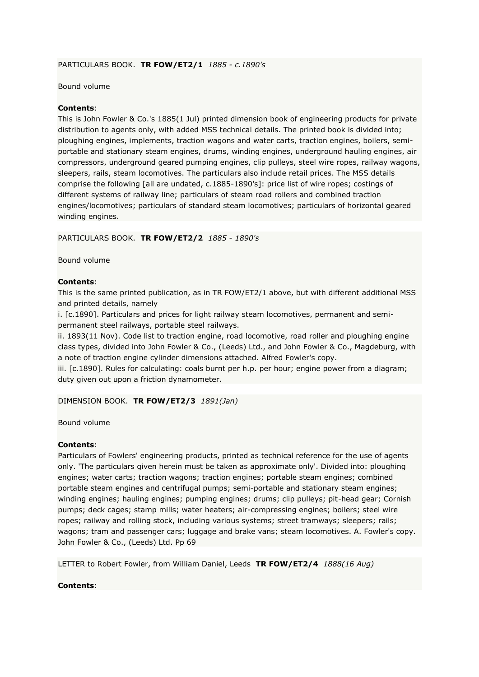# PARTICULARS BOOK. **TR FOW/ET2/1** *1885 - c.1890's*

### Bound volume

### **Contents**:

This is John Fowler & Co.'s 1885(1 Jul) printed dimension book of engineering products for private distribution to agents only, with added MSS technical details. The printed book is divided into; ploughing engines, implements, traction wagons and water carts, traction engines, boilers, semiportable and stationary steam engines, drums, winding engines, underground hauling engines, air compressors, underground geared pumping engines, clip pulleys, steel wire ropes, railway wagons, sleepers, rails, steam locomotives. The particulars also include retail prices. The MSS details comprise the following [all are undated, c.1885-1890's]: price list of wire ropes; costings of different systems of railway line; particulars of steam road rollers and combined traction engines/locomotives; particulars of standard steam locomotives; particulars of horizontal geared winding engines.

PARTICULARS BOOK. **TR FOW/ET2/2** *1885 - 1890's*

Bound volume

### **Contents**:

This is the same printed publication, as in TR FOW/ET2/1 above, but with different additional MSS and printed details, namely

i. [c.1890]. Particulars and prices for light railway steam locomotives, permanent and semipermanent steel railways, portable steel railways.

ii. 1893(11 Nov). Code list to traction engine, road locomotive, road roller and ploughing engine class types, divided into John Fowler & Co., (Leeds) Ltd., and John Fowler & Co., Magdeburg, with a note of traction engine cylinder dimensions attached. Alfred Fowler's copy.

iii. [c.1890]. Rules for calculating: coals burnt per h.p. per hour; engine power from a diagram; duty given out upon a friction dynamometer.

DIMENSION BOOK. **TR FOW/ET2/3** *1891(Jan)*

Bound volume

### **Contents**:

Particulars of Fowlers' engineering products, printed as technical reference for the use of agents only. 'The particulars given herein must be taken as approximate only'. Divided into: ploughing engines; water carts; traction wagons; traction engines; portable steam engines; combined portable steam engines and centrifugal pumps; semi-portable and stationary steam engines; winding engines; hauling engines; pumping engines; drums; clip pulleys; pit-head gear; Cornish pumps; deck cages; stamp mills; water heaters; air-compressing engines; boilers; steel wire ropes; railway and rolling stock, including various systems; street tramways; sleepers; rails; wagons; tram and passenger cars; luggage and brake vans; steam locomotives. A. Fowler's copy. John Fowler & Co., (Leeds) Ltd. Pp 69

LETTER to Robert Fowler, from William Daniel, Leeds **TR FOW/ET2/4** *1888(16 Aug)*

### **Contents**: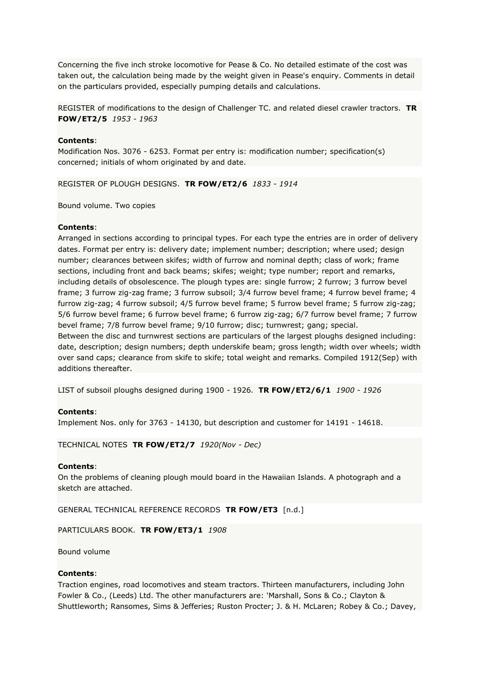Concerning the five inch stroke locomotive for Pease & Co. No detailed estimate of the cost was taken out, the calculation being made by the weight given in Pease's enquiry. Comments in detail on the particulars provided, especially pumping details and calculations.

REGISTER of modifications to the design of Challenger TC. and related diesel crawler tractors. **TR FOW/ET2/5** *1953 - 1963*

### **Contents**:

Modification Nos. 3076 - 6253. Format per entry is: modification number; specification(s) concerned; initials of whom originated by and date.

REGISTER OF PLOUGH DESIGNS. **TR FOW/ET2/6** *1833 - 1914*

Bound volume. Two copies

#### **Contents**:

Arranged in sections according to principal types. For each type the entries are in order of delivery dates. Format per entry is: delivery date; implement number; description; where used; design number; clearances between skifes; width of furrow and nominal depth; class of work; frame sections, including front and back beams; skifes; weight; type number; report and remarks, including details of obsolescence. The plough types are: single furrow; 2 furrow; 3 furrow bevel frame; 3 furrow zig-zag frame; 3 furrow subsoil; 3/4 furrow bevel frame; 4 furrow bevel frame; 4 furrow zig-zag; 4 furrow subsoil; 4/5 furrow bevel frame; 5 furrow bevel frame; 5 furrow zig-zag; 5/6 furrow bevel frame; 6 furrow bevel frame; 6 furrow zig-zag; 6/7 furrow bevel frame; 7 furrow bevel frame; 7/8 furrow bevel frame; 9/10 furrow; disc; turnwrest; gang; special. Between the disc and turnwrest sections are particulars of the largest ploughs designed including:

date, description; design numbers; depth underskife beam; gross length; width over wheels; width over sand caps; clearance from skife to skife; total weight and remarks. Compiled 1912(Sep) with additions thereafter.

LIST of subsoil ploughs designed during 1900 - 1926. **TR FOW/ET2/6/1** *1900 - 1926*

### **Contents**:

Implement Nos. only for 3763 - 14130, but description and customer for 14191 - 14618.

TECHNICAL NOTES **TR FOW/ET2/7** *1920(Nov - Dec)*

#### **Contents**:

On the problems of cleaning plough mould board in the Hawaiian Islands. A photograph and a sketch are attached.

GENERAL TECHNICAL REFERENCE RECORDS **TR FOW/ET3** [n.d.]

PARTICULARS BOOK. **TR FOW/ET3/1** *1908*

Bound volume

### **Contents**:

Traction engines, road locomotives and steam tractors. Thirteen manufacturers, including John Fowler & Co., (Leeds) Ltd. The other manufacturers are: 'Marshall, Sons & Co.; Clayton & Shuttleworth; Ransomes, Sims & Jefferies; Ruston Procter; J. & H. McLaren; Robey & Co.; Davey,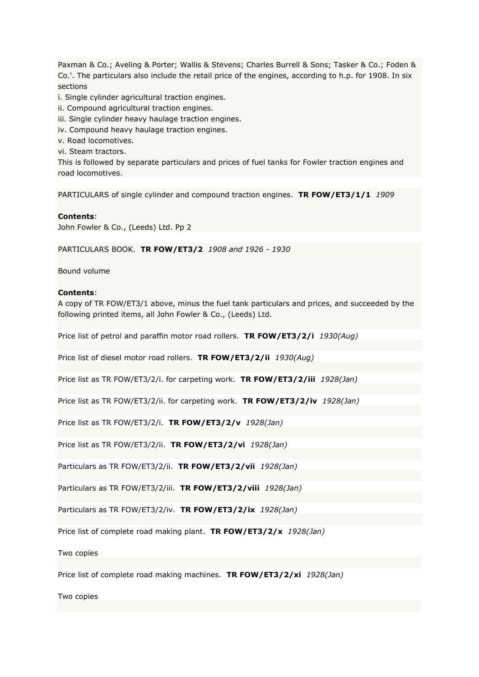Paxman & Co.; Aveling & Porter; Wallis & Stevens; Charles Burrell & Sons; Tasker & Co.; Foden & Co.'. The particulars also include the retail price of the engines, according to h.p. for 1908. In six sections

i. Single cylinder agricultural traction engines.

- ii. Compound agricultural traction engines.
- iii. Single cylinder heavy haulage traction engines.
- iv. Compound heavy haulage traction engines.
- v. Road locomotives.
- vi. Steam tractors.

This is followed by separate particulars and prices of fuel tanks for Fowler traction engines and road locomotives.

PARTICULARS of single cylinder and compound traction engines. **TR FOW/ET3/1/1** *1909*

#### **Contents**:

John Fowler & Co., (Leeds) Ltd. Pp 2

PARTICULARS BOOK. **TR FOW/ET3/2** *1908 and 1926 - 1930*

Bound volume

### **Contents**:

A copy of TR FOW/ET3/1 above, minus the fuel tank particulars and prices, and succeeded by the following printed items, all John Fowler & Co., (Leeds) Ltd.

Price list of petrol and paraffin motor road rollers. **TR FOW/ET3/2/i** *1930(Aug)*

Price list of diesel motor road rollers. **TR FOW/ET3/2/ii** *1930(Aug)*

Price list as TR FOW/ET3/2/i. for carpeting work. **TR FOW/ET3/2/iii** *1928(Jan)*

Price list as TR FOW/ET3/2/ii. for carpeting work. **TR FOW/ET3/2/iv** *1928(Jan)*

Price list as TR FOW/ET3/2/i. **TR FOW/ET3/2/v** *1928(Jan)*

Price list as TR FOW/ET3/2/ii. **TR FOW/ET3/2/vi** *1928(Jan)*

Particulars as TR FOW/ET3/2/ii. **TR FOW/ET3/2/vii** *1928(Jan)*

Particulars as TR FOW/ET3/2/iii. **TR FOW/ET3/2/viii** *1928(Jan)*

Particulars as TR FOW/ET3/2/iv. **TR FOW/ET3/2/ix** *1928(Jan)*

Price list of complete road making plant. **TR FOW/ET3/2/x** *1928(Jan)*

Two copies

Price list of complete road making machines. **TR FOW/ET3/2/xi** *1928(Jan)*

Two copies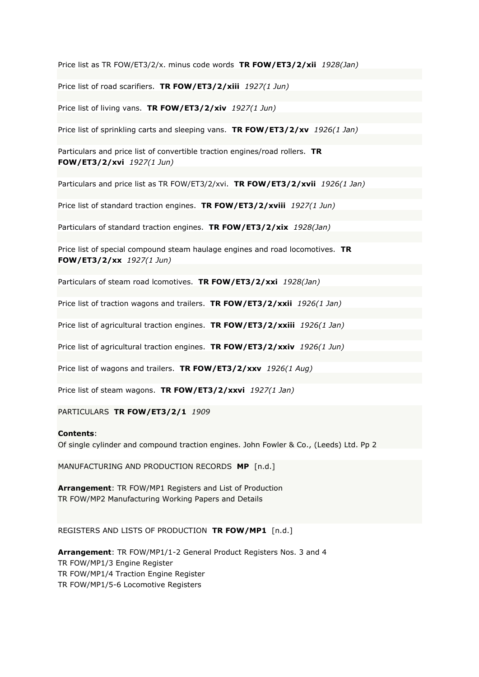Price list as TR FOW/ET3/2/x. minus code words **TR FOW/ET3/2/xii** *1928(Jan)*

Price list of road scarifiers. **TR FOW/ET3/2/xiii** *1927(1 Jun)*

Price list of living vans. **TR FOW/ET3/2/xiv** *1927(1 Jun)*

Price list of sprinkling carts and sleeping vans. **TR FOW/ET3/2/xv** *1926(1 Jan)*

Particulars and price list of convertible traction engines/road rollers. **TR FOW/ET3/2/xvi** *1927(1 Jun)*

Particulars and price list as TR FOW/ET3/2/xvi. **TR FOW/ET3/2/xvii** *1926(1 Jan)*

Price list of standard traction engines. **TR FOW/ET3/2/xviii** *1927(1 Jun)*

Particulars of standard traction engines. **TR FOW/ET3/2/xix** *1928(Jan)*

Price list of special compound steam haulage engines and road locomotives. **TR FOW/ET3/2/xx** *1927(1 Jun)*

Particulars of steam road lcomotives. **TR FOW/ET3/2/xxi** *1928(Jan)*

Price list of traction wagons and trailers. **TR FOW/ET3/2/xxii** *1926(1 Jan)*

Price list of agricultural traction engines. **TR FOW/ET3/2/xxiii** *1926(1 Jan)*

Price list of agricultural traction engines. **TR FOW/ET3/2/xxiv** *1926(1 Jun)*

Price list of wagons and trailers. **TR FOW/ET3/2/xxv** *1926(1 Aug)*

Price list of steam wagons. **TR FOW/ET3/2/xxvi** *1927(1 Jan)*

PARTICULARS **TR FOW/ET3/2/1** *1909*

#### **Contents**:

Of single cylinder and compound traction engines. John Fowler & Co., (Leeds) Ltd. Pp 2

MANUFACTURING AND PRODUCTION RECORDS **MP** [n.d.]

**Arrangement**: TR FOW/MP1 Registers and List of Production TR FOW/MP2 Manufacturing Working Papers and Details

REGISTERS AND LISTS OF PRODUCTION **TR FOW/MP1** [n.d.]

**Arrangement**: TR FOW/MP1/1-2 General Product Registers Nos. 3 and 4 TR FOW/MP1/3 Engine Register TR FOW/MP1/4 Traction Engine Register TR FOW/MP1/5-6 Locomotive Registers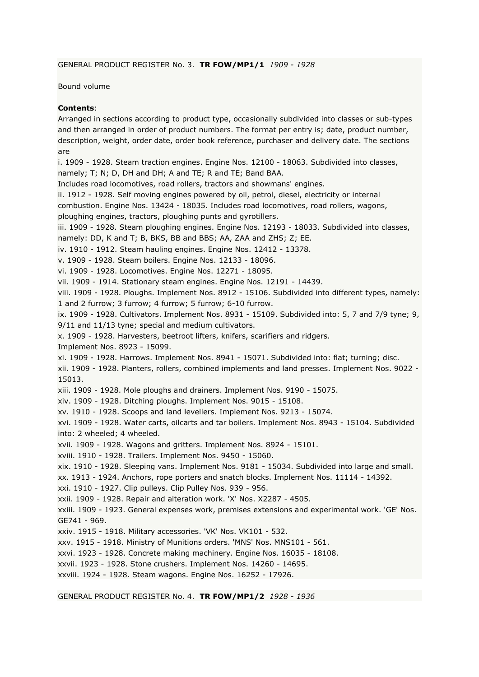GENERAL PRODUCT REGISTER No. 3. **TR FOW/MP1/1** *1909 - 1928*

Bound volume

# **Contents**:

Arranged in sections according to product type, occasionally subdivided into classes or sub-types and then arranged in order of product numbers. The format per entry is; date, product number, description, weight, order date, order book reference, purchaser and delivery date. The sections are

i. 1909 - 1928. Steam traction engines. Engine Nos. 12100 - 18063. Subdivided into classes, namely; T; N; D, DH and DH; A and TE; R and TE; Band BAA.

Includes road locomotives, road rollers, tractors and showmans' engines.

ii. 1912 - 1928. Self moving engines powered by oil, petrol, diesel, electricity or internal

combustion. Engine Nos. 13424 - 18035. Includes road locomotives, road rollers, wagons,

ploughing engines, tractors, ploughing punts and gyrotillers.

iii. 1909 - 1928. Steam ploughing engines. Engine Nos. 12193 - 18033. Subdivided into classes,

namely: DD, K and T; B, BKS, BB and BBS; AA, ZAA and ZHS; Z; EE.

iv. 1910 - 1912. Steam hauling engines. Engine Nos. 12412 - 13378.

v. 1909 - 1928. Steam boilers. Engine Nos. 12133 - 18096.

vi. 1909 - 1928. Locomotives. Engine Nos. 12271 - 18095.

vii. 1909 - 1914. Stationary steam engines. Engine Nos. 12191 - 14439.

viii. 1909 - 1928. Ploughs. Implement Nos. 8912 - 15106. Subdivided into different types, namely: 1 and 2 furrow; 3 furrow; 4 furrow; 5 furrow; 6-10 furrow.

ix. 1909 - 1928. Cultivators. Implement Nos. 8931 - 15109. Subdivided into: 5, 7 and 7/9 tyne; 9, 9/11 and 11/13 tyne; special and medium cultivators.

x. 1909 - 1928. Harvesters, beetroot lifters, knifers, scarifiers and ridgers.

Implement Nos. 8923 - 15099.

xi. 1909 - 1928. Harrows. Implement Nos. 8941 - 15071. Subdivided into: flat; turning; disc.

xii. 1909 - 1928. Planters, rollers, combined implements and land presses. Implement Nos. 9022 - 15013.

xiii. 1909 - 1928. Mole ploughs and drainers. Implement Nos. 9190 - 15075.

xiv. 1909 - 1928. Ditching ploughs. Implement Nos. 9015 - 15108.

xv. 1910 - 1928. Scoops and land levellers. Implement Nos. 9213 - 15074.

xvi. 1909 - 1928. Water carts, oilcarts and tar boilers. Implement Nos. 8943 - 15104. Subdivided into: 2 wheeled; 4 wheeled.

xvii. 1909 - 1928. Wagons and gritters. Implement Nos. 8924 - 15101.

xviii. 1910 - 1928. Trailers. Implement Nos. 9450 - 15060.

xix. 1910 - 1928. Sleeping vans. Implement Nos. 9181 - 15034. Subdivided into large and small.

xx. 1913 - 1924. Anchors, rope porters and snatch blocks. Implement Nos. 11114 - 14392.

xxi. 1910 - 1927. Clip pulleys. Clip Pulley Nos. 939 - 956.

xxii. 1909 - 1928. Repair and alteration work. 'X' Nos. X2287 - 4505.

xxiii. 1909 - 1923. General expenses work, premises extensions and experimental work. 'GE' Nos. GE741 - 969.

xxiv. 1915 - 1918. Military accessories. 'VK' Nos. VK101 - 532.

xxv. 1915 - 1918. Ministry of Munitions orders. 'MNS' Nos. MNS101 - 561.

xxvi. 1923 - 1928. Concrete making machinery. Engine Nos. 16035 - 18108.

xxvii. 1923 - 1928. Stone crushers. Implement Nos. 14260 - 14695.

xxviii. 1924 - 1928. Steam wagons. Engine Nos. 16252 - 17926.

GENERAL PRODUCT REGISTER No. 4. **TR FOW/MP1/2** *1928 - 1936*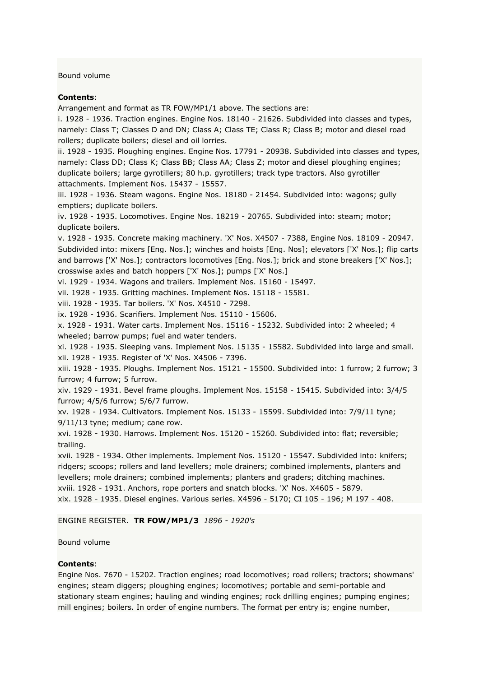Bound volume

### **Contents**:

Arrangement and format as TR FOW/MP1/1 above. The sections are:

i. 1928 - 1936. Traction engines. Engine Nos. 18140 - 21626. Subdivided into classes and types, namely: Class T; Classes D and DN; Class A; Class TE; Class R; Class B; motor and diesel road rollers; duplicate boilers; diesel and oil lorries.

ii. 1928 - 1935. Ploughing engines. Engine Nos. 17791 - 20938. Subdivided into classes and types, namely: Class DD; Class K; Class BB; Class AA; Class Z; motor and diesel ploughing engines; duplicate boilers; large gyrotillers; 80 h.p. gyrotillers; track type tractors. Also gyrotiller attachments. Implement Nos. 15437 - 15557.

iii. 1928 - 1936. Steam wagons. Engine Nos. 18180 - 21454. Subdivided into: wagons; gully emptiers; duplicate boilers.

iv. 1928 - 1935. Locomotives. Engine Nos. 18219 - 20765. Subdivided into: steam; motor; duplicate boilers.

v. 1928 - 1935. Concrete making machinery. 'X' Nos. X4507 - 7388, Engine Nos. 18109 - 20947. Subdivided into: mixers [Eng. Nos.]; winches and hoists [Eng. Nos]; elevators ['X' Nos.]; flip carts and barrows ['X' Nos.]; contractors locomotives [Eng. Nos.]; brick and stone breakers ['X' Nos.]; crosswise axles and batch hoppers ['X' Nos.]; pumps ['X' Nos.]

vi. 1929 - 1934. Wagons and trailers. Implement Nos. 15160 - 15497.

vii. 1928 - 1935. Gritting machines. Implement Nos. 15118 - 15581.

viii. 1928 - 1935. Tar boilers. 'X' Nos. X4510 - 7298.

ix. 1928 - 1936. Scarifiers. Implement Nos. 15110 - 15606.

x. 1928 - 1931. Water carts. Implement Nos. 15116 - 15232. Subdivided into: 2 wheeled; 4 wheeled; barrow pumps; fuel and water tenders.

xi. 1928 - 1935. Sleeping vans. Implement Nos. 15135 - 15582. Subdivided into large and small. xii. 1928 - 1935. Register of 'X' Nos. X4506 - 7396.

xiii. 1928 - 1935. Ploughs. Implement Nos. 15121 - 15500. Subdivided into: 1 furrow; 2 furrow; 3 furrow; 4 furrow; 5 furrow.

xiv. 1929 - 1931. Bevel frame ploughs. Implement Nos. 15158 - 15415. Subdivided into: 3/4/5 furrow; 4/5/6 furrow; 5/6/7 furrow.

xv. 1928 - 1934. Cultivators. Implement Nos. 15133 - 15599. Subdivided into: 7/9/11 tyne; 9/11/13 tyne; medium; cane row.

xvi. 1928 - 1930. Harrows. Implement Nos. 15120 - 15260. Subdivided into: flat; reversible; trailing.

xvii. 1928 - 1934. Other implements. Implement Nos. 15120 - 15547. Subdivided into: knifers; ridgers; scoops; rollers and land levellers; mole drainers; combined implements, planters and levellers; mole drainers; combined implements; planters and graders; ditching machines. xviii. 1928 - 1931. Anchors, rope porters and snatch blocks. 'X' Nos. X4605 - 5879. xix. 1928 - 1935. Diesel engines. Various series. X4596 - 5170; CI 105 - 196; M 197 - 408.

### ENGINE REGISTER. **TR FOW/MP1/3** *1896 - 1920's*

Bound volume

### **Contents**:

Engine Nos. 7670 - 15202. Traction engines; road locomotives; road rollers; tractors; showmans' engines; steam diggers; ploughing engines; locomotives; portable and semi-portable and stationary steam engines; hauling and winding engines; rock drilling engines; pumping engines; mill engines; boilers. In order of engine numbers. The format per entry is; engine number,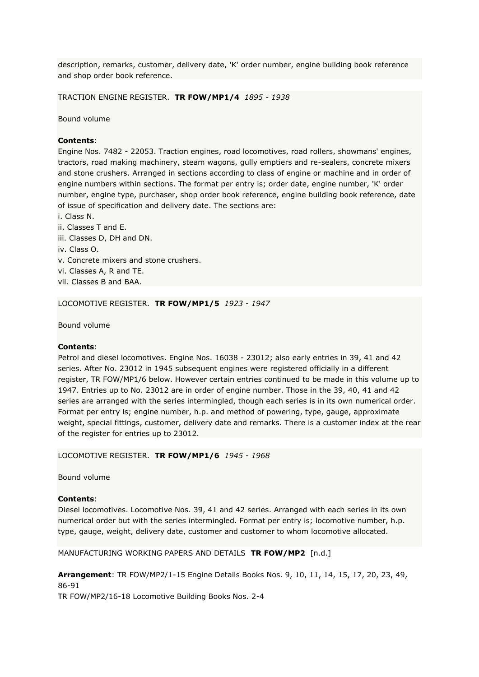description, remarks, customer, delivery date, 'K' order number, engine building book reference and shop order book reference.

TRACTION ENGINE REGISTER. **TR FOW/MP1/4** *1895 - 1938*

Bound volume

### **Contents**:

Engine Nos. 7482 - 22053. Traction engines, road locomotives, road rollers, showmans' engines, tractors, road making machinery, steam wagons, gully emptiers and re-sealers, concrete mixers and stone crushers. Arranged in sections according to class of engine or machine and in order of engine numbers within sections. The format per entry is; order date, engine number, 'K' order number, engine type, purchaser, shop order book reference, engine building book reference, date of issue of specification and delivery date. The sections are:

i. Class N.

- ii. Classes T and E.
- iii. Classes D, DH and DN.
- iv. Class O.
- v. Concrete mixers and stone crushers.
- vi. Classes A, R and TE.
- vii. Classes B and BAA.

LOCOMOTIVE REGISTER. **TR FOW/MP1/5** *1923 - 1947*

Bound volume

### **Contents**:

Petrol and diesel locomotives. Engine Nos. 16038 - 23012; also early entries in 39, 41 and 42 series. After No. 23012 in 1945 subsequent engines were registered officially in a different register, TR FOW/MP1/6 below. However certain entries continued to be made in this volume up to 1947. Entries up to No. 23012 are in order of engine number. Those in the 39, 40, 41 and 42 series are arranged with the series intermingled, though each series is in its own numerical order. Format per entry is; engine number, h.p. and method of powering, type, gauge, approximate weight, special fittings, customer, delivery date and remarks. There is a customer index at the rear of the register for entries up to 23012.

LOCOMOTIVE REGISTER. **TR FOW/MP1/6** *1945 - 1968*

Bound volume

### **Contents**:

Diesel locomotives. Locomotive Nos. 39, 41 and 42 series. Arranged with each series in its own numerical order but with the series intermingled. Format per entry is; locomotive number, h.p. type, gauge, weight, delivery date, customer and customer to whom locomotive allocated.

MANUFACTURING WORKING PAPERS AND DETAILS **TR FOW/MP2** [n.d.]

**Arrangement**: TR FOW/MP2/1-15 Engine Details Books Nos. 9, 10, 11, 14, 15, 17, 20, 23, 49, 86-91

TR FOW/MP2/16-18 Locomotive Building Books Nos. 2-4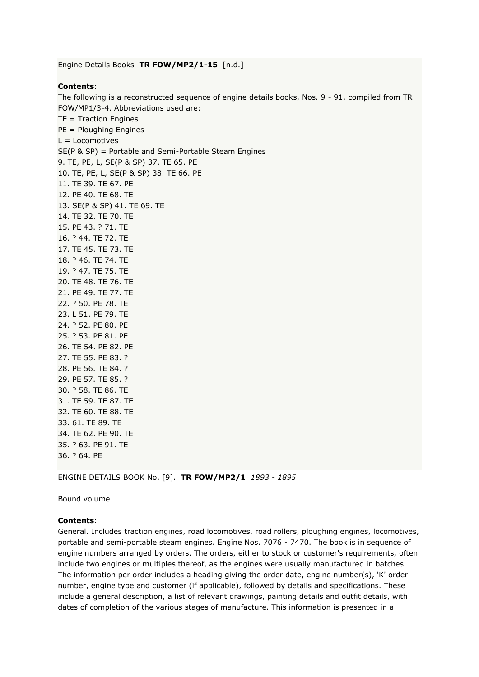Engine Details Books **TR FOW/MP2/1-15** [n.d.]

# **Contents**:

The following is a reconstructed sequence of engine details books, Nos. 9 - 91, compiled from TR FOW/MP1/3-4. Abbreviations used are: TE = Traction Engines PE = Ploughing Engines L = Locomotives SE(P & SP) = Portable and Semi-Portable Steam Engines 9. TE, PE, L, SE(P & SP) 37. TE 65. PE 10. TE, PE, L, SE(P & SP) 38. TE 66. PE 11. TE 39. TE 67. PE 12. PE 40. TE 68. TE 13. SE(P & SP) 41. TE 69. TE 14. TE 32. TE 70. TE 15. PE 43. ? 71. TE 16. ? 44. TE 72. TE 17. TE 45. TE 73. TE 18. ? 46. TE 74. TE 19. ? 47. TE 75. TE 20. TE 48. TE 76. TE 21. PE 49. TE 77. TE 22. ? 50. PE 78. TE 23. L 51. PE 79. TE 24. ? 52. PE 80. PE 25. ? 53. PE 81. PE 26. TE 54. PE 82. PE 27. TE 55. PE 83. ? 28. PE 56. TE 84. ? 29. PE 57. TE 85. ? 30. ? 58. TE 86. TE 31. TE 59. TE 87. TE 32. TE 60. TE 88. TE 33. 61. TE 89. TE 34. TE 62. PE 90. TE 35. ? 63. PE 91. TE

ENGINE DETAILS BOOK No. [9]. **TR FOW/MP2/1** *1893 - 1895*

Bound volume

36. ? 64. PE

#### **Contents**:

General. Includes traction engines, road locomotives, road rollers, ploughing engines, locomotives, portable and semi-portable steam engines. Engine Nos. 7076 - 7470. The book is in sequence of engine numbers arranged by orders. The orders, either to stock or customer's requirements, often include two engines or multiples thereof, as the engines were usually manufactured in batches. The information per order includes a heading giving the order date, engine number(s), 'K' order number, engine type and customer (if applicable), followed by details and specifications. These include a general description, a list of relevant drawings, painting details and outfit details, with dates of completion of the various stages of manufacture. This information is presented in a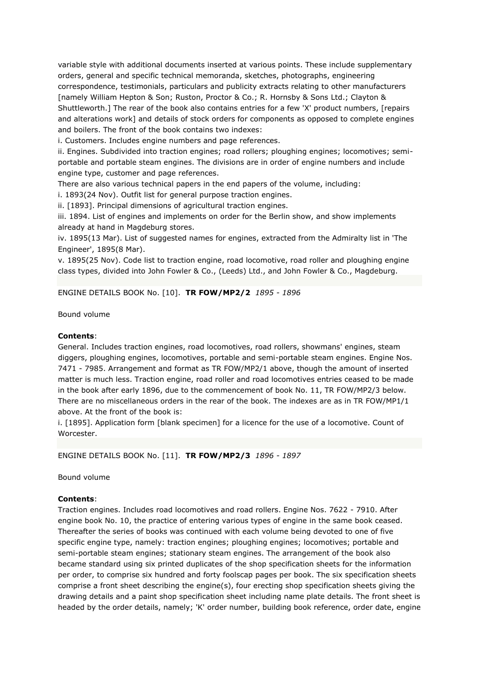variable style with additional documents inserted at various points. These include supplementary orders, general and specific technical memoranda, sketches, photographs, engineering correspondence, testimonials, particulars and publicity extracts relating to other manufacturers [namely William Hepton & Son; Ruston, Proctor & Co.; R. Hornsby & Sons Ltd.; Clayton & Shuttleworth.] The rear of the book also contains entries for a few 'X' product numbers, [repairs and alterations work] and details of stock orders for components as opposed to complete engines and boilers. The front of the book contains two indexes:

i. Customers. Includes engine numbers and page references.

ii. Engines. Subdivided into traction engines; road rollers; ploughing engines; locomotives; semiportable and portable steam engines. The divisions are in order of engine numbers and include engine type, customer and page references.

There are also various technical papers in the end papers of the volume, including:

i. 1893(24 Nov). Outfit list for general purpose traction engines.

ii. [1893]. Principal dimensions of agricultural traction engines.

iii. 1894. List of engines and implements on order for the Berlin show, and show implements already at hand in Magdeburg stores.

iv. 1895(13 Mar). List of suggested names for engines, extracted from the Admiralty list in 'The Engineer', 1895(8 Mar).

v. 1895(25 Nov). Code list to traction engine, road locomotive, road roller and ploughing engine class types, divided into John Fowler & Co., (Leeds) Ltd., and John Fowler & Co., Magdeburg.

ENGINE DETAILS BOOK No. [10]. **TR FOW/MP2/2** *1895 - 1896*

Bound volume

### **Contents**:

General. Includes traction engines, road locomotives, road rollers, showmans' engines, steam diggers, ploughing engines, locomotives, portable and semi-portable steam engines. Engine Nos. 7471 - 7985. Arrangement and format as TR FOW/MP2/1 above, though the amount of inserted matter is much less. Traction engine, road roller and road locomotives entries ceased to be made in the book after early 1896, due to the commencement of book No. 11, TR FOW/MP2/3 below. There are no miscellaneous orders in the rear of the book. The indexes are as in TR FOW/MP1/1 above. At the front of the book is:

i. [1895]. Application form [blank specimen] for a licence for the use of a locomotive. Count of Worcester.

ENGINE DETAILS BOOK No. [11]. **TR FOW/MP2/3** *1896 - 1897*

Bound volume

### **Contents**:

Traction engines. Includes road locomotives and road rollers. Engine Nos. 7622 - 7910. After engine book No. 10, the practice of entering various types of engine in the same book ceased. Thereafter the series of books was continued with each volume being devoted to one of five specific engine type, namely: traction engines; ploughing engines; locomotives; portable and semi-portable steam engines; stationary steam engines. The arrangement of the book also became standard using six printed duplicates of the shop specification sheets for the information per order, to comprise six hundred and forty foolscap pages per book. The six specification sheets comprise a front sheet describing the engine(s), four erecting shop specification sheets giving the drawing details and a paint shop specification sheet including name plate details. The front sheet is headed by the order details, namely; 'K' order number, building book reference, order date, engine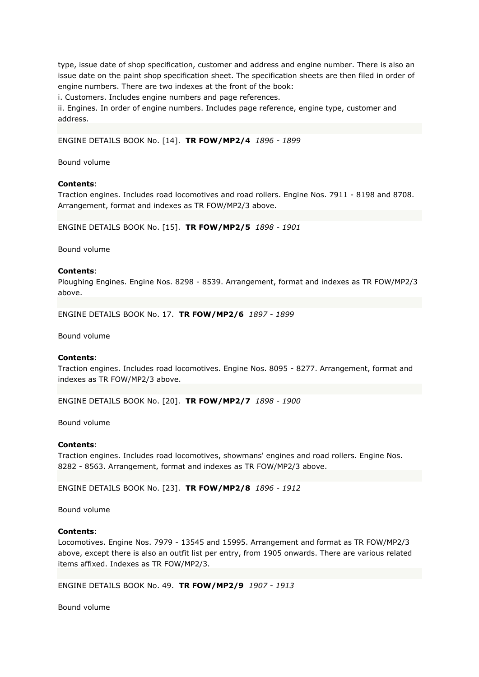type, issue date of shop specification, customer and address and engine number. There is also an issue date on the paint shop specification sheet. The specification sheets are then filed in order of engine numbers. There are two indexes at the front of the book:

i. Customers. Includes engine numbers and page references.

ii. Engines. In order of engine numbers. Includes page reference, engine type, customer and address.

ENGINE DETAILS BOOK No. [14]. **TR FOW/MP2/4** *1896 - 1899*

Bound volume

### **Contents**:

Traction engines. Includes road locomotives and road rollers. Engine Nos. 7911 - 8198 and 8708. Arrangement, format and indexes as TR FOW/MP2/3 above.

ENGINE DETAILS BOOK No. [15]. **TR FOW/MP2/5** *1898 - 1901*

Bound volume

#### **Contents**:

Ploughing Engines. Engine Nos. 8298 - 8539. Arrangement, format and indexes as TR FOW/MP2/3 above.

ENGINE DETAILS BOOK No. 17. **TR FOW/MP2/6** *1897 - 1899*

Bound volume

#### **Contents**:

Traction engines. Includes road locomotives. Engine Nos. 8095 - 8277. Arrangement, format and indexes as TR FOW/MP2/3 above.

ENGINE DETAILS BOOK No. [20]. **TR FOW/MP2/7** *1898 - 1900*

Bound volume

### **Contents**:

Traction engines. Includes road locomotives, showmans' engines and road rollers. Engine Nos. 8282 - 8563. Arrangement, format and indexes as TR FOW/MP2/3 above.

ENGINE DETAILS BOOK No. [23]. **TR FOW/MP2/8** *1896 - 1912*

Bound volume

#### **Contents**:

Locomotives. Engine Nos. 7979 - 13545 and 15995. Arrangement and format as TR FOW/MP2/3 above, except there is also an outfit list per entry, from 1905 onwards. There are various related items affixed. Indexes as TR FOW/MP2/3.

ENGINE DETAILS BOOK No. 49. **TR FOW/MP2/9** *1907 - 1913*

Bound volume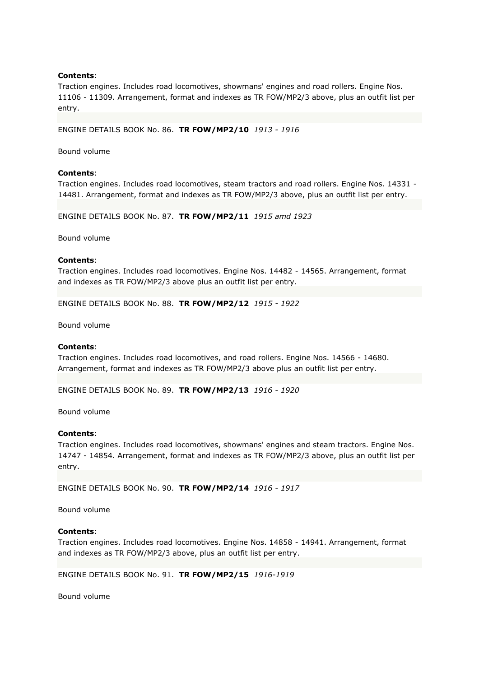Traction engines. Includes road locomotives, showmans' engines and road rollers. Engine Nos. 11106 - 11309. Arrangement, format and indexes as TR FOW/MP2/3 above, plus an outfit list per entry.

ENGINE DETAILS BOOK No. 86. **TR FOW/MP2/10** *1913 - 1916*

Bound volume

#### **Contents**:

Traction engines. Includes road locomotives, steam tractors and road rollers. Engine Nos. 14331 - 14481. Arrangement, format and indexes as TR FOW/MP2/3 above, plus an outfit list per entry.

ENGINE DETAILS BOOK No. 87. **TR FOW/MP2/11** *1915 amd 1923*

Bound volume

#### **Contents**:

Traction engines. Includes road locomotives. Engine Nos. 14482 - 14565. Arrangement, format and indexes as TR FOW/MP2/3 above plus an outfit list per entry.

ENGINE DETAILS BOOK No. 88. **TR FOW/MP2/12** *1915 - 1922*

Bound volume

#### **Contents**:

Traction engines. Includes road locomotives, and road rollers. Engine Nos. 14566 - 14680. Arrangement, format and indexes as TR FOW/MP2/3 above plus an outfit list per entry.

ENGINE DETAILS BOOK No. 89. **TR FOW/MP2/13** *1916 - 1920*

Bound volume

#### **Contents**:

Traction engines. Includes road locomotives, showmans' engines and steam tractors. Engine Nos. 14747 - 14854. Arrangement, format and indexes as TR FOW/MP2/3 above, plus an outfit list per entry.

ENGINE DETAILS BOOK No. 90. **TR FOW/MP2/14** *1916 - 1917*

Bound volume

### **Contents**:

Traction engines. Includes road locomotives. Engine Nos. 14858 - 14941. Arrangement, format and indexes as TR FOW/MP2/3 above, plus an outfit list per entry.

ENGINE DETAILS BOOK No. 91. **TR FOW/MP2/15** *1916-1919*

Bound volume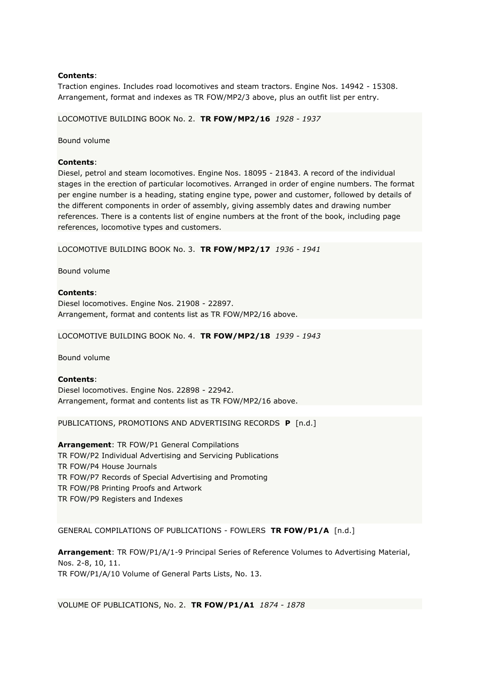Traction engines. Includes road locomotives and steam tractors. Engine Nos. 14942 - 15308. Arrangement, format and indexes as TR FOW/MP2/3 above, plus an outfit list per entry.

LOCOMOTIVE BUILDING BOOK No. 2. **TR FOW/MP2/16** *1928 - 1937*

Bound volume

### **Contents**:

Diesel, petrol and steam locomotives. Engine Nos. 18095 - 21843. A record of the individual stages in the erection of particular locomotives. Arranged in order of engine numbers. The format per engine number is a heading, stating engine type, power and customer, followed by details of the different components in order of assembly, giving assembly dates and drawing number references. There is a contents list of engine numbers at the front of the book, including page references, locomotive types and customers.

LOCOMOTIVE BUILDING BOOK No. 3. **TR FOW/MP2/17** *1936 - 1941*

Bound volume

# **Contents**:

Diesel locomotives. Engine Nos. 21908 - 22897. Arrangement, format and contents list as TR FOW/MP2/16 above.

LOCOMOTIVE BUILDING BOOK No. 4. **TR FOW/MP2/18** *1939 - 1943*

Bound volume

### **Contents**:

Diesel locomotives. Engine Nos. 22898 - 22942. Arrangement, format and contents list as TR FOW/MP2/16 above.

PUBLICATIONS, PROMOTIONS AND ADVERTISING RECORDS **P** [n.d.]

**Arrangement**: TR FOW/P1 General Compilations TR FOW/P2 Individual Advertising and Servicing Publications TR FOW/P4 House Journals TR FOW/P7 Records of Special Advertising and Promoting TR FOW/P8 Printing Proofs and Artwork TR FOW/P9 Registers and Indexes

GENERAL COMPILATIONS OF PUBLICATIONS - FOWLERS **TR FOW/P1/A** [n.d.]

**Arrangement**: TR FOW/P1/A/1-9 Principal Series of Reference Volumes to Advertising Material, Nos. 2-8, 10, 11. TR FOW/P1/A/10 Volume of General Parts Lists, No. 13.

VOLUME OF PUBLICATIONS, No. 2. **TR FOW/P1/A1** *1874 - 1878*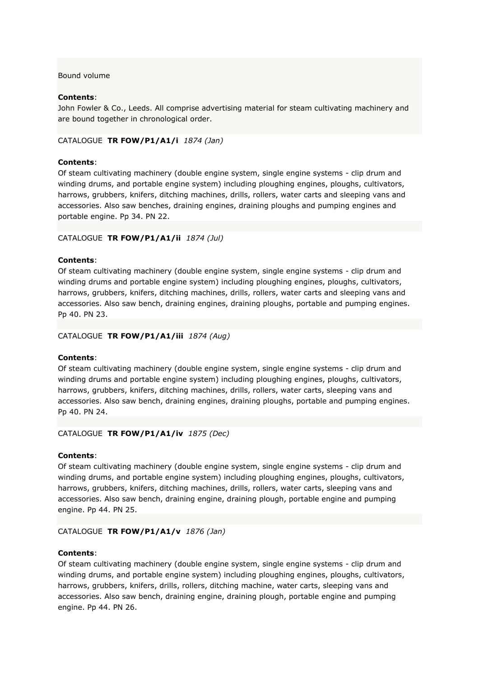# Bound volume

# **Contents**:

John Fowler & Co., Leeds. All comprise advertising material for steam cultivating machinery and are bound together in chronological order.

### CATALOGUE **TR FOW/P1/A1/i** *1874 (Jan)*

## **Contents**:

Of steam cultivating machinery (double engine system, single engine systems - clip drum and winding drums, and portable engine system) including ploughing engines, ploughs, cultivators, harrows, grubbers, knifers, ditching machines, drills, rollers, water carts and sleeping vans and accessories. Also saw benches, draining engines, draining ploughs and pumping engines and portable engine. Pp 34. PN 22.

## CATALOGUE **TR FOW/P1/A1/ii** *1874 (Jul)*

### **Contents**:

Of steam cultivating machinery (double engine system, single engine systems - clip drum and winding drums and portable engine system) including ploughing engines, ploughs, cultivators, harrows, grubbers, knifers, ditching machines, drills, rollers, water carts and sleeping vans and accessories. Also saw bench, draining engines, draining ploughs, portable and pumping engines. Pp 40. PN 23.

### CATALOGUE **TR FOW/P1/A1/iii** *1874 (Aug)*

### **Contents**:

Of steam cultivating machinery (double engine system, single engine systems - clip drum and winding drums and portable engine system) including ploughing engines, ploughs, cultivators, harrows, grubbers, knifers, ditching machines, drills, rollers, water carts, sleeping vans and accessories. Also saw bench, draining engines, draining ploughs, portable and pumping engines. Pp 40. PN 24.

### CATALOGUE **TR FOW/P1/A1/iv** *1875 (Dec)*

### **Contents**:

Of steam cultivating machinery (double engine system, single engine systems - clip drum and winding drums, and portable engine system) including ploughing engines, ploughs, cultivators, harrows, grubbers, knifers, ditching machines, drills, rollers, water carts, sleeping vans and accessories. Also saw bench, draining engine, draining plough, portable engine and pumping engine. Pp 44. PN 25.

### CATALOGUE **TR FOW/P1/A1/v** *1876 (Jan)*

#### **Contents**:

Of steam cultivating machinery (double engine system, single engine systems - clip drum and winding drums, and portable engine system) including ploughing engines, ploughs, cultivators, harrows, grubbers, knifers, drills, rollers, ditching machine, water carts, sleeping vans and accessories. Also saw bench, draining engine, draining plough, portable engine and pumping engine. Pp 44. PN 26.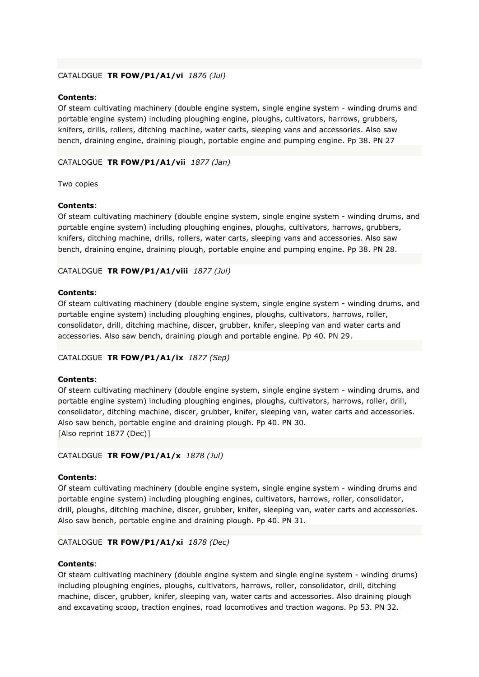# CATALOGUE **TR FOW/P1/A1/vi** *1876 (Jul)*

## **Contents**:

Of steam cultivating machinery (double engine system, single engine system - winding drums and portable engine system) including ploughing engine, ploughs, cultivators, harrows, grubbers, knifers, drills, rollers, ditching machine, water carts, sleeping vans and accessories. Also saw bench, draining engine, draining plough, portable engine and pumping engine. Pp 38. PN 27

# CATALOGUE **TR FOW/P1/A1/vii** *1877 (Jan)*

Two copies

### **Contents**:

Of steam cultivating machinery (double engine system, single engine system - winding drums, and portable engine system) including ploughing engines, ploughs, cultivators, harrows, grubbers, knifers, ditching machine, drills, rollers, water carts, sleeping vans and accessories. Also saw bench, draining engine, draining plough, portable engine and pumping engine. Pp 38. PN 28.

## CATALOGUE **TR FOW/P1/A1/viii** *1877 (Jul)*

### **Contents**:

Of steam cultivating machinery (double engine system, single engine system - winding drums, and portable engine system) including ploughing engines, ploughs, cultivators, harrows, roller, consolidator, drill, ditching machine, discer, grubber, knifer, sleeping van and water carts and accessories. Also saw bench, draining plough and portable engine. Pp 40. PN 29.

### CATALOGUE **TR FOW/P1/A1/ix** *1877 (Sep)*

### **Contents**:

Of steam cultivating machinery (double engine system, single engine system - winding drums, and portable engine system) including ploughing engines, ploughs, cultivators, harrows, roller, drill, consolidator, ditching machine, discer, grubber, knifer, sleeping van, water carts and accessories. Also saw bench, portable engine and draining plough. Pp 40. PN 30. [Also reprint 1877 (Dec)]

### CATALOGUE **TR FOW/P1/A1/x** *1878 (Jul)*

### **Contents**:

Of steam cultivating machinery (double engine system, single engine system - winding drums and portable engine system) including ploughing engines, cultivators, harrows, roller, consolidator, drill, ploughs, ditching machine, discer, grubber, knifer, sleeping van, water carts and accessories. Also saw bench, portable engine and draining plough. Pp 40. PN 31.

# CATALOGUE **TR FOW/P1/A1/xi** *1878 (Dec)*

### **Contents**:

Of steam cultivating machinery (double engine system and single engine system - winding drums) including ploughing engines, ploughs, cultivators, harrows, roller, consolidator, drill, ditching machine, discer, grubber, knifer, sleeping van, water carts and accessories. Also draining plough and excavating scoop, traction engines, road locomotives and traction wagons. Pp 53. PN 32.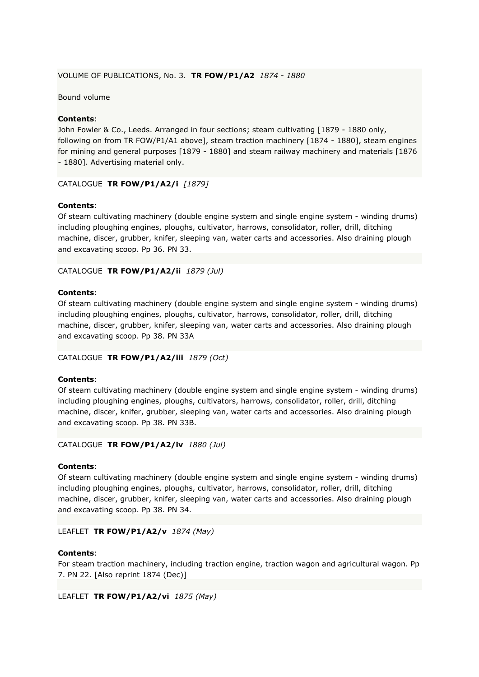## VOLUME OF PUBLICATIONS, No. 3. **TR FOW/P1/A2** *1874 - 1880*

Bound volume

# **Contents**:

John Fowler & Co., Leeds. Arranged in four sections; steam cultivating [1879 - 1880 only, following on from TR FOW/P1/A1 above], steam traction machinery [1874 - 1880], steam engines for mining and general purposes [1879 - 1880] and steam railway machinery and materials [1876 - 1880]. Advertising material only.

## CATALOGUE **TR FOW/P1/A2/i** *[1879]*

## **Contents**:

Of steam cultivating machinery (double engine system and single engine system - winding drums) including ploughing engines, ploughs, cultivator, harrows, consolidator, roller, drill, ditching machine, discer, grubber, knifer, sleeping van, water carts and accessories. Also draining plough and excavating scoop. Pp 36. PN 33.

## CATALOGUE **TR FOW/P1/A2/ii** *1879 (Jul)*

### **Contents**:

Of steam cultivating machinery (double engine system and single engine system - winding drums) including ploughing engines, ploughs, cultivator, harrows, consolidator, roller, drill, ditching machine, discer, grubber, knifer, sleeping van, water carts and accessories. Also draining plough and excavating scoop. Pp 38. PN 33A

### CATALOGUE **TR FOW/P1/A2/iii** *1879 (Oct)*

### **Contents**:

Of steam cultivating machinery (double engine system and single engine system - winding drums) including ploughing engines, ploughs, cultivators, harrows, consolidator, roller, drill, ditching machine, discer, knifer, grubber, sleeping van, water carts and accessories. Also draining plough and excavating scoop. Pp 38. PN 33B.

### CATALOGUE **TR FOW/P1/A2/iv** *1880 (Jul)*

### **Contents**:

Of steam cultivating machinery (double engine system and single engine system - winding drums) including ploughing engines, ploughs, cultivator, harrows, consolidator, roller, drill, ditching machine, discer, grubber, knifer, sleeping van, water carts and accessories. Also draining plough and excavating scoop. Pp 38. PN 34.

### LEAFLET **TR FOW/P1/A2/v** *1874 (May)*

### **Contents**:

For steam traction machinery, including traction engine, traction wagon and agricultural wagon. Pp 7. PN 22. [Also reprint 1874 (Dec)]

LEAFLET **TR FOW/P1/A2/vi** *1875 (May)*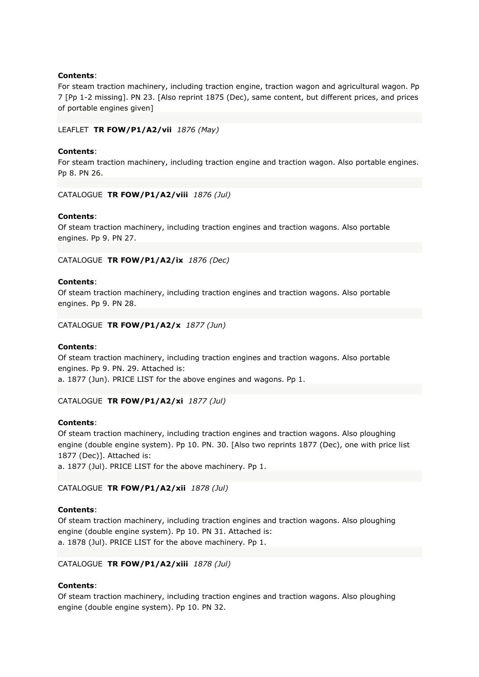For steam traction machinery, including traction engine, traction wagon and agricultural wagon. Pp 7 [Pp 1-2 missing]. PN 23. [Also reprint 1875 (Dec), same content, but different prices, and prices of portable engines given]

### LEAFLET **TR FOW/P1/A2/vii** *1876 (May)*

### **Contents**:

For steam traction machinery, including traction engine and traction wagon. Also portable engines. Pp 8. PN 26.

CATALOGUE **TR FOW/P1/A2/viii** *1876 (Jul)*

### **Contents**:

Of steam traction machinery, including traction engines and traction wagons. Also portable engines. Pp 9. PN 27.

CATALOGUE **TR FOW/P1/A2/ix** *1876 (Dec)*

### **Contents**:

Of steam traction machinery, including traction engines and traction wagons. Also portable engines. Pp 9. PN 28.

CATALOGUE **TR FOW/P1/A2/x** *1877 (Jun)*

### **Contents**:

Of steam traction machinery, including traction engines and traction wagons. Also portable engines. Pp 9. PN. 29. Attached is: a. 1877 (Jun). PRICE LIST for the above engines and wagons. Pp 1.

# CATALOGUE **TR FOW/P1/A2/xi** *1877 (Jul)*

### **Contents**:

Of steam traction machinery, including traction engines and traction wagons. Also ploughing engine (double engine system). Pp 10. PN. 30. [Also two reprints 1877 (Dec), one with price list 1877 (Dec)]. Attached is:

a. 1877 (Jul). PRICE LIST for the above machinery. Pp 1.

# CATALOGUE **TR FOW/P1/A2/xii** *1878 (Jul)*

### **Contents**:

Of steam traction machinery, including traction engines and traction wagons. Also ploughing engine (double engine system). Pp 10. PN 31. Attached is: a. 1878 (Jul). PRICE LIST for the above machinery. Pp 1.

### CATALOGUE **TR FOW/P1/A2/xiii** *1878 (Jul)*

# **Contents**:

Of steam traction machinery, including traction engines and traction wagons. Also ploughing engine (double engine system). Pp 10. PN 32.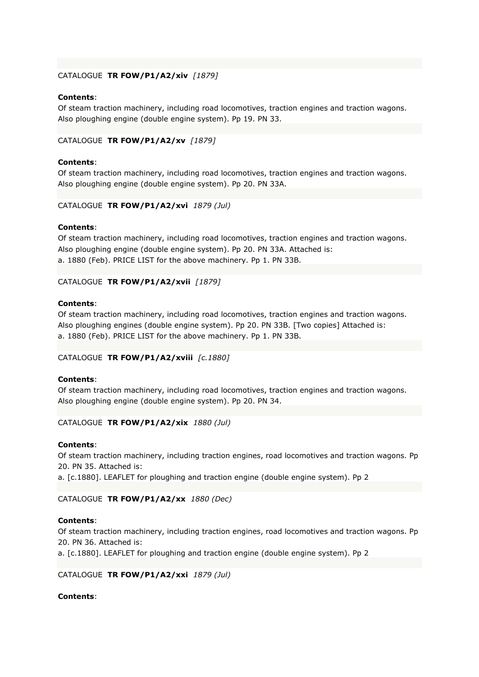# CATALOGUE **TR FOW/P1/A2/xiv** *[1879]*

### **Contents**:

Of steam traction machinery, including road locomotives, traction engines and traction wagons. Also ploughing engine (double engine system). Pp 19. PN 33.

### CATALOGUE **TR FOW/P1/A2/xv** *[1879]*

## **Contents**:

Of steam traction machinery, including road locomotives, traction engines and traction wagons. Also ploughing engine (double engine system). Pp 20. PN 33A.

### CATALOGUE **TR FOW/P1/A2/xvi** *1879 (Jul)*

### **Contents**:

Of steam traction machinery, including road locomotives, traction engines and traction wagons. Also ploughing engine (double engine system). Pp 20. PN 33A. Attached is: a. 1880 (Feb). PRICE LIST for the above machinery. Pp 1. PN 33B.

### CATALOGUE **TR FOW/P1/A2/xvii** *[1879]*

## **Contents**:

Of steam traction machinery, including road locomotives, traction engines and traction wagons. Also ploughing engines (double engine system). Pp 20. PN 33B. [Two copies] Attached is: a. 1880 (Feb). PRICE LIST for the above machinery. Pp 1. PN 33B.

### CATALOGUE **TR FOW/P1/A2/xviii** *[c.1880]*

### **Contents**:

Of steam traction machinery, including road locomotives, traction engines and traction wagons. Also ploughing engine (double engine system). Pp 20. PN 34.

### CATALOGUE **TR FOW/P1/A2/xix** *1880 (Jul)*

### **Contents**:

Of steam traction machinery, including traction engines, road locomotives and traction wagons. Pp 20. PN 35. Attached is:

a. [c.1880]. LEAFLET for ploughing and traction engine (double engine system). Pp 2

### CATALOGUE **TR FOW/P1/A2/xx** *1880 (Dec)*

### **Contents**:

Of steam traction machinery, including traction engines, road locomotives and traction wagons. Pp 20. PN 36. Attached is:

a. [c.1880]. LEAFLET for ploughing and traction engine (double engine system). Pp 2

### CATALOGUE **TR FOW/P1/A2/xxi** *1879 (Jul)*

# **Contents**: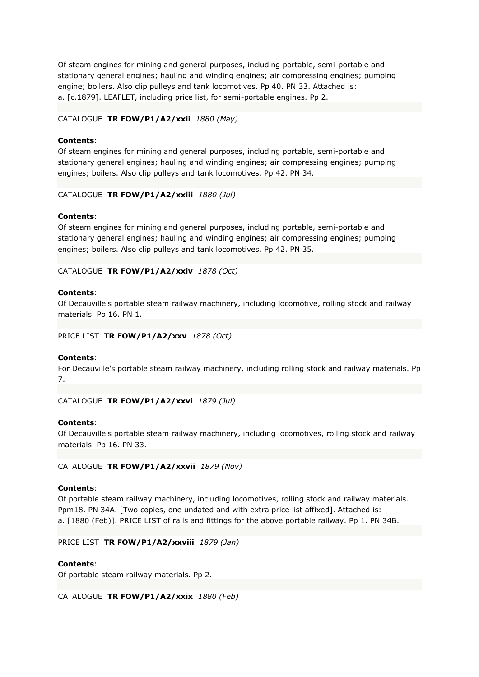Of steam engines for mining and general purposes, including portable, semi-portable and stationary general engines; hauling and winding engines; air compressing engines; pumping engine; boilers. Also clip pulleys and tank locomotives. Pp 40. PN 33. Attached is: a. [c.1879]. LEAFLET, including price list, for semi-portable engines. Pp 2.

# CATALOGUE **TR FOW/P1/A2/xxii** *1880 (May)*

### **Contents**:

Of steam engines for mining and general purposes, including portable, semi-portable and stationary general engines; hauling and winding engines; air compressing engines; pumping engines; boilers. Also clip pulleys and tank locomotives. Pp 42. PN 34.

CATALOGUE **TR FOW/P1/A2/xxiii** *1880 (Jul)*

### **Contents**:

Of steam engines for mining and general purposes, including portable, semi-portable and stationary general engines; hauling and winding engines; air compressing engines; pumping engines; boilers. Also clip pulleys and tank locomotives. Pp 42. PN 35.

CATALOGUE **TR FOW/P1/A2/xxiv** *1878 (Oct)*

### **Contents**:

Of Decauville's portable steam railway machinery, including locomotive, rolling stock and railway materials. Pp 16. PN 1.

### PRICE LIST **TR FOW/P1/A2/xxv** *1878 (Oct)*

### **Contents**:

For Decauville's portable steam railway machinery, including rolling stock and railway materials. Pp 7.

CATALOGUE **TR FOW/P1/A2/xxvi** *1879 (Jul)*

### **Contents**:

Of Decauville's portable steam railway machinery, including locomotives, rolling stock and railway materials. Pp 16. PN 33.

CATALOGUE **TR FOW/P1/A2/xxvii** *1879 (Nov)*

#### **Contents**:

Of portable steam railway machinery, including locomotives, rolling stock and railway materials. Ppm18. PN 34A. [Two copies, one undated and with extra price list affixed]. Attached is: a. [1880 (Feb)]. PRICE LIST of rails and fittings for the above portable railway. Pp 1. PN 34B.

PRICE LIST **TR FOW/P1/A2/xxviii** *1879 (Jan)*

### **Contents**:

Of portable steam railway materials. Pp 2.

CATALOGUE **TR FOW/P1/A2/xxix** *1880 (Feb)*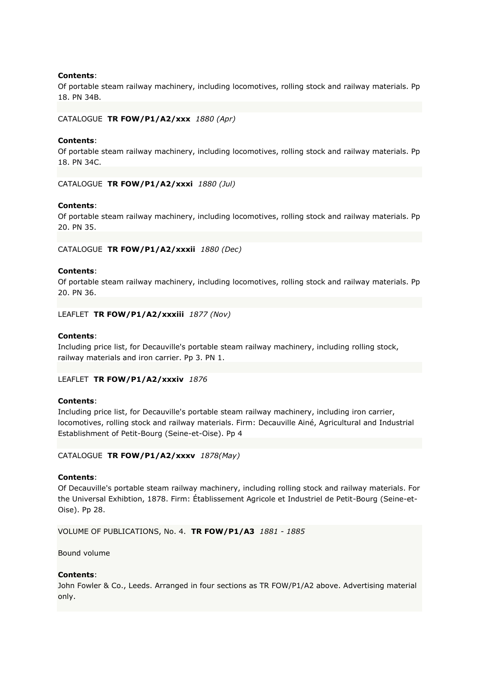Of portable steam railway machinery, including locomotives, rolling stock and railway materials. Pp 18. PN 34B.

### CATALOGUE **TR FOW/P1/A2/xxx** *1880 (Apr)*

### **Contents**:

Of portable steam railway machinery, including locomotives, rolling stock and railway materials. Pp 18. PN 34C.

CATALOGUE **TR FOW/P1/A2/xxxi** *1880 (Jul)*

#### **Contents**:

Of portable steam railway machinery, including locomotives, rolling stock and railway materials. Pp 20. PN 35.

#### CATALOGUE **TR FOW/P1/A2/xxxii** *1880 (Dec)*

#### **Contents**:

Of portable steam railway machinery, including locomotives, rolling stock and railway materials. Pp 20. PN 36.

#### LEAFLET **TR FOW/P1/A2/xxxiii** *1877 (Nov)*

### **Contents**:

Including price list, for Decauville's portable steam railway machinery, including rolling stock, railway materials and iron carrier. Pp 3. PN 1.

### LEAFLET **TR FOW/P1/A2/xxxiv** *1876*

### **Contents**:

Including price list, for Decauville's portable steam railway machinery, including iron carrier, locomotives, rolling stock and railway materials. Firm: Decauville Ainé, Agricultural and Industrial Establishment of Petit-Bourg (Seine-et-Oise). Pp 4

#### CATALOGUE **TR FOW/P1/A2/xxxv** *1878(May)*

#### **Contents**:

Of Decauville's portable steam railway machinery, including rolling stock and railway materials. For the Universal Exhibtion, 1878. Firm: Établissement Agricole et Industriel de Petit-Bourg (Seine-et-Oise). Pp 28.

VOLUME OF PUBLICATIONS, No. 4. **TR FOW/P1/A3** *1881 - 1885*

Bound volume

### **Contents**:

John Fowler & Co., Leeds. Arranged in four sections as TR FOW/P1/A2 above. Advertising material only.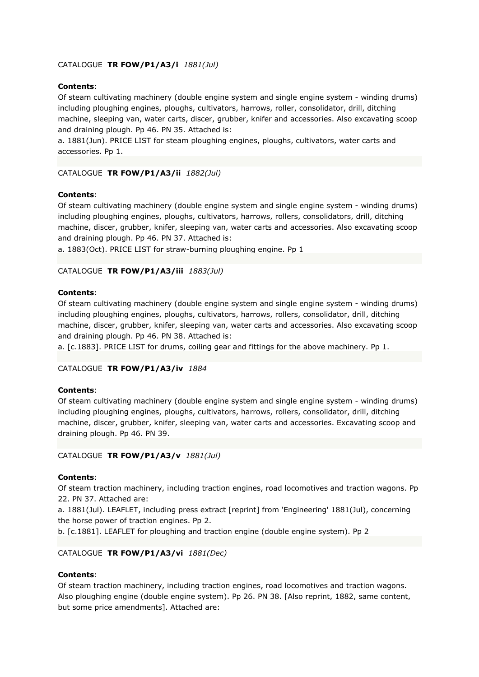# CATALOGUE **TR FOW/P1/A3/i** *1881(Jul)*

# **Contents**:

Of steam cultivating machinery (double engine system and single engine system - winding drums) including ploughing engines, ploughs, cultivators, harrows, roller, consolidator, drill, ditching machine, sleeping van, water carts, discer, grubber, knifer and accessories. Also excavating scoop and draining plough. Pp 46. PN 35. Attached is:

a. 1881(Jun). PRICE LIST for steam ploughing engines, ploughs, cultivators, water carts and accessories. Pp 1.

# CATALOGUE **TR FOW/P1/A3/ii** *1882(Jul)*

## **Contents**:

Of steam cultivating machinery (double engine system and single engine system - winding drums) including ploughing engines, ploughs, cultivators, harrows, rollers, consolidators, drill, ditching machine, discer, grubber, knifer, sleeping van, water carts and accessories. Also excavating scoop and draining plough. Pp 46. PN 37. Attached is:

a. 1883(Oct). PRICE LIST for straw-burning ploughing engine. Pp 1

## CATALOGUE **TR FOW/P1/A3/iii** *1883(Jul)*

## **Contents**:

Of steam cultivating machinery (double engine system and single engine system - winding drums) including ploughing engines, ploughs, cultivators, harrows, rollers, consolidator, drill, ditching machine, discer, grubber, knifer, sleeping van, water carts and accessories. Also excavating scoop and draining plough. Pp 46. PN 38. Attached is:

a. [c.1883]. PRICE LIST for drums, coiling gear and fittings for the above machinery. Pp 1.

### CATALOGUE **TR FOW/P1/A3/iv** *1884*

### **Contents**:

Of steam cultivating machinery (double engine system and single engine system - winding drums) including ploughing engines, ploughs, cultivators, harrows, rollers, consolidator, drill, ditching machine, discer, grubber, knifer, sleeping van, water carts and accessories. Excavating scoop and draining plough. Pp 46. PN 39.

### CATALOGUE **TR FOW/P1/A3/v** *1881(Jul)*

### **Contents**:

Of steam traction machinery, including traction engines, road locomotives and traction wagons. Pp 22. PN 37. Attached are:

a. 1881(Jul). LEAFLET, including press extract [reprint] from 'Engineering' 1881(Jul), concerning the horse power of traction engines. Pp 2.

b. [c.1881]. LEAFLET for ploughing and traction engine (double engine system). Pp 2

# CATALOGUE **TR FOW/P1/A3/vi** *1881(Dec)*

### **Contents**:

Of steam traction machinery, including traction engines, road locomotives and traction wagons. Also ploughing engine (double engine system). Pp 26. PN 38. [Also reprint, 1882, same content, but some price amendments]. Attached are: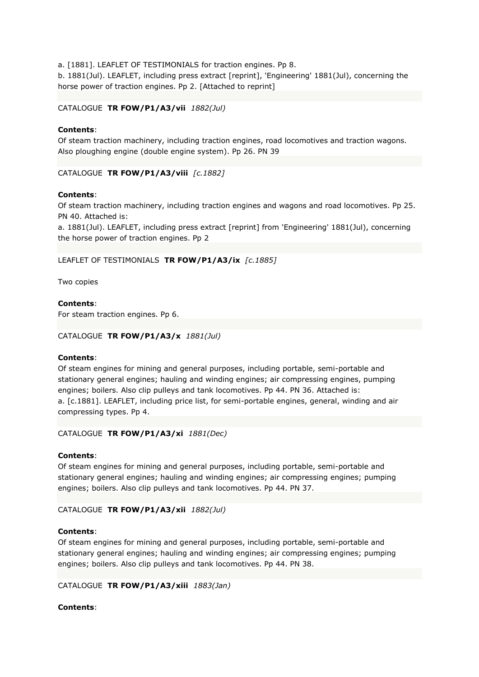a. [1881]. LEAFLET OF TESTIMONIALS for traction engines. Pp 8.

b. 1881(Jul). LEAFLET, including press extract [reprint], 'Engineering' 1881(Jul), concerning the horse power of traction engines. Pp 2. [Attached to reprint]

CATALOGUE **TR FOW/P1/A3/vii** *1882(Jul)*

# **Contents**:

Of steam traction machinery, including traction engines, road locomotives and traction wagons. Also ploughing engine (double engine system). Pp 26. PN 39

CATALOGUE **TR FOW/P1/A3/viii** *[c.1882]*

# **Contents**:

Of steam traction machinery, including traction engines and wagons and road locomotives. Pp 25. PN 40. Attached is:

a. 1881(Jul). LEAFLET, including press extract [reprint] from 'Engineering' 1881(Jul), concerning the horse power of traction engines. Pp 2

# LEAFLET OF TESTIMONIALS **TR FOW/P1/A3/ix** *[c.1885]*

Two copies

**Contents**:

For steam traction engines. Pp 6.

```
CATALOGUE TR FOW/P1/A3/x 1881(Jul)
```
# **Contents**:

Of steam engines for mining and general purposes, including portable, semi-portable and stationary general engines; hauling and winding engines; air compressing engines, pumping engines; boilers. Also clip pulleys and tank locomotives. Pp 44. PN 36. Attached is: a. [c.1881]. LEAFLET, including price list, for semi-portable engines, general, winding and air compressing types. Pp 4.

```
CATALOGUE TR FOW/P1/A3/xi 1881(Dec)
```
# **Contents**:

Of steam engines for mining and general purposes, including portable, semi-portable and stationary general engines; hauling and winding engines; air compressing engines; pumping engines; boilers. Also clip pulleys and tank locomotives. Pp 44. PN 37.

CATALOGUE **TR FOW/P1/A3/xii** *1882(Jul)*

# **Contents**:

Of steam engines for mining and general purposes, including portable, semi-portable and stationary general engines; hauling and winding engines; air compressing engines; pumping engines; boilers. Also clip pulleys and tank locomotives. Pp 44. PN 38.

```
CATALOGUE TR FOW/P1/A3/xiii 1883(Jan)
```
# **Contents**: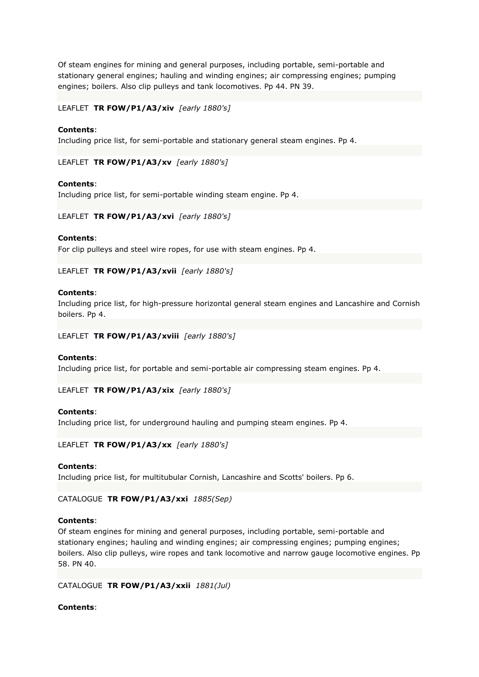Of steam engines for mining and general purposes, including portable, semi-portable and stationary general engines; hauling and winding engines; air compressing engines; pumping engines; boilers. Also clip pulleys and tank locomotives. Pp 44. PN 39.

LEAFLET **TR FOW/P1/A3/xiv** *[early 1880's]*

# **Contents**:

Including price list, for semi-portable and stationary general steam engines. Pp 4.

LEAFLET **TR FOW/P1/A3/xv** *[early 1880's]*

## **Contents**:

Including price list, for semi-portable winding steam engine. Pp 4.

## LEAFLET **TR FOW/P1/A3/xvi** *[early 1880's]*

## **Contents**:

For clip pulleys and steel wire ropes, for use with steam engines. Pp 4.

LEAFLET **TR FOW/P1/A3/xvii** *[early 1880's]*

### **Contents**:

Including price list, for high-pressure horizontal general steam engines and Lancashire and Cornish boilers. Pp 4.

### LEAFLET **TR FOW/P1/A3/xviii** *[early 1880's]*

### **Contents**:

Including price list, for portable and semi-portable air compressing steam engines. Pp 4.

LEAFLET **TR FOW/P1/A3/xix** *[early 1880's]*

### **Contents**:

Including price list, for underground hauling and pumping steam engines. Pp 4.

LEAFLET **TR FOW/P1/A3/xx** *[early 1880's]*

### **Contents**:

Including price list, for multitubular Cornish, Lancashire and Scotts' boilers. Pp 6.

# CATALOGUE **TR FOW/P1/A3/xxi** *1885(Sep)*

# **Contents**:

Of steam engines for mining and general purposes, including portable, semi-portable and stationary engines; hauling and winding engines; air compressing engines; pumping engines; boilers. Also clip pulleys, wire ropes and tank locomotive and narrow gauge locomotive engines. Pp 58. PN 40.

### CATALOGUE **TR FOW/P1/A3/xxii** *1881(Jul)*

# **Contents**: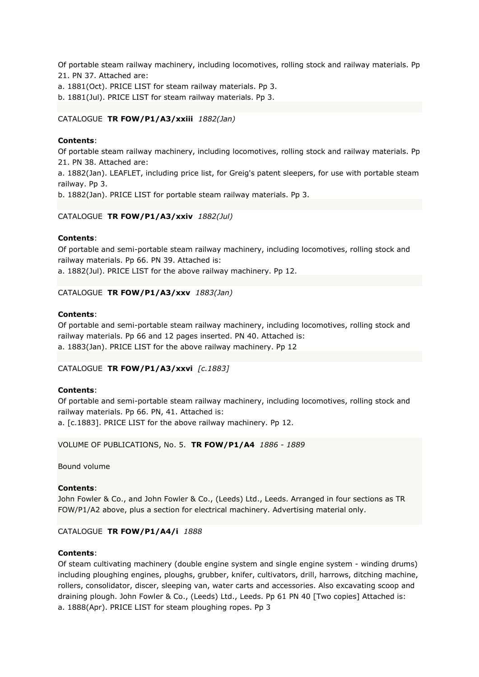Of portable steam railway machinery, including locomotives, rolling stock and railway materials. Pp 21. PN 37. Attached are:

a. 1881(Oct). PRICE LIST for steam railway materials. Pp 3.

b. 1881(Jul). PRICE LIST for steam railway materials. Pp 3.

### CATALOGUE **TR FOW/P1/A3/xxiii** *1882(Jan)*

### **Contents**:

Of portable steam railway machinery, including locomotives, rolling stock and railway materials. Pp 21. PN 38. Attached are:

a. 1882(Jan). LEAFLET, including price list, for Greig's patent sleepers, for use with portable steam railway. Pp 3.

b. 1882(Jan). PRICE LIST for portable steam railway materials. Pp 3.

### CATALOGUE **TR FOW/P1/A3/xxiv** *1882(Jul)*

## **Contents**:

Of portable and semi-portable steam railway machinery, including locomotives, rolling stock and railway materials. Pp 66. PN 39. Attached is:

a. 1882(Jul). PRICE LIST for the above railway machinery. Pp 12.

### CATALOGUE **TR FOW/P1/A3/xxv** *1883(Jan)*

### **Contents**:

Of portable and semi-portable steam railway machinery, including locomotives, rolling stock and railway materials. Pp 66 and 12 pages inserted. PN 40. Attached is: a. 1883(Jan). PRICE LIST for the above railway machinery. Pp 12

### CATALOGUE **TR FOW/P1/A3/xxvi** *[c.1883]*

### **Contents**:

Of portable and semi-portable steam railway machinery, including locomotives, rolling stock and railway materials. Pp 66. PN, 41. Attached is: a. [c.1883]. PRICE LIST for the above railway machinery. Pp 12.

VOLUME OF PUBLICATIONS, No. 5. **TR FOW/P1/A4** *1886 - 1889*

Bound volume

### **Contents**:

John Fowler & Co., and John Fowler & Co., (Leeds) Ltd., Leeds. Arranged in four sections as TR FOW/P1/A2 above, plus a section for electrical machinery. Advertising material only.

### CATALOGUE **TR FOW/P1/A4/i** *1888*

### **Contents**:

Of steam cultivating machinery (double engine system and single engine system - winding drums) including ploughing engines, ploughs, grubber, knifer, cultivators, drill, harrows, ditching machine, rollers, consolidator, discer, sleeping van, water carts and accessories. Also excavating scoop and draining plough. John Fowler & Co., (Leeds) Ltd., Leeds. Pp 61 PN 40 [Two copies] Attached is: a. 1888(Apr). PRICE LIST for steam ploughing ropes. Pp 3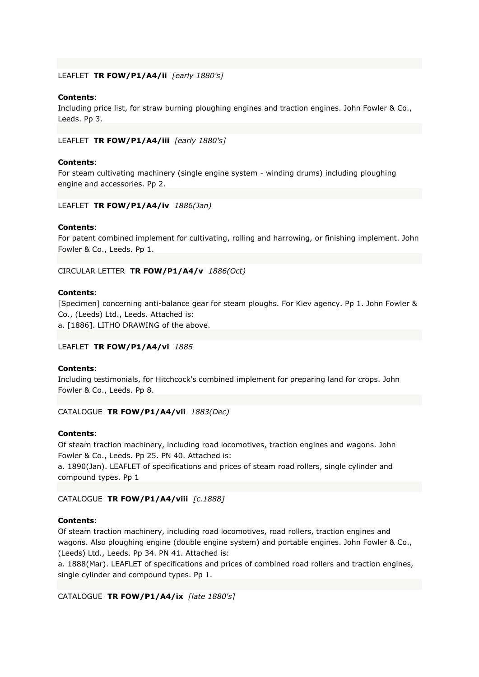## LEAFLET **TR FOW/P1/A4/ii** *[early 1880's]*

## **Contents**:

Including price list, for straw burning ploughing engines and traction engines. John Fowler & Co., Leeds. Pp 3.

LEAFLET **TR FOW/P1/A4/iii** *[early 1880's]*

### **Contents**:

For steam cultivating machinery (single engine system - winding drums) including ploughing engine and accessories. Pp 2.

### LEAFLET **TR FOW/P1/A4/iv** *1886(Jan)*

### **Contents**:

For patent combined implement for cultivating, rolling and harrowing, or finishing implement. John Fowler & Co., Leeds. Pp 1.

### CIRCULAR LETTER **TR FOW/P1/A4/v** *1886(Oct)*

### **Contents**:

[Specimen] concerning anti-balance gear for steam ploughs. For Kiev agency. Pp 1. John Fowler & Co., (Leeds) Ltd., Leeds. Attached is:

a. [1886]. LITHO DRAWING of the above.

### LEAFLET **TR FOW/P1/A4/vi** *1885*

### **Contents**:

Including testimonials, for Hitchcock's combined implement for preparing land for crops. John Fowler & Co., Leeds. Pp 8.

### CATALOGUE **TR FOW/P1/A4/vii** *1883(Dec)*

### **Contents**:

Of steam traction machinery, including road locomotives, traction engines and wagons. John Fowler & Co., Leeds. Pp 25. PN 40. Attached is:

a. 1890(Jan). LEAFLET of specifications and prices of steam road rollers, single cylinder and compound types. Pp 1

### CATALOGUE **TR FOW/P1/A4/viii** *[c.1888]*

### **Contents**:

Of steam traction machinery, including road locomotives, road rollers, traction engines and wagons. Also ploughing engine (double engine system) and portable engines. John Fowler & Co., (Leeds) Ltd., Leeds. Pp 34. PN 41. Attached is:

a. 1888(Mar). LEAFLET of specifications and prices of combined road rollers and traction engines, single cylinder and compound types. Pp 1.

CATALOGUE **TR FOW/P1/A4/ix** *[late 1880's]*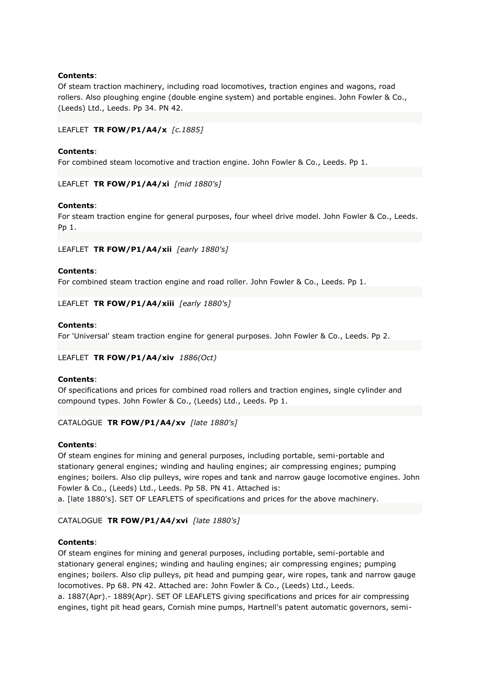Of steam traction machinery, including road locomotives, traction engines and wagons, road rollers. Also ploughing engine (double engine system) and portable engines. John Fowler & Co., (Leeds) Ltd., Leeds. Pp 34. PN 42.

LEAFLET **TR FOW/P1/A4/x** *[c.1885]*

# **Contents**:

For combined steam locomotive and traction engine. John Fowler & Co., Leeds. Pp 1.

LEAFLET **TR FOW/P1/A4/xi** *[mid 1880's]*

## **Contents**:

For steam traction engine for general purposes, four wheel drive model. John Fowler & Co., Leeds. Pp 1.

LEAFLET **TR FOW/P1/A4/xii** *[early 1880's]*

## **Contents**:

For combined steam traction engine and road roller. John Fowler & Co., Leeds. Pp 1.

LEAFLET **TR FOW/P1/A4/xiii** *[early 1880's]*

## **Contents**:

For 'Universal' steam traction engine for general purposes. John Fowler & Co., Leeds. Pp 2.

### LEAFLET **TR FOW/P1/A4/xiv** *1886(Oct)*

# **Contents**:

Of specifications and prices for combined road rollers and traction engines, single cylinder and compound types. John Fowler & Co., (Leeds) Ltd., Leeds. Pp 1.

### CATALOGUE **TR FOW/P1/A4/xv** *[late 1880's]*

# **Contents**:

Of steam engines for mining and general purposes, including portable, semi-portable and stationary general engines; winding and hauling engines; air compressing engines; pumping engines; boilers. Also clip pulleys, wire ropes and tank and narrow gauge locomotive engines. John Fowler & Co., (Leeds) Ltd., Leeds. Pp 58. PN 41. Attached is:

a. [late 1880's]. SET OF LEAFLETS of specifications and prices for the above machinery.

# CATALOGUE **TR FOW/P1/A4/xvi** *[late 1880's]*

# **Contents**:

Of steam engines for mining and general purposes, including portable, semi-portable and stationary general engines; winding and hauling engines; air compressing engines; pumping engines; boilers. Also clip pulleys, pit head and pumping gear, wire ropes, tank and narrow gauge locomotives. Pp 68. PN 42. Attached are: John Fowler & Co., (Leeds) Ltd., Leeds.

a. 1887(Apr).- 1889(Apr). SET OF LEAFLETS giving specifications and prices for air compressing engines, tight pit head gears, Cornish mine pumps, Hartnell's patent automatic governors, semi-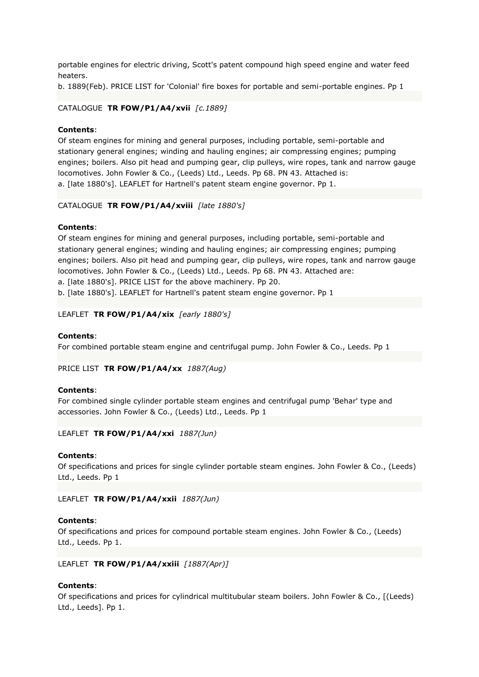portable engines for electric driving, Scott's patent compound high speed engine and water feed heaters.

b. 1889(Feb). PRICE LIST for 'Colonial' fire boxes for portable and semi-portable engines. Pp 1

### CATALOGUE **TR FOW/P1/A4/xvii** *[c.1889]*

### **Contents**:

Of steam engines for mining and general purposes, including portable, semi-portable and stationary general engines; winding and hauling engines; air compressing engines; pumping engines; boilers. Also pit head and pumping gear, clip pulleys, wire ropes, tank and narrow gauge locomotives. John Fowler & Co., (Leeds) Ltd., Leeds. Pp 68. PN 43. Attached is: a. [late 1880's]. LEAFLET for Hartnell's patent steam engine governor. Pp 1.

### CATALOGUE **TR FOW/P1/A4/xviii** *[late 1880's]*

### **Contents**:

Of steam engines for mining and general purposes, including portable, semi-portable and stationary general engines; winding and hauling engines; air compressing engines; pumping engines; boilers. Also pit head and pumping gear, clip pulleys, wire ropes, tank and narrow gauge locomotives. John Fowler & Co., (Leeds) Ltd., Leeds. Pp 68. PN 43. Attached are:

a. [late 1880's]. PRICE LIST for the above machinery. Pp 20.

b. [late 1880's]. LEAFLET for Hartnell's patent steam engine governor. Pp 1

## LEAFLET **TR FOW/P1/A4/xix** *[early 1880's]*

### **Contents**:

For combined portable steam engine and centrifugal pump. John Fowler & Co., Leeds. Pp 1

#### PRICE LIST **TR FOW/P1/A4/xx** *1887(Aug)*

#### **Contents**:

For combined single cylinder portable steam engines and centrifugal pump 'Behar' type and accessories. John Fowler & Co., (Leeds) Ltd., Leeds. Pp 1

#### LEAFLET **TR FOW/P1/A4/xxi** *1887(Jun)*

#### **Contents**:

Of specifications and prices for single cylinder portable steam engines. John Fowler & Co., (Leeds) Ltd., Leeds. Pp 1

LEAFLET **TR FOW/P1/A4/xxii** *1887(Jun)*

#### **Contents**:

Of specifications and prices for compound portable steam engines. John Fowler & Co., (Leeds) Ltd., Leeds. Pp 1.

#### LEAFLET **TR FOW/P1/A4/xxiii** *[1887(Apr)]*

# **Contents**:

Of specifications and prices for cylindrical multitubular steam boilers. John Fowler & Co., [(Leeds) Ltd., Leeds]. Pp 1.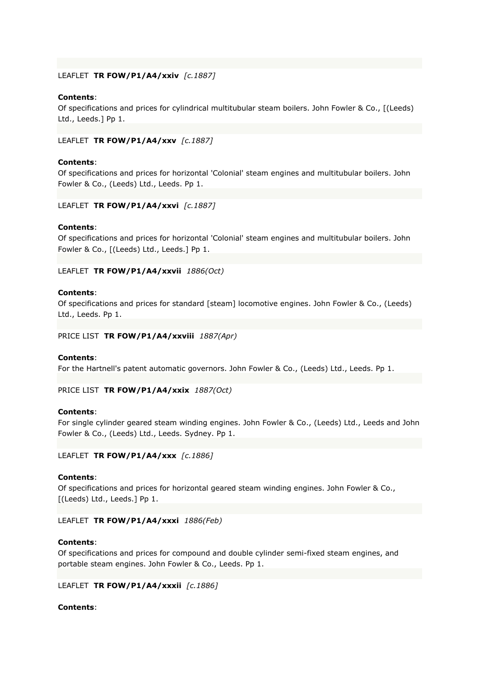# LEAFLET **TR FOW/P1/A4/xxiv** *[c.1887]*

## **Contents**:

Of specifications and prices for cylindrical multitubular steam boilers. John Fowler & Co., [(Leeds) Ltd., Leeds.] Pp 1.

### LEAFLET **TR FOW/P1/A4/xxv** *[c.1887]*

### **Contents**:

Of specifications and prices for horizontal 'Colonial' steam engines and multitubular boilers. John Fowler & Co., (Leeds) Ltd., Leeds. Pp 1.

### LEAFLET **TR FOW/P1/A4/xxvi** *[c.1887]*

### **Contents**:

Of specifications and prices for horizontal 'Colonial' steam engines and multitubular boilers. John Fowler & Co., [(Leeds) Ltd., Leeds.] Pp 1.

## LEAFLET **TR FOW/P1/A4/xxvii** *1886(Oct)*

### **Contents**:

Of specifications and prices for standard [steam] locomotive engines. John Fowler & Co., (Leeds) Ltd., Leeds. Pp 1.

### PRICE LIST **TR FOW/P1/A4/xxviii** *1887(Apr)*

### **Contents**:

For the Hartnell's patent automatic governors. John Fowler & Co., (Leeds) Ltd., Leeds. Pp 1.

PRICE LIST **TR FOW/P1/A4/xxix** *1887(Oct)*

### **Contents**:

For single cylinder geared steam winding engines. John Fowler & Co., (Leeds) Ltd., Leeds and John Fowler & Co., (Leeds) Ltd., Leeds. Sydney. Pp 1.

LEAFLET **TR FOW/P1/A4/xxx** *[c.1886]*

### **Contents**:

Of specifications and prices for horizontal geared steam winding engines. John Fowler & Co., [(Leeds) Ltd., Leeds.] Pp 1.

### LEAFLET **TR FOW/P1/A4/xxxi** *1886(Feb)*

### **Contents**:

Of specifications and prices for compound and double cylinder semi-fixed steam engines, and portable steam engines. John Fowler & Co., Leeds. Pp 1.

### LEAFLET **TR FOW/P1/A4/xxxii** *[c.1886]*

### **Contents**: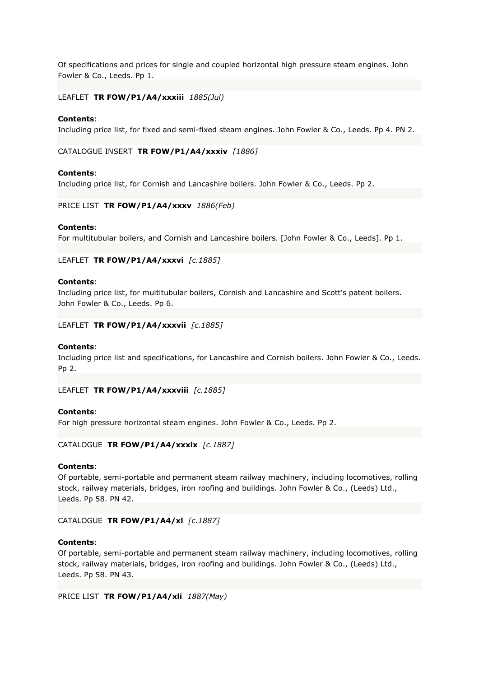Of specifications and prices for single and coupled horizontal high pressure steam engines. John Fowler & Co., Leeds. Pp 1.

## LEAFLET **TR FOW/P1/A4/xxxiii** *1885(Jul)*

#### **Contents**:

Including price list, for fixed and semi-fixed steam engines. John Fowler & Co., Leeds. Pp 4. PN 2.

CATALOGUE INSERT **TR FOW/P1/A4/xxxiv** *[1886]*

#### **Contents**:

Including price list, for Cornish and Lancashire boilers. John Fowler & Co., Leeds. Pp 2.

PRICE LIST **TR FOW/P1/A4/xxxv** *1886(Feb)*

#### **Contents**:

For multitubular boilers, and Cornish and Lancashire boilers. [John Fowler & Co., Leeds]. Pp 1.

### LEAFLET **TR FOW/P1/A4/xxxvi** *[c.1885]*

#### **Contents**:

Including price list, for multitubular boilers, Cornish and Lancashire and Scott's patent boilers. John Fowler & Co., Leeds. Pp 6.

LEAFLET **TR FOW/P1/A4/xxxvii** *[c.1885]*

#### **Contents**:

Including price list and specifications, for Lancashire and Cornish boilers. John Fowler & Co., Leeds. Pp 2.

LEAFLET **TR FOW/P1/A4/xxxviii** *[c.1885]*

#### **Contents**:

For high pressure horizontal steam engines. John Fowler & Co., Leeds. Pp 2.

# CATALOGUE **TR FOW/P1/A4/xxxix** *[c.1887]*

#### **Contents**:

Of portable, semi-portable and permanent steam railway machinery, including locomotives, rolling stock, railway materials, bridges, iron roofing and buildings. John Fowler & Co., (Leeds) Ltd., Leeds. Pp 58. PN 42.

#### CATALOGUE **TR FOW/P1/A4/xl** *[c.1887]*

### **Contents**:

Of portable, semi-portable and permanent steam railway machinery, including locomotives, rolling stock, railway materials, bridges, iron roofing and buildings. John Fowler & Co., (Leeds) Ltd., Leeds. Pp 58. PN 43.

PRICE LIST **TR FOW/P1/A4/xli** *1887(May)*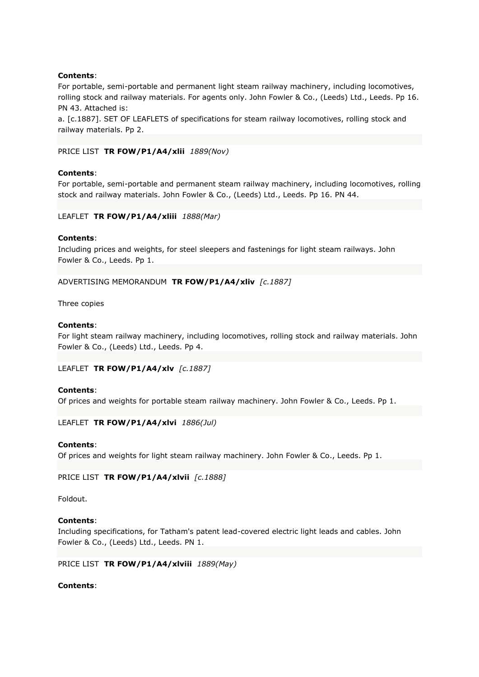For portable, semi-portable and permanent light steam railway machinery, including locomotives, rolling stock and railway materials. For agents only. John Fowler & Co., (Leeds) Ltd., Leeds. Pp 16. PN 43. Attached is:

a. [c.1887]. SET OF LEAFLETS of specifications for steam railway locomotives, rolling stock and railway materials. Pp 2.

PRICE LIST **TR FOW/P1/A4/xlii** *1889(Nov)*

### **Contents**:

For portable, semi-portable and permanent steam railway machinery, including locomotives, rolling stock and railway materials. John Fowler & Co., (Leeds) Ltd., Leeds. Pp 16. PN 44.

### LEAFLET **TR FOW/P1/A4/xliii** *1888(Mar)*

## **Contents**:

Including prices and weights, for steel sleepers and fastenings for light steam railways. John Fowler & Co., Leeds. Pp 1.

ADVERTISING MEMORANDUM **TR FOW/P1/A4/xliv** *[c.1887]*

Three copies

### **Contents**:

For light steam railway machinery, including locomotives, rolling stock and railway materials. John Fowler & Co., (Leeds) Ltd., Leeds. Pp 4.

LEAFLET **TR FOW/P1/A4/xlv** *[c.1887]*

### **Contents**:

Of prices and weights for portable steam railway machinery. John Fowler & Co., Leeds. Pp 1.

LEAFLET **TR FOW/P1/A4/xlvi** *1886(Jul)*

### **Contents**:

Of prices and weights for light steam railway machinery. John Fowler & Co., Leeds. Pp 1.

PRICE LIST **TR FOW/P1/A4/xlvii** *[c.1888]*

Foldout.

### **Contents**:

Including specifications, for Tatham's patent lead-covered electric light leads and cables. John Fowler & Co., (Leeds) Ltd., Leeds. PN 1.

PRICE LIST **TR FOW/P1/A4/xlviii** *1889(May)*

### **Contents**: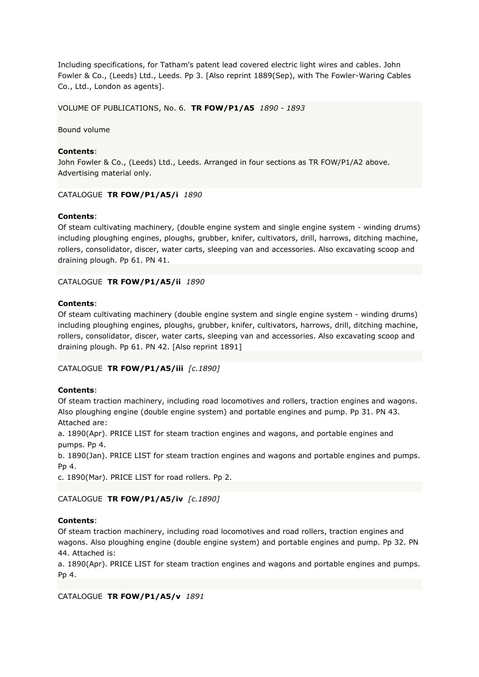Including specifications, for Tatham's patent lead covered electric light wires and cables. John Fowler & Co., (Leeds) Ltd., Leeds. Pp 3. [Also reprint 1889(Sep), with The Fowler-Waring Cables Co., Ltd., London as agents].

VOLUME OF PUBLICATIONS, No. 6. **TR FOW/P1/A5** *1890 - 1893*

Bound volume

# **Contents**:

John Fowler & Co., (Leeds) Ltd., Leeds. Arranged in four sections as TR FOW/P1/A2 above. Advertising material only.

## CATALOGUE **TR FOW/P1/A5/i** *1890*

## **Contents**:

Of steam cultivating machinery, (double engine system and single engine system - winding drums) including ploughing engines, ploughs, grubber, knifer, cultivators, drill, harrows, ditching machine, rollers, consolidator, discer, water carts, sleeping van and accessories. Also excavating scoop and draining plough. Pp 61. PN 41.

## CATALOGUE **TR FOW/P1/A5/ii** *1890*

## **Contents**:

Of steam cultivating machinery (double engine system and single engine system - winding drums) including ploughing engines, ploughs, grubber, knifer, cultivators, harrows, drill, ditching machine, rollers, consolidator, discer, water carts, sleeping van and accessories. Also excavating scoop and draining plough. Pp 61. PN 42. [Also reprint 1891]

# CATALOGUE **TR FOW/P1/A5/iii** *[c.1890]*

### **Contents**:

Of steam traction machinery, including road locomotives and rollers, traction engines and wagons. Also ploughing engine (double engine system) and portable engines and pump. Pp 31. PN 43. Attached are:

a. 1890(Apr). PRICE LIST for steam traction engines and wagons, and portable engines and pumps. Pp 4.

b. 1890(Jan). PRICE LIST for steam traction engines and wagons and portable engines and pumps. Pp 4.

c. 1890(Mar). PRICE LIST for road rollers. Pp 2.

# CATALOGUE **TR FOW/P1/A5/iv** *[c.1890]*

# **Contents**:

Of steam traction machinery, including road locomotives and road rollers, traction engines and wagons. Also ploughing engine (double engine system) and portable engines and pump. Pp 32. PN 44. Attached is:

a. 1890(Apr). PRICE LIST for steam traction engines and wagons and portable engines and pumps. Pp 4.

CATALOGUE **TR FOW/P1/A5/v** *1891*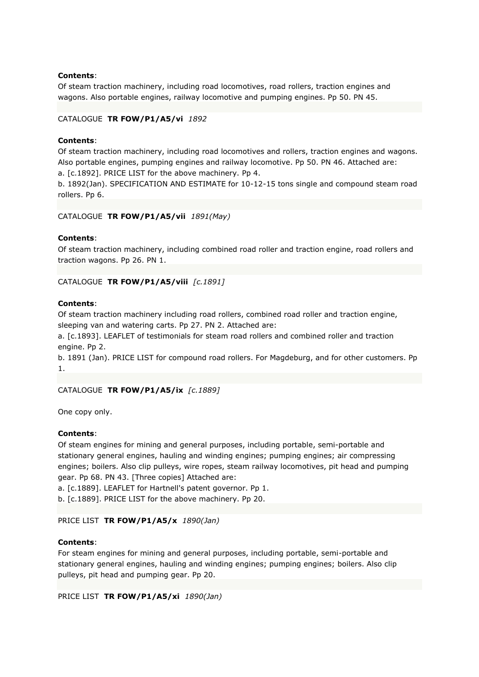Of steam traction machinery, including road locomotives, road rollers, traction engines and wagons. Also portable engines, railway locomotive and pumping engines. Pp 50. PN 45.

## CATALOGUE **TR FOW/P1/A5/vi** *1892*

# **Contents**:

Of steam traction machinery, including road locomotives and rollers, traction engines and wagons. Also portable engines, pumping engines and railway locomotive. Pp 50. PN 46. Attached are:

a. [c.1892]. PRICE LIST for the above machinery. Pp 4.

b. 1892(Jan). SPECIFICATION AND ESTIMATE for 10-12-15 tons single and compound steam road rollers. Pp 6.

## CATALOGUE **TR FOW/P1/A5/vii** *1891(May)*

## **Contents**:

Of steam traction machinery, including combined road roller and traction engine, road rollers and traction wagons. Pp 26. PN 1.

CATALOGUE **TR FOW/P1/A5/viii** *[c.1891]*

## **Contents**:

Of steam traction machinery including road rollers, combined road roller and traction engine, sleeping van and watering carts. Pp 27. PN 2. Attached are:

a. [c.1893]. LEAFLET of testimonials for steam road rollers and combined roller and traction engine. Pp 2.

b. 1891 (Jan). PRICE LIST for compound road rollers. For Magdeburg, and for other customers. Pp 1.

### CATALOGUE **TR FOW/P1/A5/ix** *[c.1889]*

One copy only.

### **Contents**:

Of steam engines for mining and general purposes, including portable, semi-portable and stationary general engines, hauling and winding engines; pumping engines; air compressing engines; boilers. Also clip pulleys, wire ropes, steam railway locomotives, pit head and pumping gear. Pp 68. PN 43. [Three copies] Attached are:

a. [c.1889]. LEAFLET for Hartnell's patent governor. Pp 1.

b. [c.1889]. PRICE LIST for the above machinery. Pp 20.

# PRICE LIST **TR FOW/P1/A5/x** *1890(Jan)*

### **Contents**:

For steam engines for mining and general purposes, including portable, semi-portable and stationary general engines, hauling and winding engines; pumping engines; boilers. Also clip pulleys, pit head and pumping gear. Pp 20.

```
PRICE LIST TR FOW/P1/A5/xi 1890(Jan)
```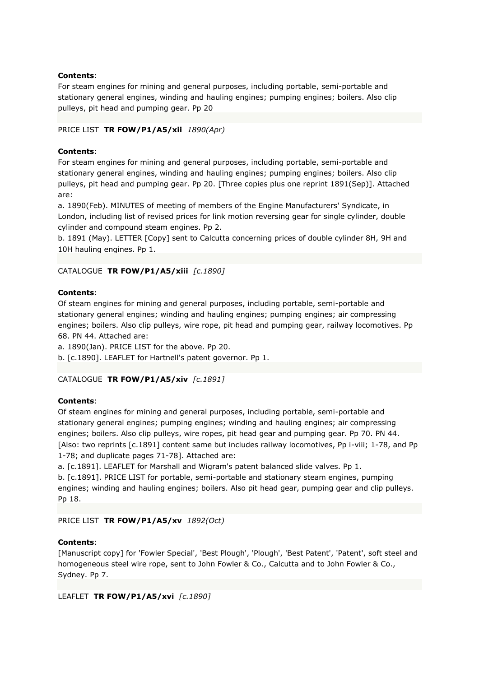For steam engines for mining and general purposes, including portable, semi-portable and stationary general engines, winding and hauling engines; pumping engines; boilers. Also clip pulleys, pit head and pumping gear. Pp 20

# PRICE LIST **TR FOW/P1/A5/xii** *1890(Apr)*

# **Contents**:

For steam engines for mining and general purposes, including portable, semi-portable and stationary general engines, winding and hauling engines; pumping engines; boilers. Also clip pulleys, pit head and pumping gear. Pp 20. [Three copies plus one reprint 1891(Sep)]. Attached are:

a. 1890(Feb). MINUTES of meeting of members of the Engine Manufacturers' Syndicate, in London, including list of revised prices for link motion reversing gear for single cylinder, double cylinder and compound steam engines. Pp 2.

b. 1891 (May). LETTER [Copy] sent to Calcutta concerning prices of double cylinder 8H, 9H and 10H hauling engines. Pp 1.

# CATALOGUE **TR FOW/P1/A5/xiii** *[c.1890]*

# **Contents**:

Of steam engines for mining and general purposes, including portable, semi-portable and stationary general engines; winding and hauling engines; pumping engines; air compressing engines; boilers. Also clip pulleys, wire rope, pit head and pumping gear, railway locomotives. Pp 68. PN 44. Attached are:

a. 1890(Jan). PRICE LIST for the above. Pp 20.

b. [c.1890]. LEAFLET for Hartnell's patent governor. Pp 1.

# CATALOGUE **TR FOW/P1/A5/xiv** *[c.1891]*

# **Contents**:

Of steam engines for mining and general purposes, including portable, semi-portable and stationary general engines; pumping engines; winding and hauling engines; air compressing engines; boilers. Also clip pulleys, wire ropes, pit head gear and pumping gear. Pp 70. PN 44. [Also: two reprints [c.1891] content same but includes railway locomotives, Pp i-viii; 1-78, and Pp 1-78; and duplicate pages 71-78]. Attached are:

a. [c.1891]. LEAFLET for Marshall and Wigram's patent balanced slide valves. Pp 1.

b. [c.1891]. PRICE LIST for portable, semi-portable and stationary steam engines, pumping engines; winding and hauling engines; boilers. Also pit head gear, pumping gear and clip pulleys. Pp 18.

# PRICE LIST **TR FOW/P1/A5/xv** *1892(Oct)*

# **Contents**:

[Manuscript copy] for 'Fowler Special', 'Best Plough', 'Plough', 'Best Patent', 'Patent', soft steel and homogeneous steel wire rope, sent to John Fowler & Co., Calcutta and to John Fowler & Co., Sydney. Pp 7.

LEAFLET **TR FOW/P1/A5/xvi** *[c.1890]*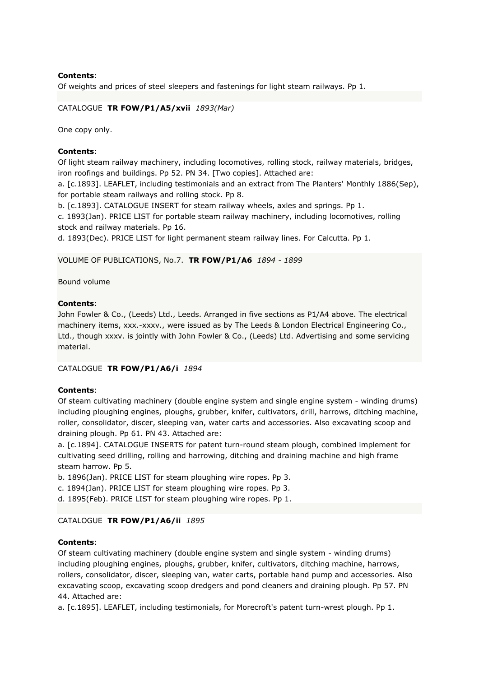Of weights and prices of steel sleepers and fastenings for light steam railways. Pp 1.

# CATALOGUE **TR FOW/P1/A5/xvii** *1893(Mar)*

One copy only.

## **Contents**:

Of light steam railway machinery, including locomotives, rolling stock, railway materials, bridges, iron roofings and buildings. Pp 52. PN 34. [Two copies]. Attached are:

a. [c.1893]. LEAFLET, including testimonials and an extract from The Planters' Monthly 1886(Sep), for portable steam railways and rolling stock. Pp 8.

b. [c.1893]. CATALOGUE INSERT for steam railway wheels, axles and springs. Pp 1.

c. 1893(Jan). PRICE LIST for portable steam railway machinery, including locomotives, rolling stock and railway materials. Pp 16.

d. 1893(Dec). PRICE LIST for light permanent steam railway lines. For Calcutta. Pp 1.

## VOLUME OF PUBLICATIONS, No.7. **TR FOW/P1/A6** *1894 - 1899*

Bound volume

## **Contents**:

John Fowler & Co., (Leeds) Ltd., Leeds. Arranged in five sections as P1/A4 above. The electrical machinery items, xxx.-xxxv., were issued as by The Leeds & London Electrical Engineering Co., Ltd., though xxxv. is jointly with John Fowler & Co., (Leeds) Ltd. Advertising and some servicing material.

# CATALOGUE **TR FOW/P1/A6/i** *1894*

#### **Contents**:

Of steam cultivating machinery (double engine system and single engine system - winding drums) including ploughing engines, ploughs, grubber, knifer, cultivators, drill, harrows, ditching machine, roller, consolidator, discer, sleeping van, water carts and accessories. Also excavating scoop and draining plough. Pp 61. PN 43. Attached are:

a. [c.1894]. CATALOGUE INSERTS for patent turn-round steam plough, combined implement for cultivating seed drilling, rolling and harrowing, ditching and draining machine and high frame steam harrow. Pp 5.

b. 1896(Jan). PRICE LIST for steam ploughing wire ropes. Pp 3.

c. 1894(Jan). PRICE LIST for steam ploughing wire ropes. Pp 3.

d. 1895(Feb). PRICE LIST for steam ploughing wire ropes. Pp 1.

# CATALOGUE **TR FOW/P1/A6/ii** *1895*

#### **Contents**:

Of steam cultivating machinery (double engine system and single system - winding drums) including ploughing engines, ploughs, grubber, knifer, cultivators, ditching machine, harrows, rollers, consolidator, discer, sleeping van, water carts, portable hand pump and accessories. Also excavating scoop, excavating scoop dredgers and pond cleaners and draining plough. Pp 57. PN 44. Attached are:

a. [c.1895]. LEAFLET, including testimonials, for Morecroft's patent turn-wrest plough. Pp 1.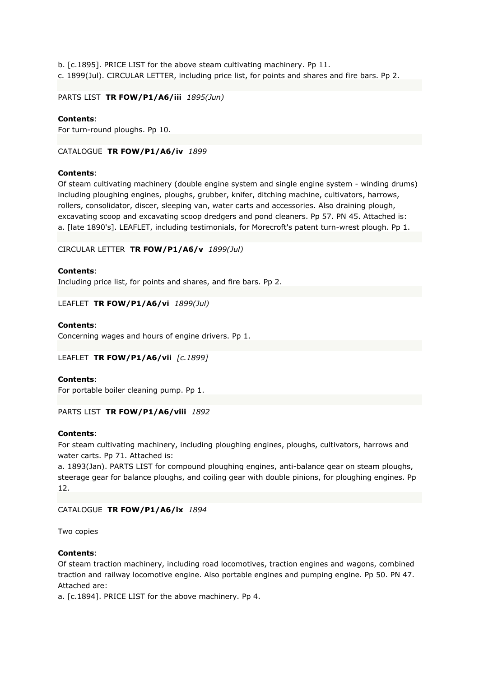b. [c.1895]. PRICE LIST for the above steam cultivating machinery. Pp 11. c. 1899(Jul). CIRCULAR LETTER, including price list, for points and shares and fire bars. Pp 2.

PARTS LIST **TR FOW/P1/A6/iii** *1895(Jun)*

# **Contents**:

For turn-round ploughs. Pp 10.

CATALOGUE **TR FOW/P1/A6/iv** *1899*

# **Contents**:

Of steam cultivating machinery (double engine system and single engine system - winding drums) including ploughing engines, ploughs, grubber, knifer, ditching machine, cultivators, harrows, rollers, consolidator, discer, sleeping van, water carts and accessories. Also draining plough, excavating scoop and excavating scoop dredgers and pond cleaners. Pp 57. PN 45. Attached is: a. [late 1890's]. LEAFLET, including testimonials, for Morecroft's patent turn-wrest plough. Pp 1.

## CIRCULAR LETTER **TR FOW/P1/A6/v** *1899(Jul)*

## **Contents**:

Including price list, for points and shares, and fire bars. Pp 2.

LEAFLET **TR FOW/P1/A6/vi** *1899(Jul)*

## **Contents**:

Concerning wages and hours of engine drivers. Pp 1.

# LEAFLET **TR FOW/P1/A6/vii** *[c.1899]*

# **Contents**:

For portable boiler cleaning pump. Pp 1.

# PARTS LIST **TR FOW/P1/A6/viii** *1892*

#### **Contents**:

For steam cultivating machinery, including ploughing engines, ploughs, cultivators, harrows and water carts. Pp 71. Attached is:

a. 1893(Jan). PARTS LIST for compound ploughing engines, anti-balance gear on steam ploughs, steerage gear for balance ploughs, and coiling gear with double pinions, for ploughing engines. Pp 12.

# CATALOGUE **TR FOW/P1/A6/ix** *1894*

Two copies

# **Contents**:

Of steam traction machinery, including road locomotives, traction engines and wagons, combined traction and railway locomotive engine. Also portable engines and pumping engine. Pp 50. PN 47. Attached are:

a. [c.1894]. PRICE LIST for the above machinery. Pp 4.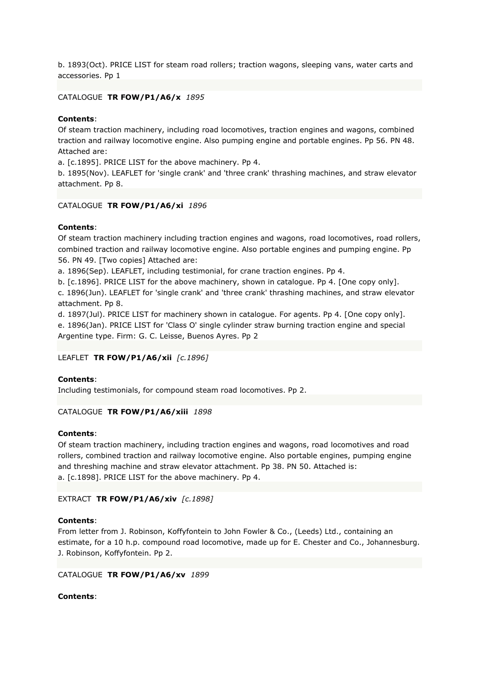b. 1893(Oct). PRICE LIST for steam road rollers; traction wagons, sleeping vans, water carts and accessories. Pp 1

# CATALOGUE **TR FOW/P1/A6/x** *1895*

#### **Contents**:

Of steam traction machinery, including road locomotives, traction engines and wagons, combined traction and railway locomotive engine. Also pumping engine and portable engines. Pp 56. PN 48. Attached are:

a. [c.1895]. PRICE LIST for the above machinery. Pp 4.

b. 1895(Nov). LEAFLET for 'single crank' and 'three crank' thrashing machines, and straw elevator attachment. Pp 8.

#### CATALOGUE **TR FOW/P1/A6/xi** *1896*

#### **Contents**:

Of steam traction machinery including traction engines and wagons, road locomotives, road rollers, combined traction and railway locomotive engine. Also portable engines and pumping engine. Pp 56. PN 49. [Two copies] Attached are:

a. 1896(Sep). LEAFLET, including testimonial, for crane traction engines. Pp 4.

b. [c.1896]. PRICE LIST for the above machinery, shown in catalogue. Pp 4. [One copy only].

c. 1896(Jun). LEAFLET for 'single crank' and 'three crank' thrashing machines, and straw elevator attachment. Pp 8.

d. 1897(Jul). PRICE LIST for machinery shown in catalogue. For agents. Pp 4. [One copy only]. e. 1896(Jan). PRICE LIST for 'Class O' single cylinder straw burning traction engine and special Argentine type. Firm: G. C. Leisse, Buenos Ayres. Pp 2

#### LEAFLET **TR FOW/P1/A6/xii** *[c.1896]*

#### **Contents**:

Including testimonials, for compound steam road locomotives. Pp 2.

#### CATALOGUE **TR FOW/P1/A6/xiii** *1898*

#### **Contents**:

Of steam traction machinery, including traction engines and wagons, road locomotives and road rollers, combined traction and railway locomotive engine. Also portable engines, pumping engine and threshing machine and straw elevator attachment. Pp 38. PN 50. Attached is: a. [c.1898]. PRICE LIST for the above machinery. Pp 4.

#### EXTRACT **TR FOW/P1/A6/xiv** *[c.1898]*

#### **Contents**:

From letter from J. Robinson, Koffyfontein to John Fowler & Co., (Leeds) Ltd., containing an estimate, for a 10 h.p. compound road locomotive, made up for E. Chester and Co., Johannesburg. J. Robinson, Koffyfontein. Pp 2.

#### CATALOGUE **TR FOW/P1/A6/xv** *1899*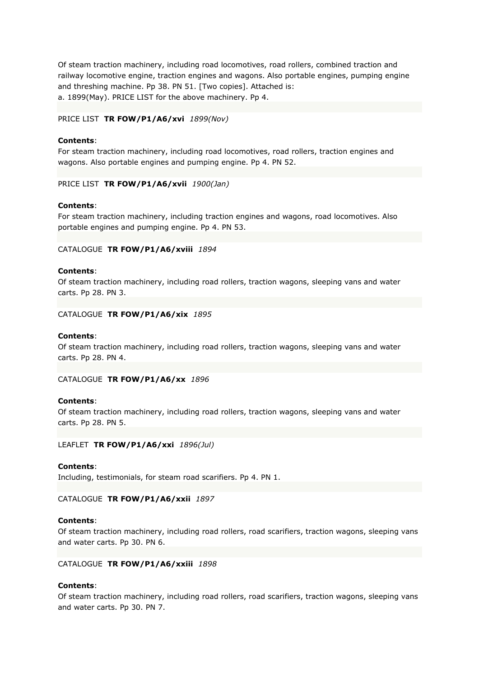Of steam traction machinery, including road locomotives, road rollers, combined traction and railway locomotive engine, traction engines and wagons. Also portable engines, pumping engine and threshing machine. Pp 38. PN 51. [Two copies]. Attached is: a. 1899(May). PRICE LIST for the above machinery. Pp 4.

#### PRICE LIST **TR FOW/P1/A6/xvi** *1899(Nov)*

## **Contents**:

For steam traction machinery, including road locomotives, road rollers, traction engines and wagons. Also portable engines and pumping engine. Pp 4. PN 52.

PRICE LIST **TR FOW/P1/A6/xvii** *1900(Jan)*

#### **Contents**:

For steam traction machinery, including traction engines and wagons, road locomotives. Also portable engines and pumping engine. Pp 4. PN 53.

#### CATALOGUE **TR FOW/P1/A6/xviii** *1894*

#### **Contents**:

Of steam traction machinery, including road rollers, traction wagons, sleeping vans and water carts. Pp 28. PN 3.

## CATALOGUE **TR FOW/P1/A6/xix** *1895*

## **Contents**:

Of steam traction machinery, including road rollers, traction wagons, sleeping vans and water carts. Pp 28. PN 4.

# CATALOGUE **TR FOW/P1/A6/xx** *1896*

#### **Contents**:

Of steam traction machinery, including road rollers, traction wagons, sleeping vans and water carts. Pp 28. PN 5.

LEAFLET **TR FOW/P1/A6/xxi** *1896(Jul)*

#### **Contents**:

Including, testimonials, for steam road scarifiers. Pp 4. PN 1.

# CATALOGUE **TR FOW/P1/A6/xxii** *1897*

#### **Contents**:

Of steam traction machinery, including road rollers, road scarifiers, traction wagons, sleeping vans and water carts. Pp 30. PN 6.

#### CATALOGUE **TR FOW/P1/A6/xxiii** *1898*

#### **Contents**:

Of steam traction machinery, including road rollers, road scarifiers, traction wagons, sleeping vans and water carts. Pp 30. PN 7.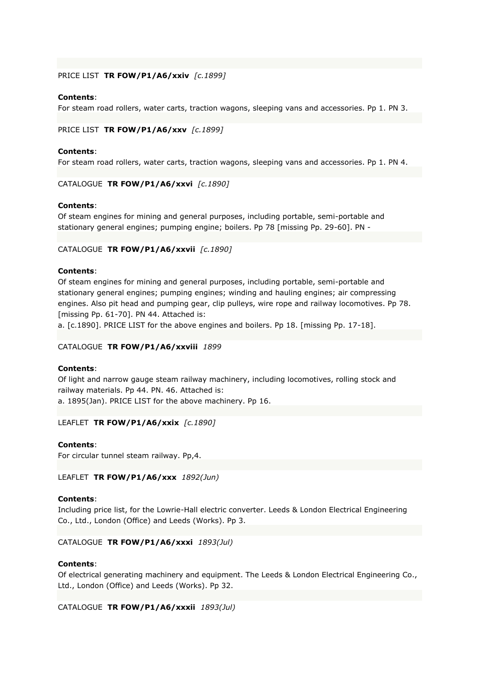#### PRICE LIST **TR FOW/P1/A6/xxiv** *[c.1899]*

## **Contents**:

For steam road rollers, water carts, traction wagons, sleeping vans and accessories. Pp 1. PN 3.

## PRICE LIST **TR FOW/P1/A6/xxv** *[c.1899]*

## **Contents**:

For steam road rollers, water carts, traction wagons, sleeping vans and accessories. Pp 1. PN 4.

CATALOGUE **TR FOW/P1/A6/xxvi** *[c.1890]*

## **Contents**:

Of steam engines for mining and general purposes, including portable, semi-portable and stationary general engines; pumping engine; boilers. Pp 78 [missing Pp. 29-60]. PN -

## CATALOGUE **TR FOW/P1/A6/xxvii** *[c.1890]*

## **Contents**:

Of steam engines for mining and general purposes, including portable, semi-portable and stationary general engines; pumping engines; winding and hauling engines; air compressing engines. Also pit head and pumping gear, clip pulleys, wire rope and railway locomotives. Pp 78. [missing Pp. 61-70]. PN 44. Attached is:

a. [c.1890]. PRICE LIST for the above engines and boilers. Pp 18. [missing Pp. 17-18].

# CATALOGUE **TR FOW/P1/A6/xxviii** *1899*

#### **Contents**:

Of light and narrow gauge steam railway machinery, including locomotives, rolling stock and railway materials. Pp 44. PN. 46. Attached is: a. 1895(Jan). PRICE LIST for the above machinery. Pp 16.

LEAFLET **TR FOW/P1/A6/xxix** *[c.1890]*

# **Contents**:

For circular tunnel steam railway. Pp,4.

LEAFLET **TR FOW/P1/A6/xxx** *1892(Jun)*

#### **Contents**:

Including price list, for the Lowrie-Hall electric converter. Leeds & London Electrical Engineering Co., Ltd., London (Office) and Leeds (Works). Pp 3.

# CATALOGUE **TR FOW/P1/A6/xxxi** *1893(Jul)*

# **Contents**:

Of electrical generating machinery and equipment. The Leeds & London Electrical Engineering Co., Ltd., London (Office) and Leeds (Works). Pp 32.

CATALOGUE **TR FOW/P1/A6/xxxii** *1893(Jul)*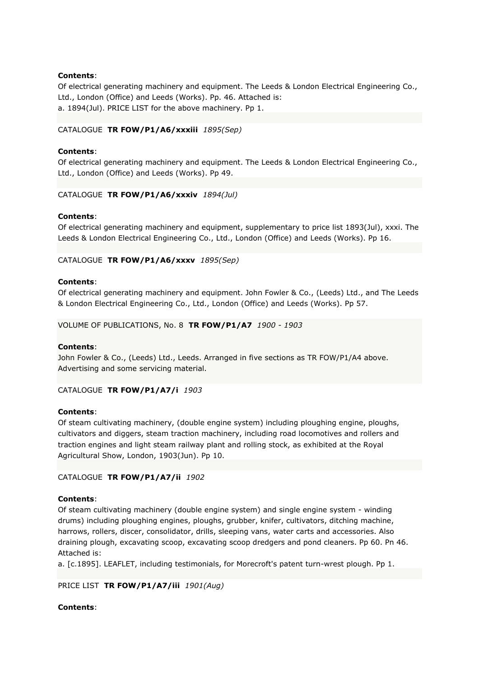Of electrical generating machinery and equipment. The Leeds & London Electrical Engineering Co., Ltd., London (Office) and Leeds (Works). Pp. 46. Attached is: a. 1894(Jul). PRICE LIST for the above machinery. Pp 1.

## CATALOGUE **TR FOW/P1/A6/xxxiii** *1895(Sep)*

## **Contents**:

Of electrical generating machinery and equipment. The Leeds & London Electrical Engineering Co., Ltd., London (Office) and Leeds (Works). Pp 49.

CATALOGUE **TR FOW/P1/A6/xxxiv** *1894(Jul)*

## **Contents**:

Of electrical generating machinery and equipment, supplementary to price list 1893(Jul), xxxi. The Leeds & London Electrical Engineering Co., Ltd., London (Office) and Leeds (Works). Pp 16.

## CATALOGUE **TR FOW/P1/A6/xxxv** *1895(Sep)*

#### **Contents**:

Of electrical generating machinery and equipment. John Fowler & Co., (Leeds) Ltd., and The Leeds & London Electrical Engineering Co., Ltd., London (Office) and Leeds (Works). Pp 57.

VOLUME OF PUBLICATIONS, No. 8 **TR FOW/P1/A7** *1900 - 1903*

#### **Contents**:

John Fowler & Co., (Leeds) Ltd., Leeds. Arranged in five sections as TR FOW/P1/A4 above. Advertising and some servicing material.

CATALOGUE **TR FOW/P1/A7/i** *1903*

#### **Contents**:

Of steam cultivating machinery, (double engine system) including ploughing engine, ploughs, cultivators and diggers, steam traction machinery, including road locomotives and rollers and traction engines and light steam railway plant and rolling stock, as exhibited at the Royal Agricultural Show, London, 1903(Jun). Pp 10.

#### CATALOGUE **TR FOW/P1/A7/ii** *1902*

#### **Contents**:

Of steam cultivating machinery (double engine system) and single engine system - winding drums) including ploughing engines, ploughs, grubber, knifer, cultivators, ditching machine, harrows, rollers, discer, consolidator, drills, sleeping vans, water carts and accessories. Also draining plough, excavating scoop, excavating scoop dredgers and pond cleaners. Pp 60. Pn 46. Attached is:

a. [c.1895]. LEAFLET, including testimonials, for Morecroft's patent turn-wrest plough. Pp 1.

PRICE LIST **TR FOW/P1/A7/iii** *1901(Aug)*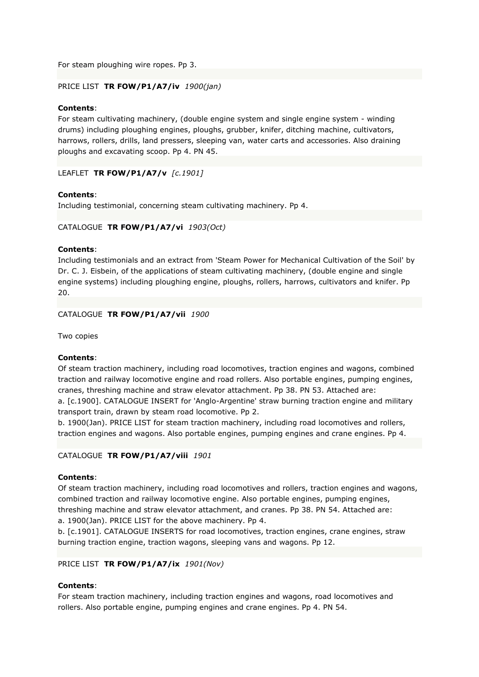For steam ploughing wire ropes. Pp 3.

## PRICE LIST **TR FOW/P1/A7/iv** *1900(jan)*

## **Contents**:

For steam cultivating machinery, (double engine system and single engine system - winding drums) including ploughing engines, ploughs, grubber, knifer, ditching machine, cultivators, harrows, rollers, drills, land pressers, sleeping van, water carts and accessories. Also draining ploughs and excavating scoop. Pp 4. PN 45.

LEAFLET **TR FOW/P1/A7/v** *[c.1901]*

## **Contents**:

Including testimonial, concerning steam cultivating machinery. Pp 4.

## CATALOGUE **TR FOW/P1/A7/vi** *1903(Oct)*

#### **Contents**:

Including testimonials and an extract from 'Steam Power for Mechanical Cultivation of the Soil' by Dr. C. J. Eisbein, of the applications of steam cultivating machinery, (double engine and single engine systems) including ploughing engine, ploughs, rollers, harrows, cultivators and knifer. Pp 20.

## CATALOGUE **TR FOW/P1/A7/vii** *1900*

Two copies

#### **Contents**:

Of steam traction machinery, including road locomotives, traction engines and wagons, combined traction and railway locomotive engine and road rollers. Also portable engines, pumping engines, cranes, threshing machine and straw elevator attachment. Pp 38. PN 53. Attached are:

a. [c.1900]. CATALOGUE INSERT for 'Anglo-Argentine' straw burning traction engine and military transport train, drawn by steam road locomotive. Pp 2.

b. 1900(Jan). PRICE LIST for steam traction machinery, including road locomotives and rollers, traction engines and wagons. Also portable engines, pumping engines and crane engines. Pp 4.

#### CATALOGUE **TR FOW/P1/A7/viii** *1901*

#### **Contents**:

Of steam traction machinery, including road locomotives and rollers, traction engines and wagons, combined traction and railway locomotive engine. Also portable engines, pumping engines, threshing machine and straw elevator attachment, and cranes. Pp 38. PN 54. Attached are: a. 1900(Jan). PRICE LIST for the above machinery. Pp 4.

b. [c.1901]. CATALOGUE INSERTS for road locomotives, traction engines, crane engines, straw burning traction engine, traction wagons, sleeping vans and wagons. Pp 12.

#### PRICE LIST **TR FOW/P1/A7/ix** *1901(Nov)*

# **Contents**:

For steam traction machinery, including traction engines and wagons, road locomotives and rollers. Also portable engine, pumping engines and crane engines. Pp 4. PN 54.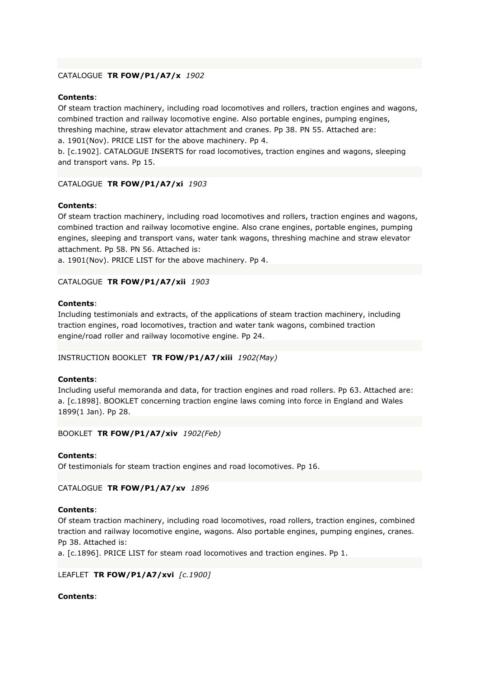# CATALOGUE **TR FOW/P1/A7/x** *1902*

# **Contents**:

Of steam traction machinery, including road locomotives and rollers, traction engines and wagons, combined traction and railway locomotive engine. Also portable engines, pumping engines, threshing machine, straw elevator attachment and cranes. Pp 38. PN 55. Attached are:

a. 1901(Nov). PRICE LIST for the above machinery. Pp 4. b. [c.1902]. CATALOGUE INSERTS for road locomotives, traction engines and wagons, sleeping

and transport vans. Pp 15.

# CATALOGUE **TR FOW/P1/A7/xi** *1903*

# **Contents**:

Of steam traction machinery, including road locomotives and rollers, traction engines and wagons, combined traction and railway locomotive engine. Also crane engines, portable engines, pumping engines, sleeping and transport vans, water tank wagons, threshing machine and straw elevator attachment. Pp 58. PN 56. Attached is:

a. 1901(Nov). PRICE LIST for the above machinery. Pp 4.

# CATALOGUE **TR FOW/P1/A7/xii** *1903*

# **Contents**:

Including testimonials and extracts, of the applications of steam traction machinery, including traction engines, road locomotives, traction and water tank wagons, combined traction engine/road roller and railway locomotive engine. Pp 24.

# INSTRUCTION BOOKLET **TR FOW/P1/A7/xiii** *1902(May)*

# **Contents**:

Including useful memoranda and data, for traction engines and road rollers. Pp 63. Attached are: a. [c.1898]. BOOKLET concerning traction engine laws coming into force in England and Wales 1899(1 Jan). Pp 28.

# BOOKLET **TR FOW/P1/A7/xiv** *1902(Feb)*

# **Contents**:

Of testimonials for steam traction engines and road locomotives. Pp 16.

CATALOGUE **TR FOW/P1/A7/xv** *1896*

# **Contents**:

Of steam traction machinery, including road locomotives, road rollers, traction engines, combined traction and railway locomotive engine, wagons. Also portable engines, pumping engines, cranes. Pp 38. Attached is:

a. [c.1896]. PRICE LIST for steam road locomotives and traction engines. Pp 1.

# LEAFLET **TR FOW/P1/A7/xvi** *[c.1900]*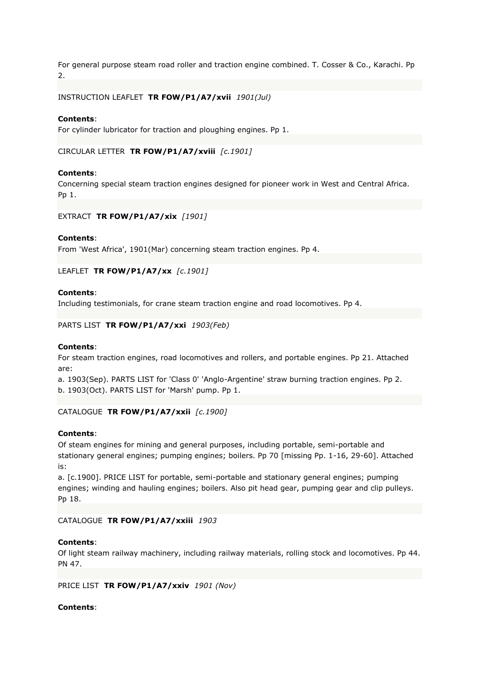For general purpose steam road roller and traction engine combined. T. Cosser & Co., Karachi. Pp 2.

INSTRUCTION LEAFLET **TR FOW/P1/A7/xvii** *1901(Jul)*

#### **Contents**:

For cylinder lubricator for traction and ploughing engines. Pp 1.

CIRCULAR LETTER **TR FOW/P1/A7/xviii** *[c.1901]*

#### **Contents**:

Concerning special steam traction engines designed for pioneer work in West and Central Africa. Pp 1.

#### EXTRACT **TR FOW/P1/A7/xix** *[1901]*

#### **Contents**:

From 'West Africa', 1901(Mar) concerning steam traction engines. Pp 4.

LEAFLET **TR FOW/P1/A7/xx** *[c.1901]*

#### **Contents**:

Including testimonials, for crane steam traction engine and road locomotives. Pp 4.

PARTS LIST **TR FOW/P1/A7/xxi** *1903(Feb)*

#### **Contents**:

For steam traction engines, road locomotives and rollers, and portable engines. Pp 21. Attached are:

a. 1903(Sep). PARTS LIST for 'Class 0' 'Anglo-Argentine' straw burning traction engines. Pp 2. b. 1903(Oct). PARTS LIST for 'Marsh' pump. Pp 1.

#### CATALOGUE **TR FOW/P1/A7/xxii** *[c.1900]*

#### **Contents**:

Of steam engines for mining and general purposes, including portable, semi-portable and stationary general engines; pumping engines; boilers. Pp 70 [missing Pp. 1-16, 29-60]. Attached is:

a. [c.1900]. PRICE LIST for portable, semi-portable and stationary general engines; pumping engines; winding and hauling engines; boilers. Also pit head gear, pumping gear and clip pulleys. Pp 18.

#### CATALOGUE **TR FOW/P1/A7/xxiii** *1903*

## **Contents**:

Of light steam railway machinery, including railway materials, rolling stock and locomotives. Pp 44. PN 47.

#### PRICE LIST **TR FOW/P1/A7/xxiv** *1901 (Nov)*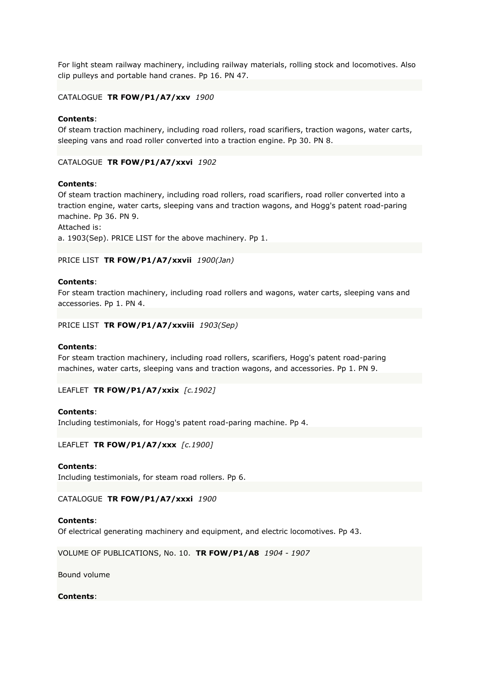For light steam railway machinery, including railway materials, rolling stock and locomotives. Also clip pulleys and portable hand cranes. Pp 16. PN 47.

# CATALOGUE **TR FOW/P1/A7/xxv** *1900*

#### **Contents**:

Of steam traction machinery, including road rollers, road scarifiers, traction wagons, water carts, sleeping vans and road roller converted into a traction engine. Pp 30. PN 8.

#### CATALOGUE **TR FOW/P1/A7/xxvi** *1902*

#### **Contents**:

Of steam traction machinery, including road rollers, road scarifiers, road roller converted into a traction engine, water carts, sleeping vans and traction wagons, and Hogg's patent road-paring machine. Pp 36. PN 9.

Attached is:

a. 1903(Sep). PRICE LIST for the above machinery. Pp 1.

#### PRICE LIST **TR FOW/P1/A7/xxvii** *1900(Jan)*

#### **Contents**:

For steam traction machinery, including road rollers and wagons, water carts, sleeping vans and accessories. Pp 1. PN 4.

#### PRICE LIST **TR FOW/P1/A7/xxviii** *1903(Sep)*

#### **Contents**:

For steam traction machinery, including road rollers, scarifiers, Hogg's patent road-paring machines, water carts, sleeping vans and traction wagons, and accessories. Pp 1. PN 9.

LEAFLET **TR FOW/P1/A7/xxix** *[c.1902]*

#### **Contents**:

Including testimonials, for Hogg's patent road-paring machine. Pp 4.

LEAFLET **TR FOW/P1/A7/xxx** *[c.1900]*

#### **Contents**:

Including testimonials, for steam road rollers. Pp 6.

CATALOGUE **TR FOW/P1/A7/xxxi** *1900*

#### **Contents**:

Of electrical generating machinery and equipment, and electric locomotives. Pp 43.

VOLUME OF PUBLICATIONS, No. 10. **TR FOW/P1/A8** *1904 - 1907*

Bound volume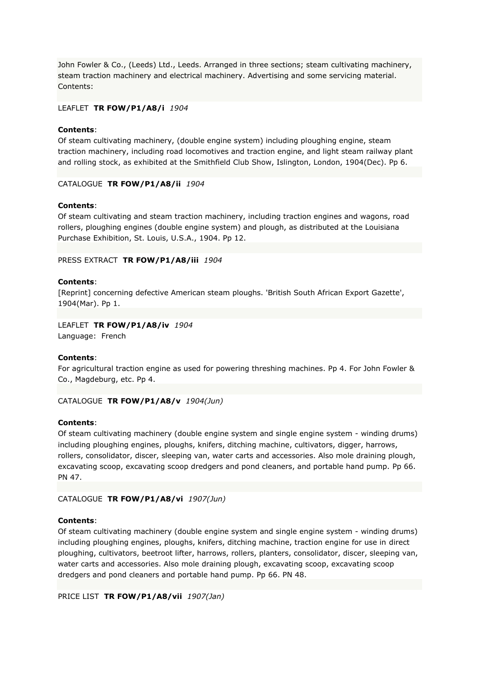John Fowler & Co., (Leeds) Ltd., Leeds. Arranged in three sections; steam cultivating machinery, steam traction machinery and electrical machinery. Advertising and some servicing material. Contents:

## LEAFLET **TR FOW/P1/A8/i** *1904*

## **Contents**:

Of steam cultivating machinery, (double engine system) including ploughing engine, steam traction machinery, including road locomotives and traction engine, and light steam railway plant and rolling stock, as exhibited at the Smithfield Club Show, Islington, London, 1904(Dec). Pp 6.

## CATALOGUE **TR FOW/P1/A8/ii** *1904*

## **Contents**:

Of steam cultivating and steam traction machinery, including traction engines and wagons, road rollers, ploughing engines (double engine system) and plough, as distributed at the Louisiana Purchase Exhibition, St. Louis, U.S.A., 1904. Pp 12.

## PRESS EXTRACT **TR FOW/P1/A8/iii** *1904*

## **Contents**:

[Reprint] concerning defective American steam ploughs. 'British South African Export Gazette', 1904(Mar). Pp 1.

# LEAFLET **TR FOW/P1/A8/iv** *1904*

Language: French

#### **Contents**:

For agricultural traction engine as used for powering threshing machines. Pp 4. For John Fowler & Co., Magdeburg, etc. Pp 4.

# CATALOGUE **TR FOW/P1/A8/v** *1904(Jun)*

#### **Contents**:

Of steam cultivating machinery (double engine system and single engine system - winding drums) including ploughing engines, ploughs, knifers, ditching machine, cultivators, digger, harrows, rollers, consolidator, discer, sleeping van, water carts and accessories. Also mole draining plough, excavating scoop, excavating scoop dredgers and pond cleaners, and portable hand pump. Pp 66. PN 47.

#### CATALOGUE **TR FOW/P1/A8/vi** *1907(Jun)*

# **Contents**:

Of steam cultivating machinery (double engine system and single engine system - winding drums) including ploughing engines, ploughs, knifers, ditching machine, traction engine for use in direct ploughing, cultivators, beetroot lifter, harrows, rollers, planters, consolidator, discer, sleeping van, water carts and accessories. Also mole draining plough, excavating scoop, excavating scoop dredgers and pond cleaners and portable hand pump. Pp 66. PN 48.

PRICE LIST **TR FOW/P1/A8/vii** *1907(Jan)*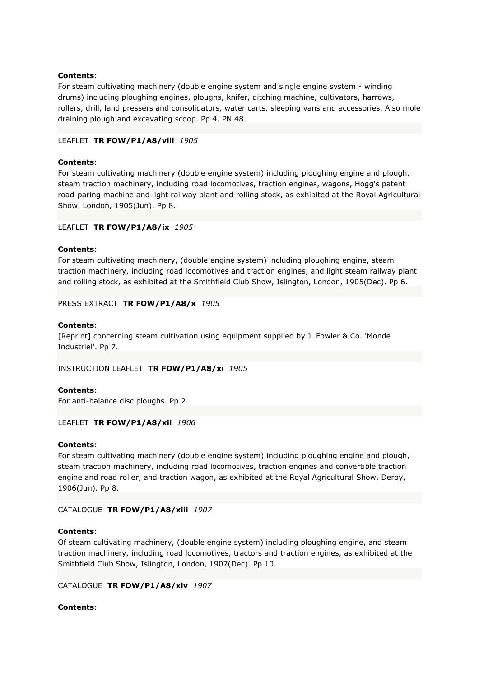For steam cultivating machinery (double engine system and single engine system - winding drums) including ploughing engines, ploughs, knifer, ditching machine, cultivators, harrows, rollers, drill, land pressers and consolidators, water carts, sleeping vans and accessories. Also mole draining plough and excavating scoop. Pp 4. PN 48.

## LEAFLET **TR FOW/P1/A8/viii** *1905*

## **Contents**:

For steam cultivating machinery (double engine system) including ploughing engine and plough, steam traction machinery, including road locomotives, traction engines, wagons, Hogg's patent road-paring machine and light railway plant and rolling stock, as exhibited at the Royal Agricultural Show, London, 1905(Jun). Pp 8.

#### LEAFLET **TR FOW/P1/A8/ix** *1905*

#### **Contents**:

For steam cultivating machinery, (double engine system) including ploughing engine, steam traction machinery, including road locomotives and traction engines, and light steam railway plant and rolling stock, as exhibited at the Smithfield Club Show, Islington, London, 1905(Dec). Pp 6.

## PRESS EXTRACT **TR FOW/P1/A8/x** *1905*

#### **Contents**:

[Reprint] concerning steam cultivation using equipment supplied by J. Fowler & Co. 'Monde Industriel'. Pp 7.

#### INSTRUCTION LEAFLET **TR FOW/P1/A8/xi** *1905*

## **Contents**:

For anti-balance disc ploughs. Pp 2.

#### LEAFLET **TR FOW/P1/A8/xii** *1906*

#### **Contents**:

For steam cultivating machinery (double engine system) including ploughing engine and plough, steam traction machinery, including road locomotives, traction engines and convertible traction engine and road roller, and traction wagon, as exhibited at the Royal Agricultural Show, Derby, 1906(Jun). Pp 8.

# CATALOGUE **TR FOW/P1/A8/xiii** *1907*

#### **Contents**:

Of steam cultivating machinery, (double engine system) including ploughing engine, and steam traction machinery, including road locomotives, tractors and traction engines, as exhibited at the Smithfield Club Show, Islington, London, 1907(Dec). Pp 10.

# CATALOGUE **TR FOW/P1/A8/xiv** *1907*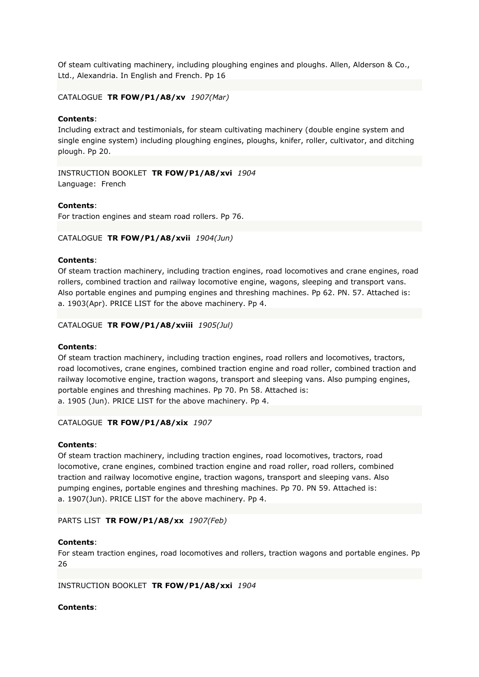Of steam cultivating machinery, including ploughing engines and ploughs. Allen, Alderson & Co., Ltd., Alexandria. In English and French. Pp 16

# CATALOGUE **TR FOW/P1/A8/xv** *1907(Mar)*

#### **Contents**:

Including extract and testimonials, for steam cultivating machinery (double engine system and single engine system) including ploughing engines, ploughs, knifer, roller, cultivator, and ditching plough. Pp 20.

INSTRUCTION BOOKLET **TR FOW/P1/A8/xvi** *1904* Language: French

#### **Contents**:

For traction engines and steam road rollers. Pp 76.

#### CATALOGUE **TR FOW/P1/A8/xvii** *1904(Jun)*

## **Contents**:

Of steam traction machinery, including traction engines, road locomotives and crane engines, road rollers, combined traction and railway locomotive engine, wagons, sleeping and transport vans. Also portable engines and pumping engines and threshing machines. Pp 62. PN. 57. Attached is: a. 1903(Apr). PRICE LIST for the above machinery. Pp 4.

## CATALOGUE **TR FOW/P1/A8/xviii** *1905(Jul)*

#### **Contents**:

Of steam traction machinery, including traction engines, road rollers and locomotives, tractors, road locomotives, crane engines, combined traction engine and road roller, combined traction and railway locomotive engine, traction wagons, transport and sleeping vans. Also pumping engines, portable engines and threshing machines. Pp 70. Pn 58. Attached is: a. 1905 (Jun). PRICE LIST for the above machinery. Pp 4.

#### CATALOGUE **TR FOW/P1/A8/xix** *1907*

#### **Contents**:

Of steam traction machinery, including traction engines, road locomotives, tractors, road locomotive, crane engines, combined traction engine and road roller, road rollers, combined traction and railway locomotive engine, traction wagons, transport and sleeping vans. Also pumping engines, portable engines and threshing machines. Pp 70. PN 59. Attached is: a. 1907(Jun). PRICE LIST for the above machinery. Pp 4.

#### PARTS LIST **TR FOW/P1/A8/xx** *1907(Feb)*

#### **Contents**:

For steam traction engines, road locomotives and rollers, traction wagons and portable engines. Pp 26

INSTRUCTION BOOKLET **TR FOW/P1/A8/xxi** *1904*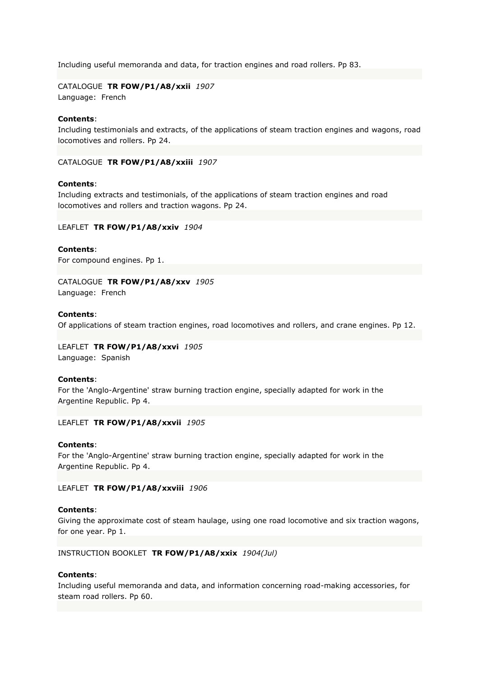Including useful memoranda and data, for traction engines and road rollers. Pp 83.

CATALOGUE **TR FOW/P1/A8/xxii** *1907* Language: French

## **Contents**:

Including testimonials and extracts, of the applications of steam traction engines and wagons, road locomotives and rollers. Pp 24.

CATALOGUE **TR FOW/P1/A8/xxiii** *1907*

#### **Contents**:

Including extracts and testimonials, of the applications of steam traction engines and road locomotives and rollers and traction wagons. Pp 24.

LEAFLET **TR FOW/P1/A8/xxiv** *1904*

**Contents**: For compound engines. Pp 1.

# CATALOGUE **TR FOW/P1/A8/xxv** *1905*

Language: French

## **Contents**:

Of applications of steam traction engines, road locomotives and rollers, and crane engines. Pp 12.

LEAFLET **TR FOW/P1/A8/xxvi** *1905* Language: Spanish

#### **Contents**:

For the 'Anglo-Argentine' straw burning traction engine, specially adapted for work in the Argentine Republic. Pp 4.

LEAFLET **TR FOW/P1/A8/xxvii** *1905*

#### **Contents**:

For the 'Anglo-Argentine' straw burning traction engine, specially adapted for work in the Argentine Republic. Pp 4.

LEAFLET **TR FOW/P1/A8/xxviii** *1906*

#### **Contents**:

Giving the approximate cost of steam haulage, using one road locomotive and six traction wagons, for one year. Pp 1.

#### INSTRUCTION BOOKLET **TR FOW/P1/A8/xxix** *1904(Jul)*

#### **Contents**:

Including useful memoranda and data, and information concerning road-making accessories, for steam road rollers. Pp 60.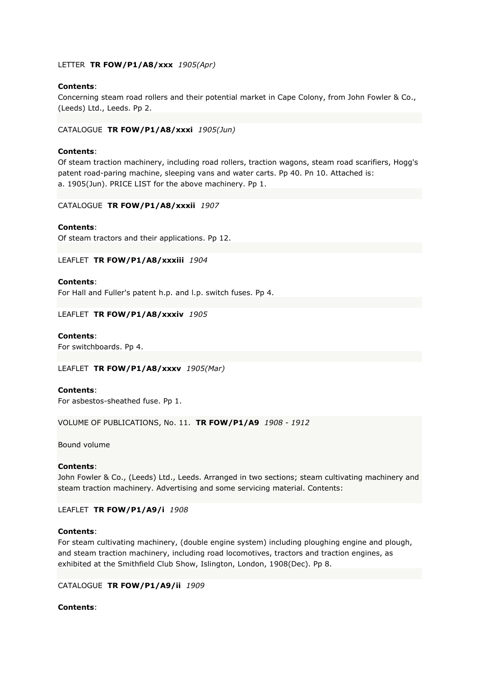# LETTER **TR FOW/P1/A8/xxx** *1905(Apr)*

#### **Contents**:

Concerning steam road rollers and their potential market in Cape Colony, from John Fowler & Co., (Leeds) Ltd., Leeds. Pp 2.

#### CATALOGUE **TR FOW/P1/A8/xxxi** *1905(Jun)*

## **Contents**:

Of steam traction machinery, including road rollers, traction wagons, steam road scarifiers, Hogg's patent road-paring machine, sleeping vans and water carts. Pp 40. Pn 10. Attached is: a. 1905(Jun). PRICE LIST for the above machinery. Pp 1.

## CATALOGUE **TR FOW/P1/A8/xxxii** *1907*

## **Contents**:

Of steam tractors and their applications. Pp 12.

## LEAFLET **TR FOW/P1/A8/xxxiii** *1904*

#### **Contents**:

For Hall and Fuller's patent h.p. and l.p. switch fuses. Pp 4.

## LEAFLET **TR FOW/P1/A8/xxxiv** *1905*

**Contents**: For switchboards. Pp 4.

LEAFLET **TR FOW/P1/A8/xxxv** *1905(Mar)*

#### **Contents**:

For asbestos-sheathed fuse. Pp 1.

VOLUME OF PUBLICATIONS, No. 11. **TR FOW/P1/A9** *1908 - 1912*

Bound volume

#### **Contents**:

John Fowler & Co., (Leeds) Ltd., Leeds. Arranged in two sections; steam cultivating machinery and steam traction machinery. Advertising and some servicing material. Contents:

LEAFLET **TR FOW/P1/A9/i** *1908*

## **Contents**:

For steam cultivating machinery, (double engine system) including ploughing engine and plough, and steam traction machinery, including road locomotives, tractors and traction engines, as exhibited at the Smithfield Club Show, Islington, London, 1908(Dec). Pp 8.

#### CATALOGUE **TR FOW/P1/A9/ii** *1909*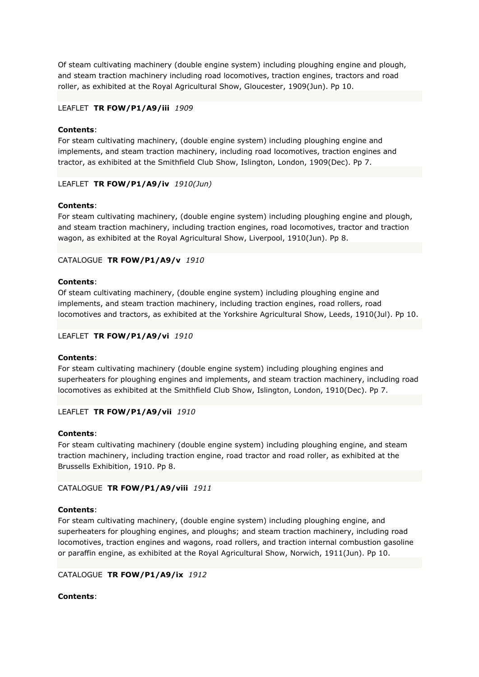Of steam cultivating machinery (double engine system) including ploughing engine and plough, and steam traction machinery including road locomotives, traction engines, tractors and road roller, as exhibited at the Royal Agricultural Show, Gloucester, 1909(Jun). Pp 10.

# LEAFLET **TR FOW/P1/A9/iii** *1909*

#### **Contents**:

For steam cultivating machinery, (double engine system) including ploughing engine and implements, and steam traction machinery, including road locomotives, traction engines and tractor, as exhibited at the Smithfield Club Show, Islington, London, 1909(Dec). Pp 7.

## LEAFLET **TR FOW/P1/A9/iv** *1910(Jun)*

## **Contents**:

For steam cultivating machinery, (double engine system) including ploughing engine and plough, and steam traction machinery, including traction engines, road locomotives, tractor and traction wagon, as exhibited at the Royal Agricultural Show, Liverpool, 1910(Jun). Pp 8.

## CATALOGUE **TR FOW/P1/A9/v** *1910*

## **Contents**:

Of steam cultivating machinery, (double engine system) including ploughing engine and implements, and steam traction machinery, including traction engines, road rollers, road locomotives and tractors, as exhibited at the Yorkshire Agricultural Show, Leeds, 1910(Jul). Pp 10.

## LEAFLET **TR FOW/P1/A9/vi** *1910*

#### **Contents**:

For steam cultivating machinery (double engine system) including ploughing engines and superheaters for ploughing engines and implements, and steam traction machinery, including road locomotives as exhibited at the Smithfield Club Show, Islington, London, 1910(Dec). Pp 7.

# LEAFLET **TR FOW/P1/A9/vii** *1910*

#### **Contents**:

For steam cultivating machinery (double engine system) including ploughing engine, and steam traction machinery, including traction engine, road tractor and road roller, as exhibited at the Brussells Exhibition, 1910. Pp 8.

# CATALOGUE **TR FOW/P1/A9/viii** *1911*

#### **Contents**:

For steam cultivating machinery, (double engine system) including ploughing engine, and superheaters for ploughing engines, and ploughs; and steam traction machinery, including road locomotives, traction engines and wagons, road rollers, and traction internal combustion gasoline or paraffin engine, as exhibited at the Royal Agricultural Show, Norwich, 1911(Jun). Pp 10.

# CATALOGUE **TR FOW/P1/A9/ix** *1912*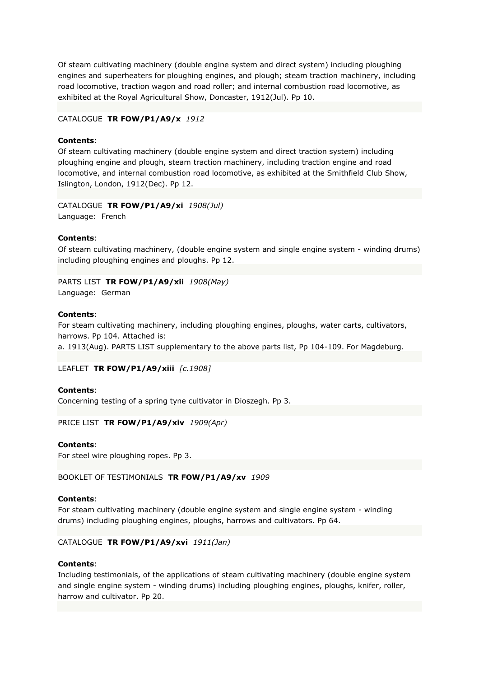Of steam cultivating machinery (double engine system and direct system) including ploughing engines and superheaters for ploughing engines, and plough; steam traction machinery, including road locomotive, traction wagon and road roller; and internal combustion road locomotive, as exhibited at the Royal Agricultural Show, Doncaster, 1912(Jul). Pp 10.

# CATALOGUE **TR FOW/P1/A9/x** *1912*

# **Contents**:

Of steam cultivating machinery (double engine system and direct traction system) including ploughing engine and plough, steam traction machinery, including traction engine and road locomotive, and internal combustion road locomotive, as exhibited at the Smithfield Club Show, Islington, London, 1912(Dec). Pp 12.

CATALOGUE **TR FOW/P1/A9/xi** *1908(Jul)* Language: French

## **Contents**:

Of steam cultivating machinery, (double engine system and single engine system - winding drums) including ploughing engines and ploughs. Pp 12.

PARTS LIST **TR FOW/P1/A9/xii** *1908(May)* Language: German

#### **Contents**:

For steam cultivating machinery, including ploughing engines, ploughs, water carts, cultivators, harrows. Pp 104. Attached is:

a. 1913(Aug). PARTS LIST supplementary to the above parts list, Pp 104-109. For Magdeburg.

# LEAFLET **TR FOW/P1/A9/xiii** *[c.1908]*

#### **Contents**:

Concerning testing of a spring tyne cultivator in Dioszegh. Pp 3.

PRICE LIST **TR FOW/P1/A9/xiv** *1909(Apr)*

#### **Contents**:

For steel wire ploughing ropes. Pp 3.

BOOKLET OF TESTIMONIALS **TR FOW/P1/A9/xv** *1909*

#### **Contents**:

For steam cultivating machinery (double engine system and single engine system - winding drums) including ploughing engines, ploughs, harrows and cultivators. Pp 64.

# CATALOGUE **TR FOW/P1/A9/xvi** *1911(Jan)*

# **Contents**:

Including testimonials, of the applications of steam cultivating machinery (double engine system and single engine system - winding drums) including ploughing engines, ploughs, knifer, roller, harrow and cultivator. Pp 20.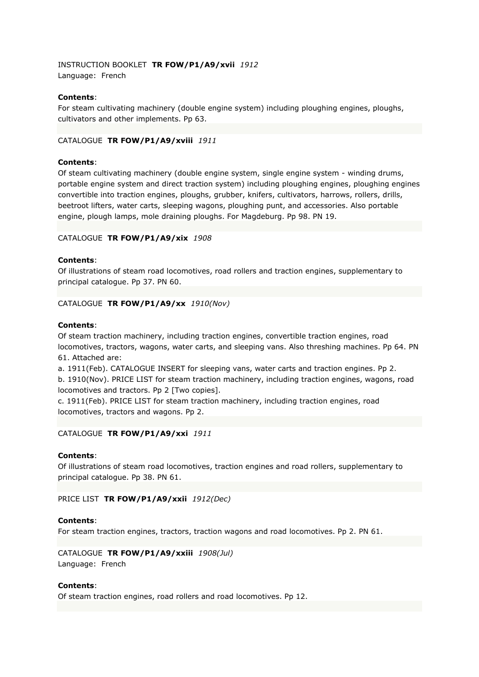INSTRUCTION BOOKLET **TR FOW/P1/A9/xvii** *1912* Language: French

## **Contents**:

For steam cultivating machinery (double engine system) including ploughing engines, ploughs, cultivators and other implements. Pp 63.

## CATALOGUE **TR FOW/P1/A9/xviii** *1911*

## **Contents**:

Of steam cultivating machinery (double engine system, single engine system - winding drums, portable engine system and direct traction system) including ploughing engines, ploughing engines convertible into traction engines, ploughs, grubber, knifers, cultivators, harrows, rollers, drills, beetroot lifters, water carts, sleeping wagons, ploughing punt, and accessories. Also portable engine, plough lamps, mole draining ploughs. For Magdeburg. Pp 98. PN 19.

## CATALOGUE **TR FOW/P1/A9/xix** *1908*

## **Contents**:

Of illustrations of steam road locomotives, road rollers and traction engines, supplementary to principal catalogue. Pp 37. PN 60.

#### CATALOGUE **TR FOW/P1/A9/xx** *1910(Nov)*

#### **Contents**:

Of steam traction machinery, including traction engines, convertible traction engines, road locomotives, tractors, wagons, water carts, and sleeping vans. Also threshing machines. Pp 64. PN 61. Attached are:

a. 1911(Feb). CATALOGUE INSERT for sleeping vans, water carts and traction engines. Pp 2. b. 1910(Nov). PRICE LIST for steam traction machinery, including traction engines, wagons, road locomotives and tractors. Pp 2 [Two copies].

c. 1911(Feb). PRICE LIST for steam traction machinery, including traction engines, road locomotives, tractors and wagons. Pp 2.

CATALOGUE **TR FOW/P1/A9/xxi** *1911*

#### **Contents**:

Of illustrations of steam road locomotives, traction engines and road rollers, supplementary to principal catalogue. Pp 38. PN 61.

## PRICE LIST **TR FOW/P1/A9/xxii** *1912(Dec)*

#### **Contents**:

For steam traction engines, tractors, traction wagons and road locomotives. Pp 2. PN 61.

CATALOGUE **TR FOW/P1/A9/xxiii** *1908(Jul)* Language: French

#### **Contents**:

Of steam traction engines, road rollers and road locomotives. Pp 12.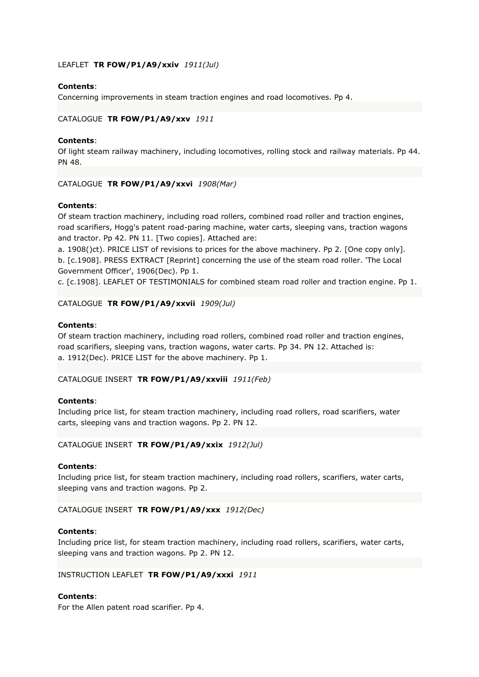# LEAFLET **TR FOW/P1/A9/xxiv** *1911(Jul)*

# **Contents**:

Concerning improvements in steam traction engines and road locomotives. Pp 4.

## CATALOGUE **TR FOW/P1/A9/xxv** *1911*

## **Contents**:

Of light steam railway machinery, including locomotives, rolling stock and railway materials. Pp 44. PN 48.

## CATALOGUE **TR FOW/P1/A9/xxvi** *1908(Mar)*

## **Contents**:

Of steam traction machinery, including road rollers, combined road roller and traction engines, road scarifiers, Hogg's patent road-paring machine, water carts, sleeping vans, traction wagons and tractor. Pp 42. PN 11. [Two copies]. Attached are:

a. 1908()ct). PRICE LIST of revisions to prices for the above machinery. Pp 2. [One copy only]. b. [c.1908]. PRESS EXTRACT [Reprint] concerning the use of the steam road roller. 'The Local Government Officer', 1906(Dec). Pp 1.

c. [c.1908]. LEAFLET OF TESTIMONIALS for combined steam road roller and traction engine. Pp 1.

## CATALOGUE **TR FOW/P1/A9/xxvii** *1909(Jul)*

## **Contents**:

Of steam traction machinery, including road rollers, combined road roller and traction engines, road scarifiers, sleeping vans, traction wagons, water carts. Pp 34. PN 12. Attached is: a. 1912(Dec). PRICE LIST for the above machinery. Pp 1.

# CATALOGUE INSERT **TR FOW/P1/A9/xxviii** *1911(Feb)*

#### **Contents**:

Including price list, for steam traction machinery, including road rollers, road scarifiers, water carts, sleeping vans and traction wagons. Pp 2. PN 12.

# CATALOGUE INSERT **TR FOW/P1/A9/xxix** *1912(Jul)*

#### **Contents**:

Including price list, for steam traction machinery, including road rollers, scarifiers, water carts, sleeping vans and traction wagons. Pp 2.

#### CATALOGUE INSERT **TR FOW/P1/A9/xxx** *1912(Dec)*

#### **Contents**:

Including price list, for steam traction machinery, including road rollers, scarifiers, water carts, sleeping vans and traction wagons. Pp 2. PN 12.

#### INSTRUCTION LEAFLET **TR FOW/P1/A9/xxxi** *1911*

#### **Contents**:

For the Allen patent road scarifier. Pp 4.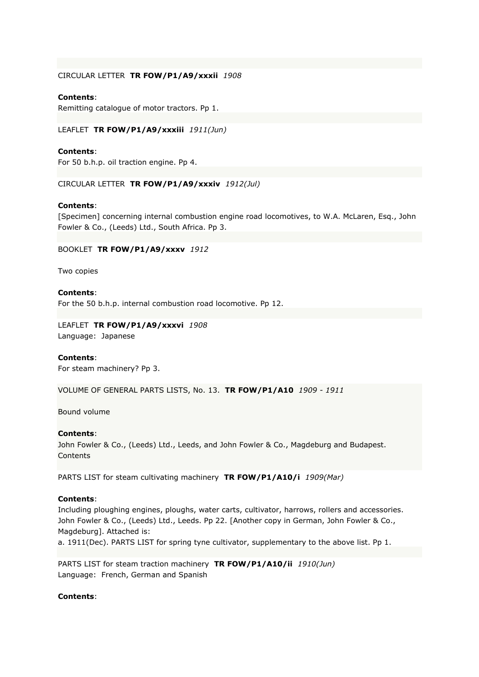## CIRCULAR LETTER **TR FOW/P1/A9/xxxii** *1908*

## **Contents**:

Remitting catalogue of motor tractors. Pp 1.

LEAFLET **TR FOW/P1/A9/xxxiii** *1911(Jun)*

## **Contents**:

For 50 b.h.p. oil traction engine. Pp 4.

CIRCULAR LETTER **TR FOW/P1/A9/xxxiv** *1912(Jul)*

## **Contents**:

[Specimen] concerning internal combustion engine road locomotives, to W.A. McLaren, Esq., John Fowler & Co., (Leeds) Ltd., South Africa. Pp 3.

#### BOOKLET **TR FOW/P1/A9/xxxv** *1912*

Two copies

## **Contents**:

For the 50 b.h.p. internal combustion road locomotive. Pp 12.

# LEAFLET **TR FOW/P1/A9/xxxvi** *1908*

Language: Japanese

## **Contents**:

For steam machinery? Pp 3.

VOLUME OF GENERAL PARTS LISTS, No. 13. **TR FOW/P1/A10** *1909 - 1911*

Bound volume

#### **Contents**:

John Fowler & Co., (Leeds) Ltd., Leeds, and John Fowler & Co., Magdeburg and Budapest. **Contents** 

PARTS LIST for steam cultivating machinery **TR FOW/P1/A10/i** *1909(Mar)*

#### **Contents**:

Including ploughing engines, ploughs, water carts, cultivator, harrows, rollers and accessories. John Fowler & Co., (Leeds) Ltd., Leeds. Pp 22. [Another copy in German, John Fowler & Co., Magdeburg]. Attached is: a. 1911(Dec). PARTS LIST for spring tyne cultivator, supplementary to the above list. Pp 1.

PARTS LIST for steam traction machinery **TR FOW/P1/A10/ii** *1910(Jun)* Language: French, German and Spanish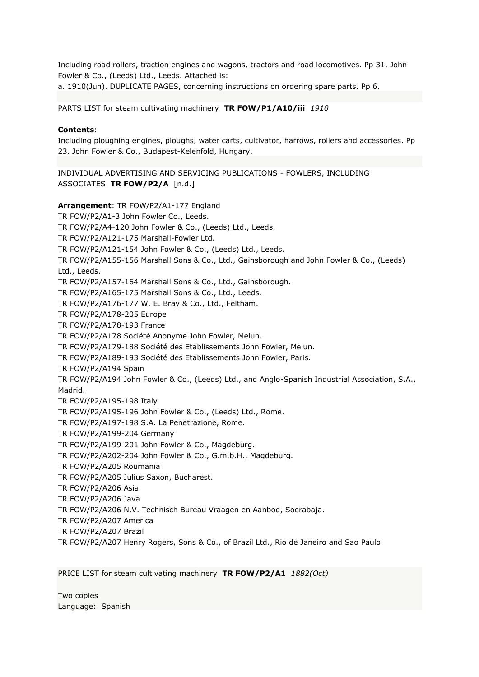Including road rollers, traction engines and wagons, tractors and road locomotives. Pp 31. John Fowler & Co., (Leeds) Ltd., Leeds. Attached is:

a. 1910(Jun). DUPLICATE PAGES, concerning instructions on ordering spare parts. Pp 6.

PARTS LIST for steam cultivating machinery **TR FOW/P1/A10/iii** *1910*

## **Contents**:

Including ploughing engines, ploughs, water carts, cultivator, harrows, rollers and accessories. Pp 23. John Fowler & Co., Budapest-Kelenfold, Hungary.

INDIVIDUAL ADVERTISING AND SERVICING PUBLICATIONS - FOWLERS, INCLUDING ASSOCIATES **TR FOW/P2/A** [n.d.]

**Arrangement**: TR FOW/P2/A1-177 England TR FOW/P2/A1-3 John Fowler Co., Leeds. TR FOW/P2/A4-120 John Fowler & Co., (Leeds) Ltd., Leeds. TR FOW/P2/A121-175 Marshall-Fowler Ltd. TR FOW/P2/A121-154 John Fowler & Co., (Leeds) Ltd., Leeds. TR FOW/P2/A155-156 Marshall Sons & Co., Ltd., Gainsborough and John Fowler & Co., (Leeds) Ltd., Leeds. TR FOW/P2/A157-164 Marshall Sons & Co., Ltd., Gainsborough. TR FOW/P2/A165-175 Marshall Sons & Co., Ltd., Leeds. TR FOW/P2/A176-177 W. E. Bray & Co., Ltd., Feltham. TR FOW/P2/A178-205 Europe TR FOW/P2/A178-193 France TR FOW/P2/A178 Société Anonyme John Fowler, Melun. TR FOW/P2/A179-188 Société des Etablissements John Fowler, Melun. TR FOW/P2/A189-193 Société des Etablissements John Fowler, Paris. TR FOW/P2/A194 Spain TR FOW/P2/A194 John Fowler & Co., (Leeds) Ltd., and Anglo-Spanish Industrial Association, S.A., Madrid. TR FOW/P2/A195-198 Italy TR FOW/P2/A195-196 John Fowler & Co., (Leeds) Ltd., Rome. TR FOW/P2/A197-198 S.A. La Penetrazione, Rome. TR FOW/P2/A199-204 Germany TR FOW/P2/A199-201 John Fowler & Co., Magdeburg. TR FOW/P2/A202-204 John Fowler & Co., G.m.b.H., Magdeburg. TR FOW/P2/A205 Roumania TR FOW/P2/A205 Julius Saxon, Bucharest. TR FOW/P2/A206 Asia TR FOW/P2/A206 Java TR FOW/P2/A206 N.V. Technisch Bureau Vraagen en Aanbod, Soerabaja. TR FOW/P2/A207 America TR FOW/P2/A207 Brazil TR FOW/P2/A207 Henry Rogers, Sons & Co., of Brazil Ltd., Rio de Janeiro and Sao Paulo

PRICE LIST for steam cultivating machinery **TR FOW/P2/A1** *1882(Oct)*

Two copies Language: Spanish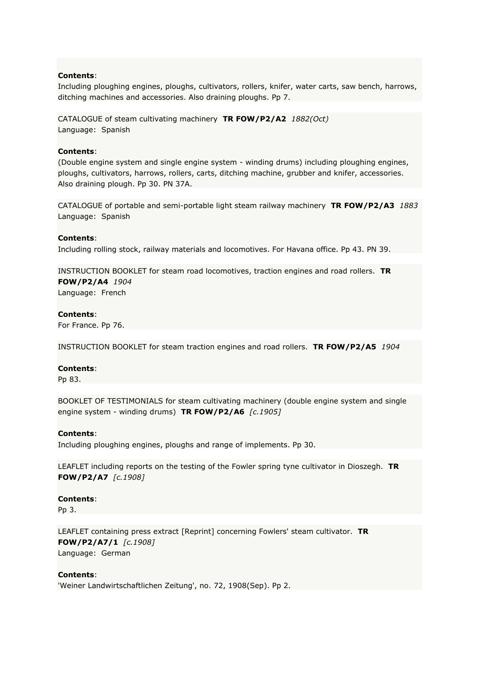Including ploughing engines, ploughs, cultivators, rollers, knifer, water carts, saw bench, harrows, ditching machines and accessories. Also draining ploughs. Pp 7.

CATALOGUE of steam cultivating machinery **TR FOW/P2/A2** *1882(Oct)* Language: Spanish

## **Contents**:

(Double engine system and single engine system - winding drums) including ploughing engines, ploughs, cultivators, harrows, rollers, carts, ditching machine, grubber and knifer, accessories. Also draining plough. Pp 30. PN 37A.

CATALOGUE of portable and semi-portable light steam railway machinery **TR FOW/P2/A3** *1883* Language: Spanish

## **Contents**:

Including rolling stock, railway materials and locomotives. For Havana office. Pp 43. PN 39.

INSTRUCTION BOOKLET for steam road locomotives, traction engines and road rollers. **TR FOW/P2/A4** *1904* Language: French

#### **Contents**:

For France. Pp 76.

INSTRUCTION BOOKLET for steam traction engines and road rollers. **TR FOW/P2/A5** *1904*

#### **Contents**:

Pp 83.

BOOKLET OF TESTIMONIALS for steam cultivating machinery (double engine system and single engine system - winding drums) **TR FOW/P2/A6** *[c.1905]*

#### **Contents**:

Including ploughing engines, ploughs and range of implements. Pp 30.

LEAFLET including reports on the testing of the Fowler spring tyne cultivator in Dioszegh. **TR FOW/P2/A7** *[c.1908]*

#### **Contents**:

Pp 3.

LEAFLET containing press extract [Reprint] concerning Fowlers' steam cultivator. **TR FOW/P2/A7/1** *[c.1908]* Language: German

#### **Contents**:

'Weiner Landwirtschaftlichen Zeitung', no. 72, 1908(Sep). Pp 2.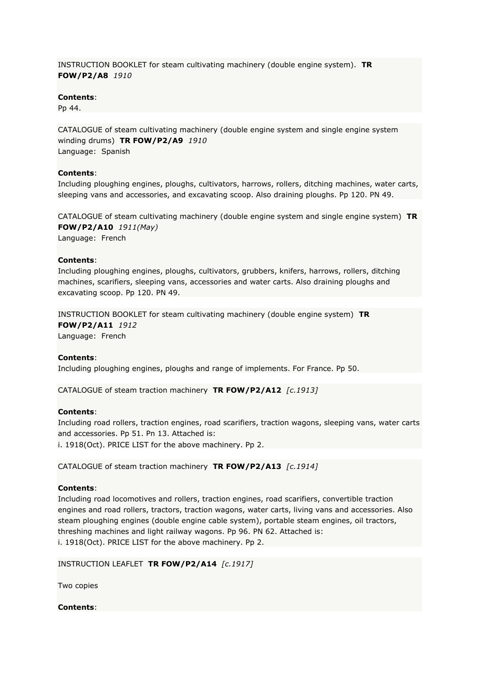INSTRUCTION BOOKLET for steam cultivating machinery (double engine system). **TR FOW/P2/A8** *1910*

## **Contents**:

Pp 44.

CATALOGUE of steam cultivating machinery (double engine system and single engine system winding drums) **TR FOW/P2/A9** *1910* Language: Spanish

## **Contents**:

Including ploughing engines, ploughs, cultivators, harrows, rollers, ditching machines, water carts, sleeping vans and accessories, and excavating scoop. Also draining ploughs. Pp 120. PN 49.

CATALOGUE of steam cultivating machinery (double engine system and single engine system) **TR FOW/P2/A10** *1911(May)*

Language: French

## **Contents**:

Including ploughing engines, ploughs, cultivators, grubbers, knifers, harrows, rollers, ditching machines, scarifiers, sleeping vans, accessories and water carts. Also draining ploughs and excavating scoop. Pp 120. PN 49.

INSTRUCTION BOOKLET for steam cultivating machinery (double engine system) **TR FOW/P2/A11** *1912*

Language: French

## **Contents**:

Including ploughing engines, ploughs and range of implements. For France. Pp 50.

CATALOGUE of steam traction machinery **TR FOW/P2/A12** *[c.1913]*

#### **Contents**:

Including road rollers, traction engines, road scarifiers, traction wagons, sleeping vans, water carts and accessories. Pp 51. Pn 13. Attached is:

i. 1918(Oct). PRICE LIST for the above machinery. Pp 2.

CATALOGUE of steam traction machinery **TR FOW/P2/A13** *[c.1914]*

#### **Contents**:

Including road locomotives and rollers, traction engines, road scarifiers, convertible traction engines and road rollers, tractors, traction wagons, water carts, living vans and accessories. Also steam ploughing engines (double engine cable system), portable steam engines, oil tractors, threshing machines and light railway wagons. Pp 96. PN 62. Attached is: i. 1918(Oct). PRICE LIST for the above machinery. Pp 2.

INSTRUCTION LEAFLET **TR FOW/P2/A14** *[c.1917]*

Two copies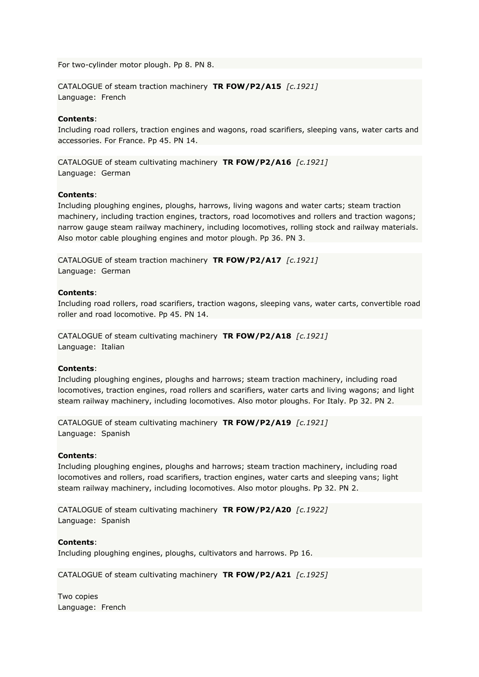For two-cylinder motor plough. Pp 8. PN 8.

CATALOGUE of steam traction machinery **TR FOW/P2/A15** *[c.1921]* Language: French

## **Contents**:

Including road rollers, traction engines and wagons, road scarifiers, sleeping vans, water carts and accessories. For France. Pp 45. PN 14.

CATALOGUE of steam cultivating machinery **TR FOW/P2/A16** *[c.1921]* Language: German

#### **Contents**:

Including ploughing engines, ploughs, harrows, living wagons and water carts; steam traction machinery, including traction engines, tractors, road locomotives and rollers and traction wagons; narrow gauge steam railway machinery, including locomotives, rolling stock and railway materials. Also motor cable ploughing engines and motor plough. Pp 36. PN 3.

CATALOGUE of steam traction machinery **TR FOW/P2/A17** *[c.1921]* Language: German

#### **Contents**:

Including road rollers, road scarifiers, traction wagons, sleeping vans, water carts, convertible road roller and road locomotive. Pp 45. PN 14.

CATALOGUE of steam cultivating machinery **TR FOW/P2/A18** *[c.1921]* Language: Italian

#### **Contents**:

Including ploughing engines, ploughs and harrows; steam traction machinery, including road locomotives, traction engines, road rollers and scarifiers, water carts and living wagons; and light steam railway machinery, including locomotives. Also motor ploughs. For Italy. Pp 32. PN 2.

CATALOGUE of steam cultivating machinery **TR FOW/P2/A19** *[c.1921]* Language: Spanish

#### **Contents**:

Including ploughing engines, ploughs and harrows; steam traction machinery, including road locomotives and rollers, road scarifiers, traction engines, water carts and sleeping vans; light steam railway machinery, including locomotives. Also motor ploughs. Pp 32. PN 2.

CATALOGUE of steam cultivating machinery **TR FOW/P2/A20** *[c.1922]* Language: Spanish

## **Contents**:

Including ploughing engines, ploughs, cultivators and harrows. Pp 16.

CATALOGUE of steam cultivating machinery **TR FOW/P2/A21** *[c.1925]*

Two copies Language: French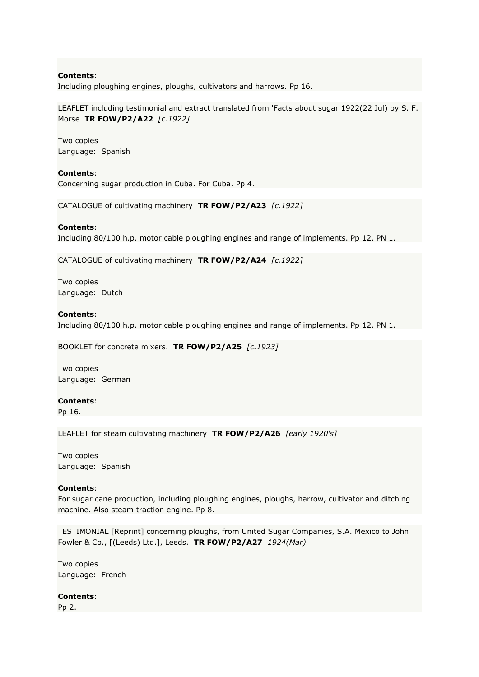Including ploughing engines, ploughs, cultivators and harrows. Pp 16.

LEAFLET including testimonial and extract translated from 'Facts about sugar 1922(22 Jul) by S. F. Morse **TR FOW/P2/A22** *[c.1922]*

Two copies Language: Spanish

#### **Contents**:

Concerning sugar production in Cuba. For Cuba. Pp 4.

CATALOGUE of cultivating machinery **TR FOW/P2/A23** *[c.1922]*

#### **Contents**:

Including 80/100 h.p. motor cable ploughing engines and range of implements. Pp 12. PN 1.

CATALOGUE of cultivating machinery **TR FOW/P2/A24** *[c.1922]*

Two copies Language: Dutch

#### **Contents**:

Including 80/100 h.p. motor cable ploughing engines and range of implements. Pp 12. PN 1.

BOOKLET for concrete mixers. **TR FOW/P2/A25** *[c.1923]*

Two copies Language: German

#### **Contents**:

Pp 16.

LEAFLET for steam cultivating machinery **TR FOW/P2/A26** *[early 1920's]*

Two copies Language: Spanish

#### **Contents**:

For sugar cane production, including ploughing engines, ploughs, harrow, cultivator and ditching machine. Also steam traction engine. Pp 8.

TESTIMONIAL [Reprint] concerning ploughs, from United Sugar Companies, S.A. Mexico to John Fowler & Co., [(Leeds) Ltd.], Leeds. **TR FOW/P2/A27** *1924(Mar)*

Two copies Language: French

#### **Contents**:

Pp 2.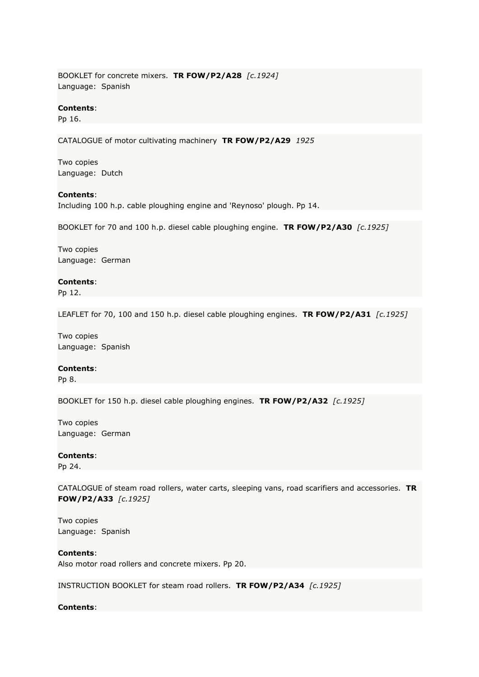BOOKLET for concrete mixers. **TR FOW/P2/A28** *[c.1924]* Language: Spanish

#### **Contents**:

Pp 16.

CATALOGUE of motor cultivating machinery **TR FOW/P2/A29** *1925*

Two copies Language: Dutch

## **Contents**:

Including 100 h.p. cable ploughing engine and 'Reynoso' plough. Pp 14.

BOOKLET for 70 and 100 h.p. diesel cable ploughing engine. **TR FOW/P2/A30** *[c.1925]*

Two copies Language: German

#### **Contents**:

Pp 12.

LEAFLET for 70, 100 and 150 h.p. diesel cable ploughing engines. **TR FOW/P2/A31** *[c.1925]*

Two copies Language: Spanish

#### **Contents**:

Pp 8.

BOOKLET for 150 h.p. diesel cable ploughing engines. **TR FOW/P2/A32** *[c.1925]*

Two copies Language: German

#### **Contents**:

Pp 24.

CATALOGUE of steam road rollers, water carts, sleeping vans, road scarifiers and accessories. **TR FOW/P2/A33** *[c.1925]*

Two copies Language: Spanish

**Contents**: Also motor road rollers and concrete mixers. Pp 20.

INSTRUCTION BOOKLET for steam road rollers. **TR FOW/P2/A34** *[c.1925]*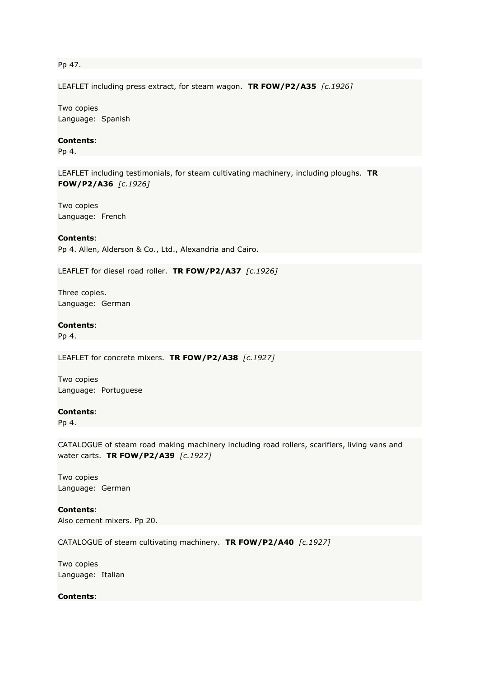Pp 47.

LEAFLET including press extract, for steam wagon. **TR FOW/P2/A35** *[c.1926]*

Two copies Language: Spanish

## **Contents**:

Pp 4.

LEAFLET including testimonials, for steam cultivating machinery, including ploughs. **TR FOW/P2/A36** *[c.1926]*

Two copies Language: French

#### **Contents**:

Pp 4. Allen, Alderson & Co., Ltd., Alexandria and Cairo.

LEAFLET for diesel road roller. **TR FOW/P2/A37** *[c.1926]*

Three copies. Language: German

#### **Contents**:

Pp 4.

LEAFLET for concrete mixers. **TR FOW/P2/A38** *[c.1927]*

Two copies Language: Portuguese

#### **Contents**:

Pp 4.

CATALOGUE of steam road making machinery including road rollers, scarifiers, living vans and water carts. **TR FOW/P2/A39** *[c.1927]*

Two copies Language: German

**Contents**: Also cement mixers. Pp 20.

CATALOGUE of steam cultivating machinery. **TR FOW/P2/A40** *[c.1927]*

Two copies Language: Italian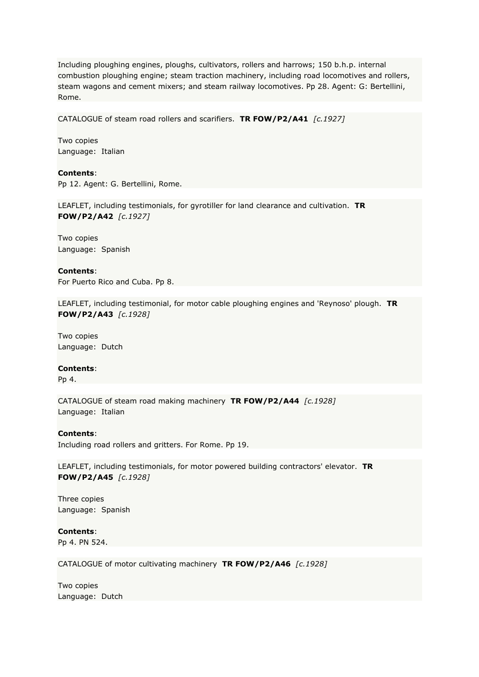Including ploughing engines, ploughs, cultivators, rollers and harrows; 150 b.h.p. internal combustion ploughing engine; steam traction machinery, including road locomotives and rollers, steam wagons and cement mixers; and steam railway locomotives. Pp 28. Agent: G: Bertellini, Rome.

CATALOGUE of steam road rollers and scarifiers. **TR FOW/P2/A41** *[c.1927]*

Two copies Language: Italian

**Contents**: Pp 12. Agent: G. Bertellini, Rome.

LEAFLET, including testimonials, for gyrotiller for land clearance and cultivation. **TR FOW/P2/A42** *[c.1927]*

Two copies Language: Spanish

**Contents**: For Puerto Rico and Cuba. Pp 8.

LEAFLET, including testimonial, for motor cable ploughing engines and 'Reynoso' plough. **TR FOW/P2/A43** *[c.1928]*

Two copies Language: Dutch

#### **Contents**:

Pp 4.

CATALOGUE of steam road making machinery **TR FOW/P2/A44** *[c.1928]* Language: Italian

**Contents**:

Including road rollers and gritters. For Rome. Pp 19.

LEAFLET, including testimonials, for motor powered building contractors' elevator. **TR FOW/P2/A45** *[c.1928]*

Three copies Language: Spanish

**Contents**: Pp 4. PN 524.

CATALOGUE of motor cultivating machinery **TR FOW/P2/A46** *[c.1928]*

Two copies Language: Dutch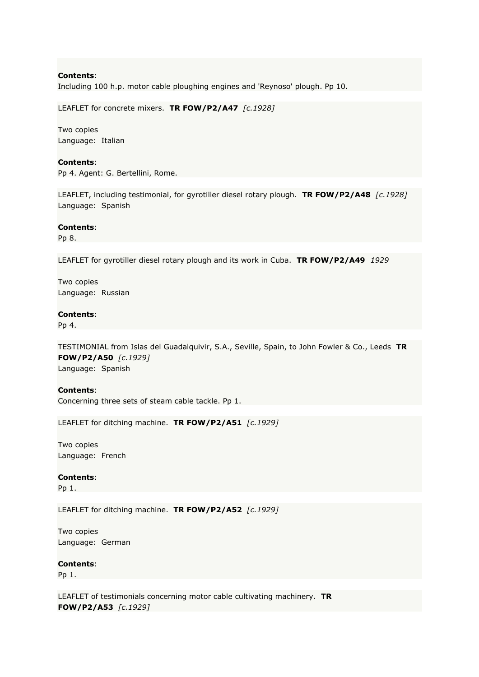Including 100 h.p. motor cable ploughing engines and 'Reynoso' plough. Pp 10.

LEAFLET for concrete mixers. **TR FOW/P2/A47** *[c.1928]*

Two copies Language: Italian

#### **Contents**:

Pp 4. Agent: G. Bertellini, Rome.

LEAFLET, including testimonial, for gyrotiller diesel rotary plough. **TR FOW/P2/A48** *[c.1928]* Language: Spanish

#### **Contents**:

Pp 8.

LEAFLET for gyrotiller diesel rotary plough and its work in Cuba. **TR FOW/P2/A49** *1929*

Two copies Language: Russian

#### **Contents**:

Pp 4.

TESTIMONIAL from Islas del Guadalquivir, S.A., Seville, Spain, to John Fowler & Co., Leeds **TR FOW/P2/A50** *[c.1929]* Language: Spanish

#### **Contents**:

Concerning three sets of steam cable tackle. Pp 1.

LEAFLET for ditching machine. **TR FOW/P2/A51** *[c.1929]*

Two copies Language: French

#### **Contents**:

Pp 1.

LEAFLET for ditching machine. **TR FOW/P2/A52** *[c.1929]*

Two copies Language: German

#### **Contents**:

Pp 1.

LEAFLET of testimonials concerning motor cable cultivating machinery. **TR FOW/P2/A53** *[c.1929]*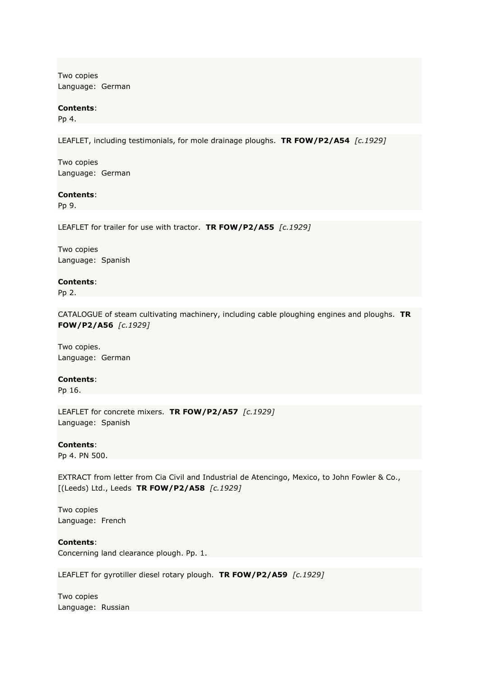Two copies Language: German

#### **Contents**:

Pp 4.

LEAFLET, including testimonials, for mole drainage ploughs. **TR FOW/P2/A54** *[c.1929]*

Two copies Language: German

#### **Contents**:

Pp 9.

LEAFLET for trailer for use with tractor. **TR FOW/P2/A55** *[c.1929]*

Two copies Language: Spanish

#### **Contents**:

Pp 2.

CATALOGUE of steam cultivating machinery, including cable ploughing engines and ploughs. **TR FOW/P2/A56** *[c.1929]*

Two copies. Language: German

**Contents**:

Pp 16.

LEAFLET for concrete mixers. **TR FOW/P2/A57** *[c.1929]* Language: Spanish

**Contents**:

Pp 4. PN 500.

EXTRACT from letter from Cia Civil and Industrial de Atencingo, Mexico, to John Fowler & Co., [(Leeds) Ltd., Leeds **TR FOW/P2/A58** *[c.1929]*

Two copies Language: French

**Contents**: Concerning land clearance plough. Pp. 1.

LEAFLET for gyrotiller diesel rotary plough. **TR FOW/P2/A59** *[c.1929]*

Two copies Language: Russian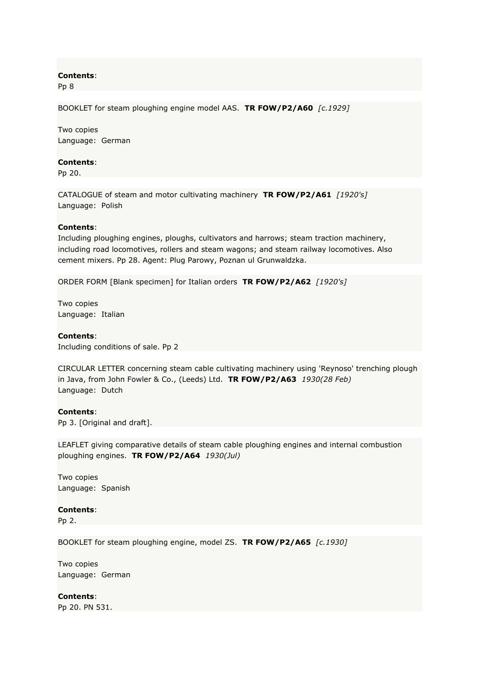Pp 8

BOOKLET for steam ploughing engine model AAS. **TR FOW/P2/A60** *[c.1929]*

Two copies Language: German

#### **Contents**:

Pp 20.

CATALOGUE of steam and motor cultivating machinery **TR FOW/P2/A61** *[1920's]* Language: Polish

## **Contents**:

Including ploughing engines, ploughs, cultivators and harrows; steam traction machinery, including road locomotives, rollers and steam wagons; and steam railway locomotives. Also cement mixers. Pp 28. Agent: Plug Parowy, Poznan ul Grunwaldzka.

ORDER FORM [Blank specimen] for Italian orders **TR FOW/P2/A62** *[1920's]*

Two copies Language: Italian

#### **Contents**:

Including conditions of sale. Pp 2

CIRCULAR LETTER concerning steam cable cultivating machinery using 'Reynoso' trenching plough in Java, from John Fowler & Co., (Leeds) Ltd. **TR FOW/P2/A63** *1930(28 Feb)* Language: Dutch

#### **Contents**:

Pp 3. [Original and draft].

LEAFLET giving comparative details of steam cable ploughing engines and internal combustion ploughing engines. **TR FOW/P2/A64** *1930(Jul)*

Two copies Language: Spanish

#### **Contents**:

Pp 2.

BOOKLET for steam ploughing engine, model ZS. **TR FOW/P2/A65** *[c.1930]*

Two copies Language: German

**Contents**: Pp 20. PN 531.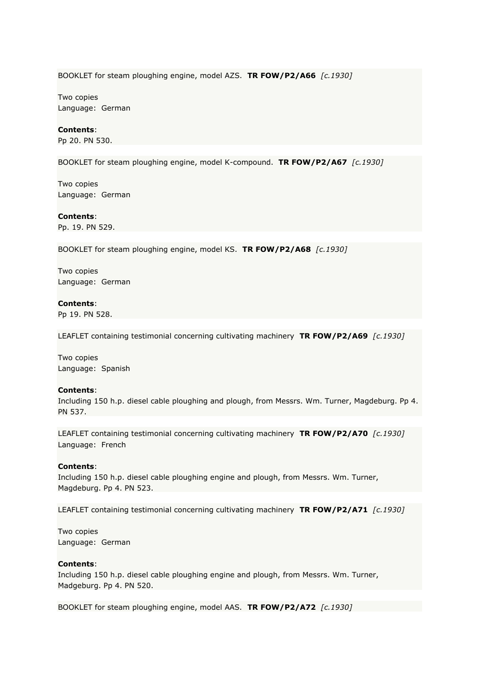BOOKLET for steam ploughing engine, model AZS. **TR FOW/P2/A66** *[c.1930]*

Two copies Language: German

#### **Contents**:

Pp 20. PN 530.

BOOKLET for steam ploughing engine, model K-compound. **TR FOW/P2/A67** *[c.1930]*

Two copies Language: German

**Contents**:

Pp. 19. PN 529.

BOOKLET for steam ploughing engine, model KS. **TR FOW/P2/A68** *[c.1930]*

Two copies Language: German

#### **Contents**:

Pp 19. PN 528.

LEAFLET containing testimonial concerning cultivating machinery **TR FOW/P2/A69** *[c.1930]*

Two copies Language: Spanish

#### **Contents**:

Including 150 h.p. diesel cable ploughing and plough, from Messrs. Wm. Turner, Magdeburg. Pp 4. PN 537.

LEAFLET containing testimonial concerning cultivating machinery **TR FOW/P2/A70** *[c.1930]* Language: French

#### **Contents**:

Including 150 h.p. diesel cable ploughing engine and plough, from Messrs. Wm. Turner, Magdeburg. Pp 4. PN 523.

LEAFLET containing testimonial concerning cultivating machinery **TR FOW/P2/A71** *[c.1930]*

Two copies Language: German

#### **Contents**:

Including 150 h.p. diesel cable ploughing engine and plough, from Messrs. Wm. Turner, Madgeburg. Pp 4. PN 520.

BOOKLET for steam ploughing engine, model AAS. **TR FOW/P2/A72** *[c.1930]*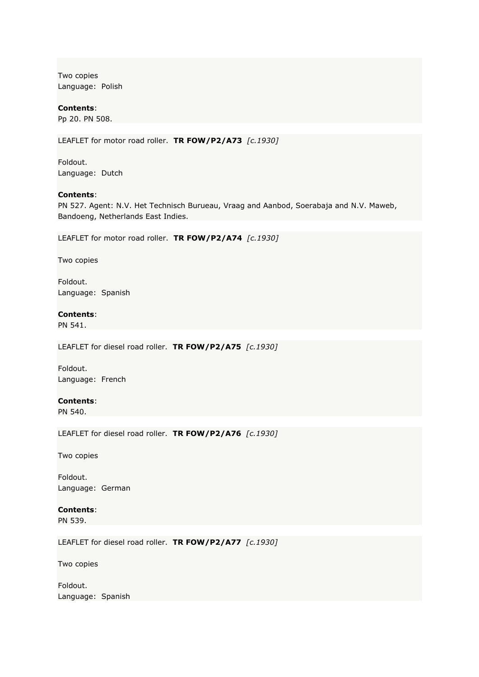Two copies Language: Polish

**Contents**: Pp 20. PN 508.

LEAFLET for motor road roller. **TR FOW/P2/A73** *[c.1930]*

Foldout. Language: Dutch

#### **Contents**:

PN 527. Agent: N.V. Het Technisch Burueau, Vraag and Aanbod, Soerabaja and N.V. Maweb, Bandoeng, Netherlands East Indies.

LEAFLET for motor road roller. **TR FOW/P2/A74** *[c.1930]*

Two copies

Foldout. Language: Spanish

# **Contents**:

PN 541.

LEAFLET for diesel road roller. **TR FOW/P2/A75** *[c.1930]*

Foldout. Language: French

#### **Contents**:

PN 540.

LEAFLET for diesel road roller. **TR FOW/P2/A76** *[c.1930]*

Two copies

Foldout. Language: German

# **Contents**:

PN 539.

LEAFLET for diesel road roller. **TR FOW/P2/A77** *[c.1930]*

Two copies

Foldout. Language: Spanish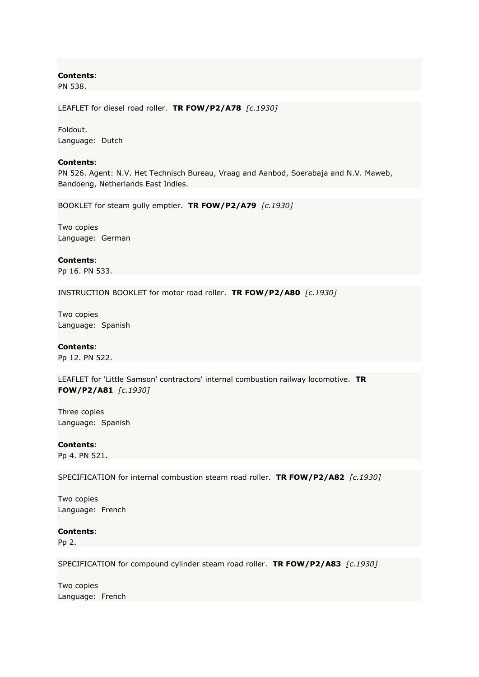PN 538.

LEAFLET for diesel road roller. **TR FOW/P2/A78** *[c.1930]*

Foldout. Language: Dutch

#### **Contents**:

PN 526. Agent: N.V. Het Technisch Bureau, Vraag and Aanbod, Soerabaja and N.V. Maweb, Bandoeng, Netherlands East Indies.

BOOKLET for steam gully emptier. **TR FOW/P2/A79** *[c.1930]*

Two copies Language: German

**Contents**: Pp 16. PN 533.

INSTRUCTION BOOKLET for motor road roller. **TR FOW/P2/A80** *[c.1930]*

Two copies Language: Spanish

#### **Contents**:

Pp 12. PN 522.

LEAFLET for 'Little Samson' contractors' internal combustion railway locomotive. **TR FOW/P2/A81** *[c.1930]*

Three copies Language: Spanish

**Contents**: Pp 4. PN 521.

SPECIFICATION for internal combustion steam road roller. **TR FOW/P2/A82** *[c.1930]*

Two copies Language: French

**Contents**:

Pp 2.

SPECIFICATION for compound cylinder steam road roller. **TR FOW/P2/A83** *[c.1930]*

Two copies Language: French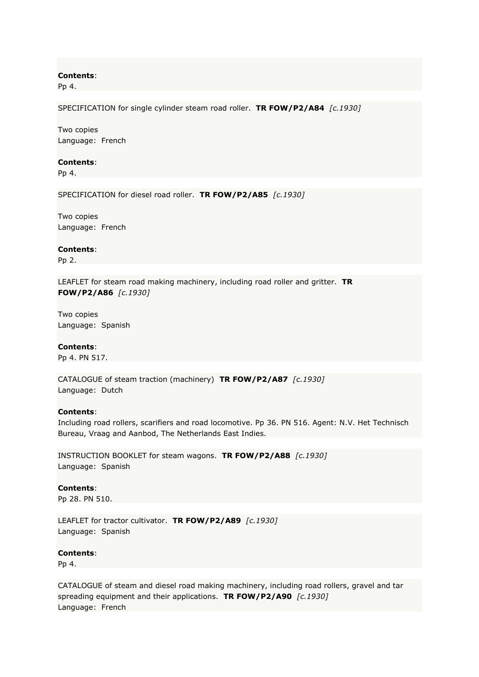Pp 4.

SPECIFICATION for single cylinder steam road roller. **TR FOW/P2/A84** *[c.1930]*

Two copies Language: French

#### **Contents**:

Pp 4.

SPECIFICATION for diesel road roller. **TR FOW/P2/A85** *[c.1930]*

Two copies Language: French

**Contents**:

Pp 2.

LEAFLET for steam road making machinery, including road roller and gritter. **TR FOW/P2/A86** *[c.1930]*

Two copies Language: Spanish

#### **Contents**:

Pp 4. PN 517.

CATALOGUE of steam traction (machinery) **TR FOW/P2/A87** *[c.1930]* Language: Dutch

#### **Contents**:

Including road rollers, scarifiers and road locomotive. Pp 36. PN 516. Agent: N.V. Het Technisch Bureau, Vraag and Aanbod, The Netherlands East Indies.

INSTRUCTION BOOKLET for steam wagons. **TR FOW/P2/A88** *[c.1930]* Language: Spanish

**Contents**: Pp 28. PN 510.

LEAFLET for tractor cultivator. **TR FOW/P2/A89** *[c.1930]* Language: Spanish

**Contents**:

Pp 4.

CATALOGUE of steam and diesel road making machinery, including road rollers, gravel and tar spreading equipment and their applications. **TR FOW/P2/A90** *[c.1930]* Language: French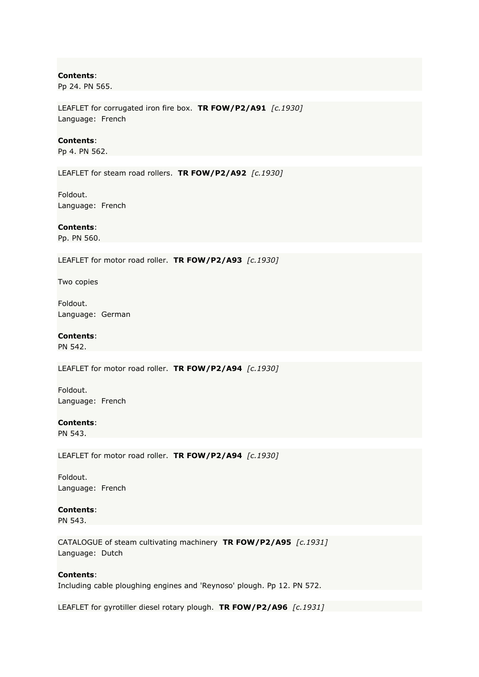Pp 24. PN 565.

LEAFLET for corrugated iron fire box. **TR FOW/P2/A91** *[c.1930]* Language: French

#### **Contents**:

Pp 4. PN 562.

LEAFLET for steam road rollers. **TR FOW/P2/A92** *[c.1930]*

Foldout. Language: French

## **Contents**:

Pp. PN 560.

LEAFLET for motor road roller. **TR FOW/P2/A93** *[c.1930]*

Two copies

Foldout. Language: German

#### **Contents**:

PN 542.

LEAFLET for motor road roller. **TR FOW/P2/A94** *[c.1930]*

Foldout. Language: French

# **Contents**:

PN 543.

LEAFLET for motor road roller. **TR FOW/P2/A94** *[c.1930]*

Foldout. Language: French

# **Contents**:

PN 543.

CATALOGUE of steam cultivating machinery **TR FOW/P2/A95** *[c.1931]* Language: Dutch

#### **Contents**:

Including cable ploughing engines and 'Reynoso' plough. Pp 12. PN 572.

LEAFLET for gyrotiller diesel rotary plough. **TR FOW/P2/A96** *[c.1931]*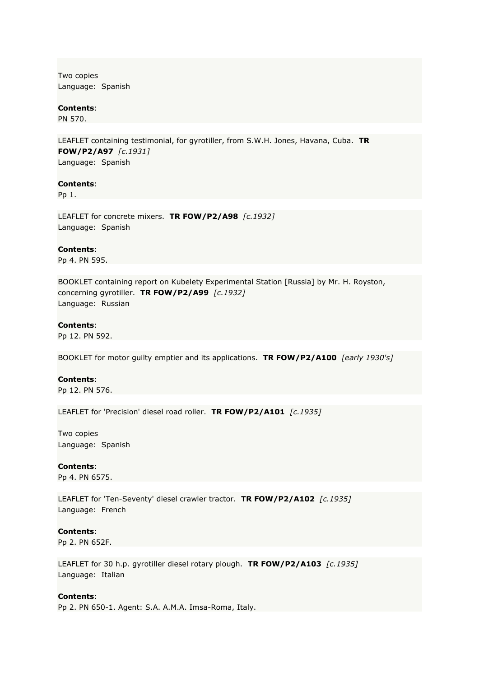Two copies Language: Spanish

**Contents**:

PN 570.

LEAFLET containing testimonial, for gyrotiller, from S.W.H. Jones, Havana, Cuba. **TR FOW/P2/A97** *[c.1931]* Language: Spanish

## **Contents**:

Pp 1.

LEAFLET for concrete mixers. **TR FOW/P2/A98** *[c.1932]* Language: Spanish

**Contents**: Pp 4. PN 595.

BOOKLET containing report on Kubelety Experimental Station [Russia] by Mr. H. Royston, concerning gyrotiller. **TR FOW/P2/A99** *[c.1932]* Language: Russian

## **Contents**:

Pp 12. PN 592.

BOOKLET for motor guilty emptier and its applications. **TR FOW/P2/A100** *[early 1930's]*

# **Contents**:

Pp 12. PN 576.

LEAFLET for 'Precision' diesel road roller. **TR FOW/P2/A101** *[c.1935]*

Two copies Language: Spanish

## **Contents**:

Pp 4. PN 6575.

LEAFLET for 'Ten-Seventy' diesel crawler tractor. **TR FOW/P2/A102** *[c.1935]* Language: French

## **Contents**:

Pp 2. PN 652F.

LEAFLET for 30 h.p. gyrotiller diesel rotary plough. **TR FOW/P2/A103** *[c.1935]* Language: Italian

## **Contents**:

Pp 2. PN 650-1. Agent: S.A. A.M.A. Imsa-Roma, Italy.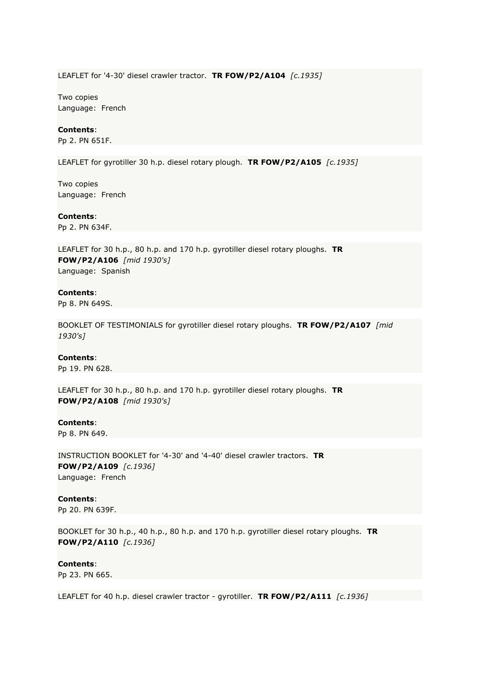LEAFLET for '4-30' diesel crawler tractor. **TR FOW/P2/A104** *[c.1935]*

Two copies Language: French

## **Contents**:

Pp 2. PN 651F.

LEAFLET for gyrotiller 30 h.p. diesel rotary plough. **TR FOW/P2/A105** *[c.1935]*

Two copies Language: French

**Contents**:

Pp 2. PN 634F.

LEAFLET for 30 h.p., 80 h.p. and 170 h.p. gyrotiller diesel rotary ploughs. **TR FOW/P2/A106** *[mid 1930's]* Language: Spanish

## **Contents**:

Pp 8. PN 649S.

BOOKLET OF TESTIMONIALS for gyrotiller diesel rotary ploughs. **TR FOW/P2/A107** *[mid 1930's]*

## **Contents**:

Pp 19. PN 628.

LEAFLET for 30 h.p., 80 h.p. and 170 h.p. gyrotiller diesel rotary ploughs. **TR FOW/P2/A108** *[mid 1930's]*

### **Contents**:

Pp 8. PN 649.

INSTRUCTION BOOKLET for '4-30' and '4-40' diesel crawler tractors. **TR FOW/P2/A109** *[c.1936]* Language: French

**Contents**:

Pp 20. PN 639F.

BOOKLET for 30 h.p., 40 h.p., 80 h.p. and 170 h.p. gyrotiller diesel rotary ploughs. **TR FOW/P2/A110** *[c.1936]*

**Contents**:

Pp 23. PN 665.

LEAFLET for 40 h.p. diesel crawler tractor - gyrotiller. **TR FOW/P2/A111** *[c.1936]*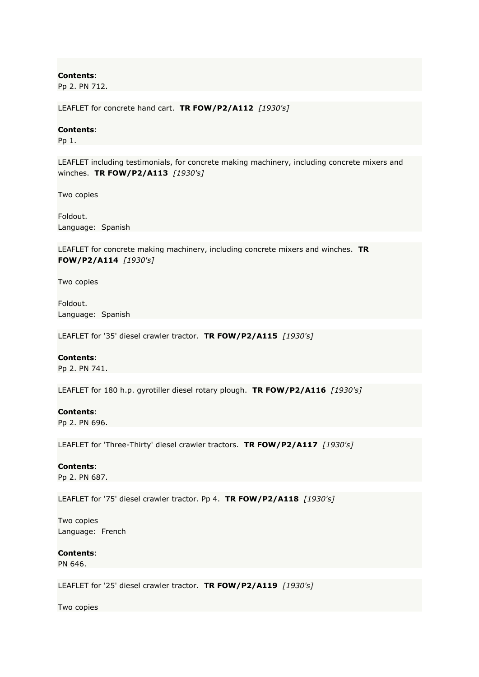Pp 2. PN 712.

LEAFLET for concrete hand cart. **TR FOW/P2/A112** *[1930's]*

## **Contents**:

Pp 1.

LEAFLET including testimonials, for concrete making machinery, including concrete mixers and winches. **TR FOW/P2/A113** *[1930's]*

Two copies

Foldout. Language: Spanish

LEAFLET for concrete making machinery, including concrete mixers and winches. **TR FOW/P2/A114** *[1930's]*

Two copies

Foldout. Language: Spanish

LEAFLET for '35' diesel crawler tractor. **TR FOW/P2/A115** *[1930's]*

### **Contents**:

Pp 2. PN 741.

LEAFLET for 180 h.p. gyrotiller diesel rotary plough. **TR FOW/P2/A116** *[1930's]*

### **Contents**:

Pp 2. PN 696.

LEAFLET for 'Three-Thirty' diesel crawler tractors. **TR FOW/P2/A117** *[1930's]*

### **Contents**:

Pp 2. PN 687.

LEAFLET for '75' diesel crawler tractor. Pp 4. **TR FOW/P2/A118** *[1930's]*

Two copies Language: French

## **Contents**:

PN 646.

LEAFLET for '25' diesel crawler tractor. **TR FOW/P2/A119** *[1930's]*

Two copies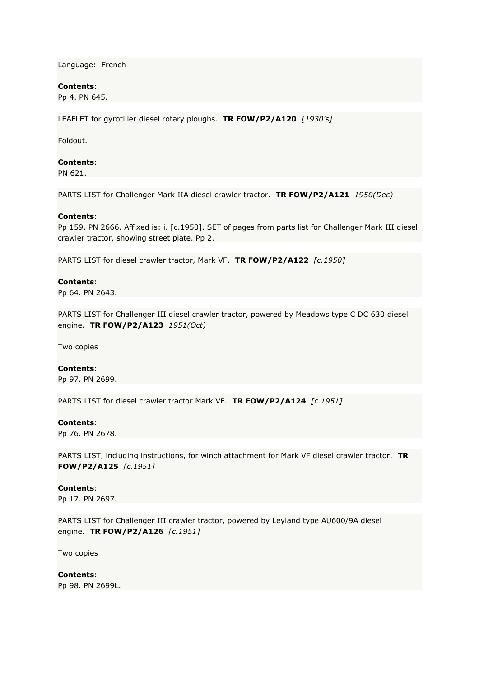Language: French

## **Contents**:

Pp 4. PN 645.

LEAFLET for gyrotiller diesel rotary ploughs. **TR FOW/P2/A120** *[1930's]*

Foldout.

## **Contents**:

PN 621.

PARTS LIST for Challenger Mark IIA diesel crawler tractor. **TR FOW/P2/A121** *1950(Dec)*

## **Contents**:

Pp 159. PN 2666. Affixed is: i. [c.1950]. SET of pages from parts list for Challenger Mark III diesel crawler tractor, showing street plate. Pp 2.

PARTS LIST for diesel crawler tractor, Mark VF. **TR FOW/P2/A122** *[c.1950]*

## **Contents**:

Pp 64. PN 2643.

PARTS LIST for Challenger III diesel crawler tractor, powered by Meadows type C DC 630 diesel engine. **TR FOW/P2/A123** *1951(Oct)*

Two copies

### **Contents**:

Pp 97. PN 2699.

PARTS LIST for diesel crawler tractor Mark VF. **TR FOW/P2/A124** *[c.1951]*

### **Contents**:

Pp 76. PN 2678.

PARTS LIST, including instructions, for winch attachment for Mark VF diesel crawler tractor. **TR FOW/P2/A125** *[c.1951]*

## **Contents**:

Pp 17. PN 2697.

PARTS LIST for Challenger III crawler tractor, powered by Leyland type AU600/9A diesel engine. **TR FOW/P2/A126** *[c.1951]*

Two copies

### **Contents**:

Pp 98. PN 2699L.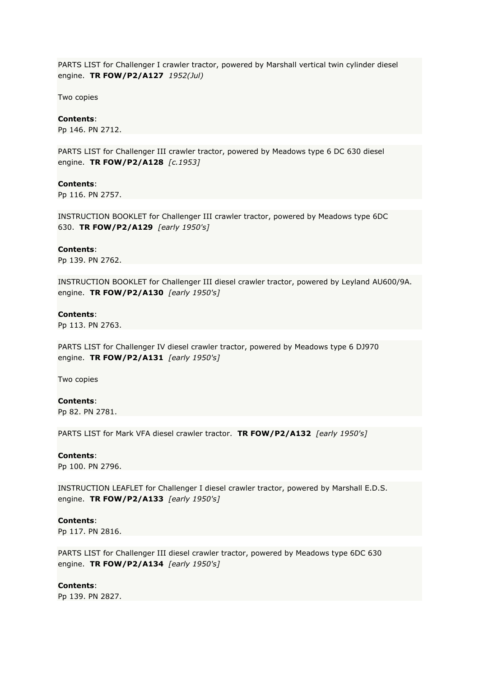PARTS LIST for Challenger I crawler tractor, powered by Marshall vertical twin cylinder diesel engine. **TR FOW/P2/A127** *1952(Jul)*

Two copies

## **Contents**:

Pp 146. PN 2712.

PARTS LIST for Challenger III crawler tractor, powered by Meadows type 6 DC 630 diesel engine. **TR FOW/P2/A128** *[c.1953]*

### **Contents**:

Pp 116. PN 2757.

INSTRUCTION BOOKLET for Challenger III crawler tractor, powered by Meadows type 6DC 630. **TR FOW/P2/A129** *[early 1950's]*

#### **Contents**:

Pp 139. PN 2762.

INSTRUCTION BOOKLET for Challenger III diesel crawler tractor, powered by Leyland AU600/9A. engine. **TR FOW/P2/A130** *[early 1950's]*

## **Contents**:

Pp 113. PN 2763.

PARTS LIST for Challenger IV diesel crawler tractor, powered by Meadows type 6 DJ970 engine. **TR FOW/P2/A131** *[early 1950's]*

Two copies

### **Contents**:

Pp 82. PN 2781.

PARTS LIST for Mark VFA diesel crawler tractor. **TR FOW/P2/A132** *[early 1950's]*

#### **Contents**:

Pp 100. PN 2796.

INSTRUCTION LEAFLET for Challenger I diesel crawler tractor, powered by Marshall E.D.S. engine. **TR FOW/P2/A133** *[early 1950's]*

### **Contents**:

Pp 117. PN 2816.

PARTS LIST for Challenger III diesel crawler tractor, powered by Meadows type 6DC 630 engine. **TR FOW/P2/A134** *[early 1950's]*

## **Contents**:

Pp 139. PN 2827.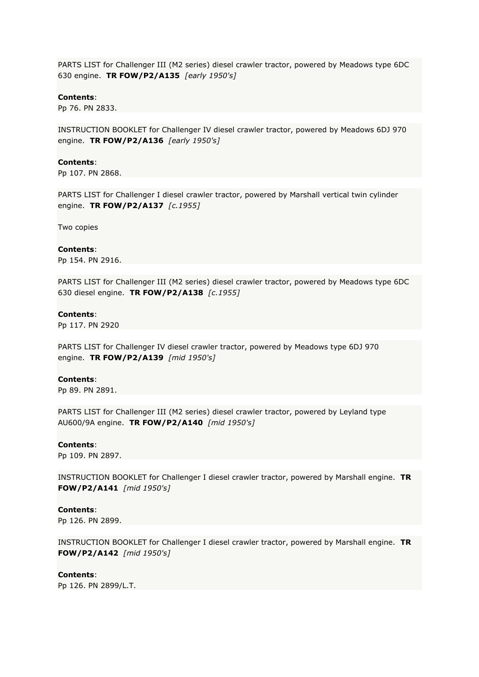PARTS LIST for Challenger III (M2 series) diesel crawler tractor, powered by Meadows type 6DC 630 engine. **TR FOW/P2/A135** *[early 1950's]*

## **Contents**:

Pp 76. PN 2833.

INSTRUCTION BOOKLET for Challenger IV diesel crawler tractor, powered by Meadows 6DJ 970 engine. **TR FOW/P2/A136** *[early 1950's]*

### **Contents**:

Pp 107. PN 2868.

PARTS LIST for Challenger I diesel crawler tractor, powered by Marshall vertical twin cylinder engine. **TR FOW/P2/A137** *[c.1955]*

Two copies

#### **Contents**:

Pp 154. PN 2916.

PARTS LIST for Challenger III (M2 series) diesel crawler tractor, powered by Meadows type 6DC 630 diesel engine. **TR FOW/P2/A138** *[c.1955]*

## **Contents**:

Pp 117. PN 2920

PARTS LIST for Challenger IV diesel crawler tractor, powered by Meadows type 6DJ 970 engine. **TR FOW/P2/A139** *[mid 1950's]*

### **Contents**:

Pp 89. PN 2891.

PARTS LIST for Challenger III (M2 series) diesel crawler tractor, powered by Leyland type AU600/9A engine. **TR FOW/P2/A140** *[mid 1950's]*

### **Contents**:

Pp 109. PN 2897.

INSTRUCTION BOOKLET for Challenger I diesel crawler tractor, powered by Marshall engine. **TR FOW/P2/A141** *[mid 1950's]*

**Contents**:

Pp 126. PN 2899.

INSTRUCTION BOOKLET for Challenger I diesel crawler tractor, powered by Marshall engine. **TR FOW/P2/A142** *[mid 1950's]*

#### **Contents**:

Pp 126. PN 2899/L.T.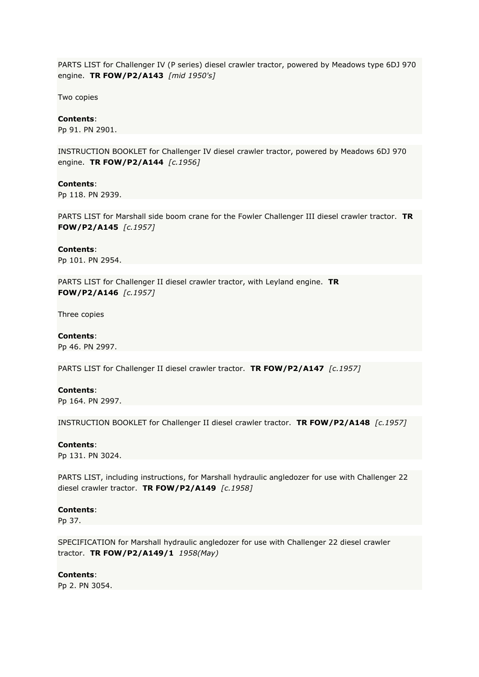PARTS LIST for Challenger IV (P series) diesel crawler tractor, powered by Meadows type 6DJ 970 engine. **TR FOW/P2/A143** *[mid 1950's]*

Two copies

## **Contents**:

Pp 91. PN 2901.

INSTRUCTION BOOKLET for Challenger IV diesel crawler tractor, powered by Meadows 6DJ 970 engine. **TR FOW/P2/A144** *[c.1956]*

### **Contents**:

Pp 118. PN 2939.

PARTS LIST for Marshall side boom crane for the Fowler Challenger III diesel crawler tractor. **TR FOW/P2/A145** *[c.1957]*

# **Contents**:

Pp 101. PN 2954.

PARTS LIST for Challenger II diesel crawler tractor, with Leyland engine. **TR FOW/P2/A146** *[c.1957]*

Three copies

## **Contents**:

Pp 46. PN 2997.

PARTS LIST for Challenger II diesel crawler tractor. **TR FOW/P2/A147** *[c.1957]*

# **Contents**:

Pp 164. PN 2997.

INSTRUCTION BOOKLET for Challenger II diesel crawler tractor. **TR FOW/P2/A148** *[c.1957]*

## **Contents**:

Pp 131. PN 3024.

PARTS LIST, including instructions, for Marshall hydraulic angledozer for use with Challenger 22 diesel crawler tractor. **TR FOW/P2/A149** *[c.1958]*

### **Contents**:

Pp 37.

SPECIFICATION for Marshall hydraulic angledozer for use with Challenger 22 diesel crawler tractor. **TR FOW/P2/A149/1** *1958(May)*

#### **Contents**:

Pp 2. PN 3054.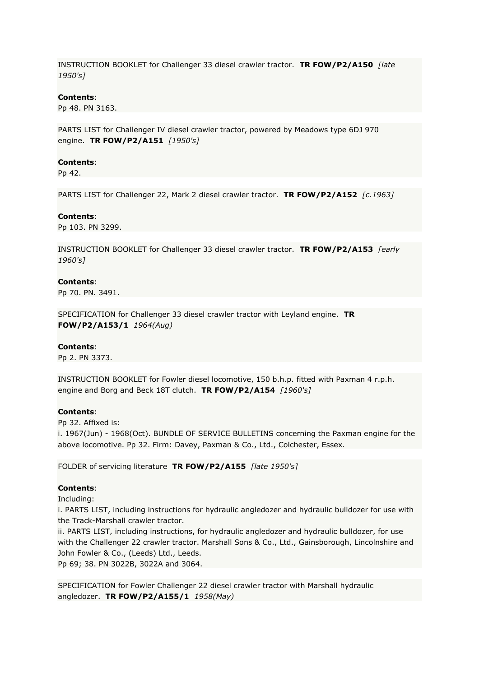INSTRUCTION BOOKLET for Challenger 33 diesel crawler tractor. **TR FOW/P2/A150** *[late 1950's]*

## **Contents**:

Pp 48. PN 3163.

PARTS LIST for Challenger IV diesel crawler tractor, powered by Meadows type 6DJ 970 engine. **TR FOW/P2/A151** *[1950's]*

## **Contents**:

Pp 42.

PARTS LIST for Challenger 22, Mark 2 diesel crawler tractor. **TR FOW/P2/A152** *[c.1963]*

## **Contents**:

Pp 103. PN 3299.

INSTRUCTION BOOKLET for Challenger 33 diesel crawler tractor. **TR FOW/P2/A153** *[early 1960's]*

## **Contents**:

Pp 70. PN. 3491.

SPECIFICATION for Challenger 33 diesel crawler tractor with Leyland engine. **TR FOW/P2/A153/1** *1964(Aug)*

#### **Contents**:

Pp 2. PN 3373.

INSTRUCTION BOOKLET for Fowler diesel locomotive, 150 b.h.p. fitted with Paxman 4 r.p.h. engine and Borg and Beck 18T clutch. **TR FOW/P2/A154** *[1960's]*

#### **Contents**:

Pp 32. Affixed is: i. 1967(Jun) - 1968(Oct). BUNDLE OF SERVICE BULLETINS concerning the Paxman engine for the above locomotive. Pp 32. Firm: Davey, Paxman & Co., Ltd., Colchester, Essex.

FOLDER of servicing literature **TR FOW/P2/A155** *[late 1950's]*

## **Contents**:

Including:

i. PARTS LIST, including instructions for hydraulic angledozer and hydraulic bulldozer for use with the Track-Marshall crawler tractor.

ii. PARTS LIST, including instructions, for hydraulic angledozer and hydraulic bulldozer, for use with the Challenger 22 crawler tractor. Marshall Sons & Co., Ltd., Gainsborough, Lincolnshire and John Fowler & Co., (Leeds) Ltd., Leeds.

Pp 69; 38. PN 3022B, 3022A and 3064.

SPECIFICATION for Fowler Challenger 22 diesel crawler tractor with Marshall hydraulic angledozer. **TR FOW/P2/A155/1** *1958(May)*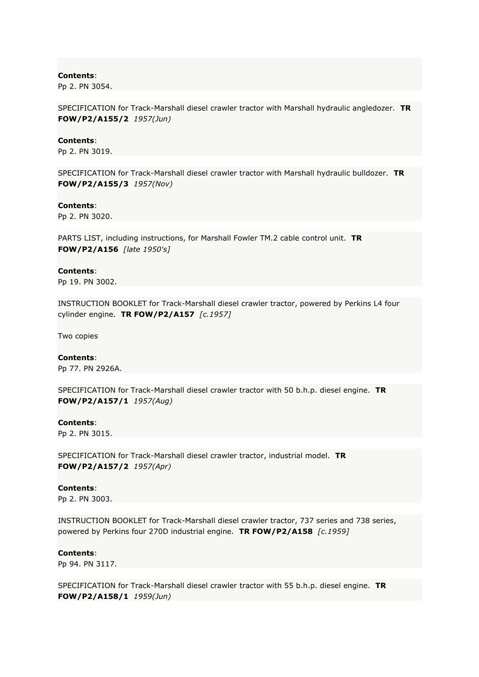Pp 2. PN 3054.

SPECIFICATION for Track-Marshall diesel crawler tractor with Marshall hydraulic angledozer. **TR FOW/P2/A155/2** *1957(Jun)*

### **Contents**:

Pp 2. PN 3019.

SPECIFICATION for Track-Marshall diesel crawler tractor with Marshall hydraulic bulldozer. **TR FOW/P2/A155/3** *1957(Nov)*

### **Contents**:

Pp 2. PN 3020.

PARTS LIST, including instructions, for Marshall Fowler TM.2 cable control unit. **TR FOW/P2/A156** *[late 1950's]*

## **Contents**:

Pp 19. PN 3002.

INSTRUCTION BOOKLET for Track-Marshall diesel crawler tractor, powered by Perkins L4 four cylinder engine. **TR FOW/P2/A157** *[c.1957]*

Two copies

## **Contents**:

Pp 77. PN 2926A.

SPECIFICATION for Track-Marshall diesel crawler tractor with 50 b.h.p. diesel engine. **TR FOW/P2/A157/1** *1957(Aug)*

### **Contents**:

Pp 2. PN 3015.

SPECIFICATION for Track-Marshall diesel crawler tractor, industrial model. **TR FOW/P2/A157/2** *1957(Apr)*

# **Contents**:

Pp 2. PN 3003.

INSTRUCTION BOOKLET for Track-Marshall diesel crawler tractor, 737 series and 738 series, powered by Perkins four 270D industrial engine. **TR FOW/P2/A158** *[c.1959]*

## **Contents**:

Pp 94. PN 3117.

SPECIFICATION for Track-Marshall diesel crawler tractor with 55 b.h.p. diesel engine. **TR FOW/P2/A158/1** *1959(Jun)*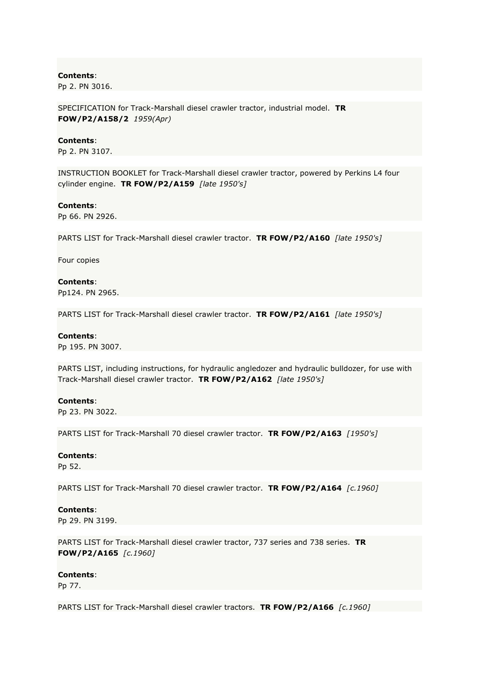Pp 2. PN 3016.

SPECIFICATION for Track-Marshall diesel crawler tractor, industrial model. **TR FOW/P2/A158/2** *1959(Apr)*

### **Contents**:

Pp 2. PN 3107.

INSTRUCTION BOOKLET for Track-Marshall diesel crawler tractor, powered by Perkins L4 four cylinder engine. **TR FOW/P2/A159** *[late 1950's]*

### **Contents**:

Pp 66. PN 2926.

PARTS LIST for Track-Marshall diesel crawler tractor. **TR FOW/P2/A160** *[late 1950's]*

Four copies

**Contents**: Pp124. PN 2965.

PARTS LIST for Track-Marshall diesel crawler tractor. **TR FOW/P2/A161** *[late 1950's]*

### **Contents**:

Pp 195. PN 3007.

PARTS LIST, including instructions, for hydraulic angledozer and hydraulic bulldozer, for use with Track-Marshall diesel crawler tractor. **TR FOW/P2/A162** *[late 1950's]*

### **Contents**:

Pp 23. PN 3022.

PARTS LIST for Track-Marshall 70 diesel crawler tractor. **TR FOW/P2/A163** *[1950's]*

### **Contents**:

Pp 52.

PARTS LIST for Track-Marshall 70 diesel crawler tractor. **TR FOW/P2/A164** *[c.1960]*

### **Contents**:

Pp 29. PN 3199.

PARTS LIST for Track-Marshall diesel crawler tractor, 737 series and 738 series. **TR FOW/P2/A165** *[c.1960]*

### **Contents**:

Pp 77.

PARTS LIST for Track-Marshall diesel crawler tractors. **TR FOW/P2/A166** *[c.1960]*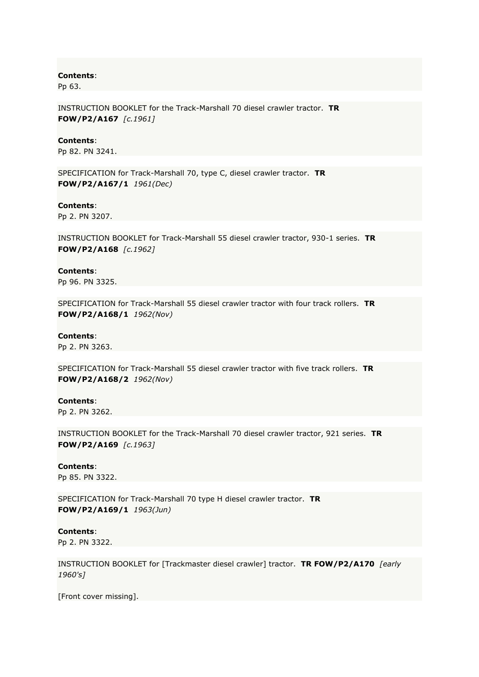Pp 63.

INSTRUCTION BOOKLET for the Track-Marshall 70 diesel crawler tractor. **TR FOW/P2/A167** *[c.1961]*

## **Contents**:

Pp 82. PN 3241.

SPECIFICATION for Track-Marshall 70, type C, diesel crawler tractor. **TR FOW/P2/A167/1** *1961(Dec)*

## **Contents**:

Pp 2. PN 3207.

INSTRUCTION BOOKLET for Track-Marshall 55 diesel crawler tractor, 930-1 series. **TR FOW/P2/A168** *[c.1962]*

## **Contents**:

Pp 96. PN 3325.

SPECIFICATION for Track-Marshall 55 diesel crawler tractor with four track rollers. **TR FOW/P2/A168/1** *1962(Nov)*

## **Contents**:

Pp 2. PN 3263.

SPECIFICATION for Track-Marshall 55 diesel crawler tractor with five track rollers. **TR FOW/P2/A168/2** *1962(Nov)*

### **Contents**:

Pp 2. PN 3262.

INSTRUCTION BOOKLET for the Track-Marshall 70 diesel crawler tractor, 921 series. **TR FOW/P2/A169** *[c.1963]*

### **Contents**:

Pp 85. PN 3322.

SPECIFICATION for Track-Marshall 70 type H diesel crawler tractor. **TR FOW/P2/A169/1** *1963(Jun)*

## **Contents**:

Pp 2. PN 3322.

INSTRUCTION BOOKLET for [Trackmaster diesel crawler] tractor. **TR FOW/P2/A170** *[early 1960's]*

[Front cover missing].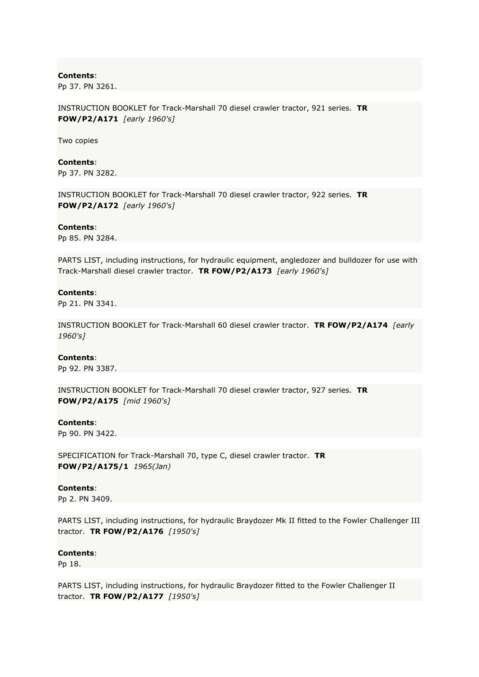Pp 37. PN 3261.

INSTRUCTION BOOKLET for Track-Marshall 70 diesel crawler tractor, 921 series. **TR FOW/P2/A171** *[early 1960's]*

Two copies

### **Contents**:

Pp 37. PN 3282.

INSTRUCTION BOOKLET for Track-Marshall 70 diesel crawler tractor, 922 series. **TR FOW/P2/A172** *[early 1960's]*

#### **Contents**:

Pp 85. PN 3284.

PARTS LIST, including instructions, for hydraulic equipment, angledozer and bulldozer for use with Track-Marshall diesel crawler tractor. **TR FOW/P2/A173** *[early 1960's]*

#### **Contents**:

Pp 21. PN 3341.

INSTRUCTION BOOKLET for Track-Marshall 60 diesel crawler tractor. **TR FOW/P2/A174** *[early 1960's]*

## **Contents**:

Pp 92. PN 3387.

INSTRUCTION BOOKLET for Track-Marshall 70 diesel crawler tractor, 927 series. **TR FOW/P2/A175** *[mid 1960's]*

### **Contents**:

Pp 90. PN 3422.

SPECIFICATION for Track-Marshall 70, type C, diesel crawler tractor. **TR FOW/P2/A175/1** *1965(Jan)*

### **Contents**:

Pp 2. PN 3409.

PARTS LIST, including instructions, for hydraulic Braydozer Mk II fitted to the Fowler Challenger III tractor. **TR FOW/P2/A176** *[1950's]*

## **Contents**:

Pp 18.

PARTS LIST, including instructions, for hydraulic Braydozer fitted to the Fowler Challenger II tractor. **TR FOW/P2/A177** *[1950's]*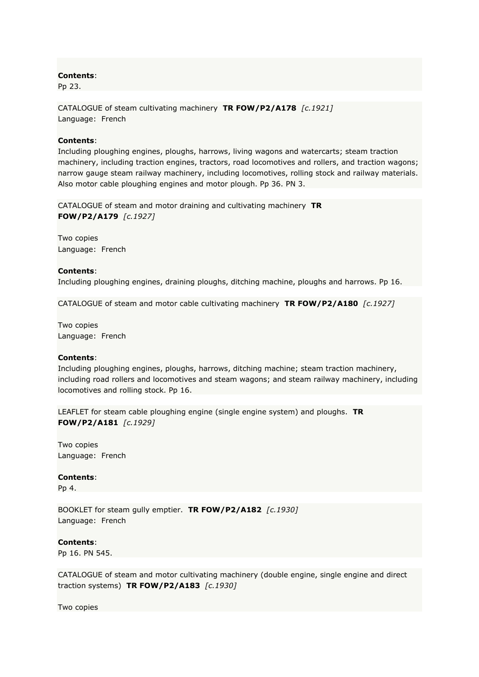Pp 23.

CATALOGUE of steam cultivating machinery **TR FOW/P2/A178** *[c.1921]* Language: French

# **Contents**:

Including ploughing engines, ploughs, harrows, living wagons and watercarts; steam traction machinery, including traction engines, tractors, road locomotives and rollers, and traction wagons; narrow gauge steam railway machinery, including locomotives, rolling stock and railway materials. Also motor cable ploughing engines and motor plough. Pp 36. PN 3.

CATALOGUE of steam and motor draining and cultivating machinery **TR FOW/P2/A179** *[c.1927]*

Two copies Language: French

## **Contents**:

Including ploughing engines, draining ploughs, ditching machine, ploughs and harrows. Pp 16.

CATALOGUE of steam and motor cable cultivating machinery **TR FOW/P2/A180** *[c.1927]*

Two copies Language: French

## **Contents**:

Including ploughing engines, ploughs, harrows, ditching machine; steam traction machinery, including road rollers and locomotives and steam wagons; and steam railway machinery, including locomotives and rolling stock. Pp 16.

LEAFLET for steam cable ploughing engine (single engine system) and ploughs. **TR FOW/P2/A181** *[c.1929]*

Two copies Language: French

## **Contents**:

Pp 4.

BOOKLET for steam gully emptier. **TR FOW/P2/A182** *[c.1930]* Language: French

**Contents**:

Pp 16. PN 545.

CATALOGUE of steam and motor cultivating machinery (double engine, single engine and direct traction systems) **TR FOW/P2/A183** *[c.1930]*

Two copies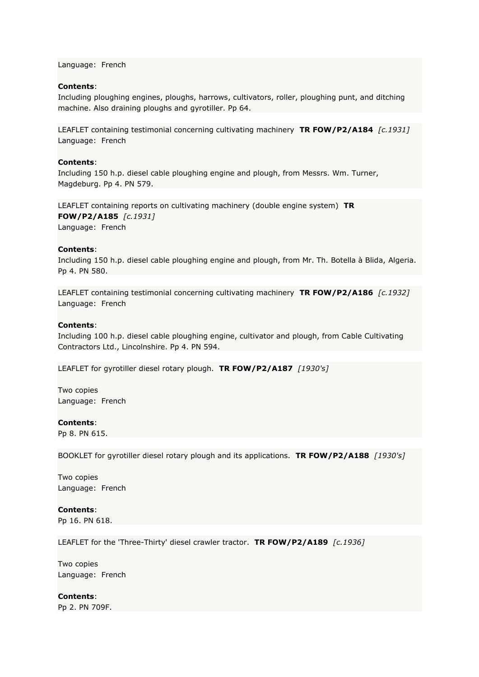Language: French

# **Contents**:

Including ploughing engines, ploughs, harrows, cultivators, roller, ploughing punt, and ditching machine. Also draining ploughs and gyrotiller. Pp 64.

LEAFLET containing testimonial concerning cultivating machinery **TR FOW/P2/A184** *[c.1931]* Language: French

## **Contents**:

Including 150 h.p. diesel cable ploughing engine and plough, from Messrs. Wm. Turner, Magdeburg. Pp 4. PN 579.

LEAFLET containing reports on cultivating machinery (double engine system) **TR FOW/P2/A185** *[c.1931]* Language: French

## **Contents**:

Including 150 h.p. diesel cable ploughing engine and plough, from Mr. Th. Botella à Blida, Algeria. Pp 4. PN 580.

LEAFLET containing testimonial concerning cultivating machinery **TR FOW/P2/A186** *[c.1932]* Language: French

## **Contents**:

Including 100 h.p. diesel cable ploughing engine, cultivator and plough, from Cable Cultivating Contractors Ltd., Lincolnshire. Pp 4. PN 594.

LEAFLET for gyrotiller diesel rotary plough. **TR FOW/P2/A187** *[1930's]*

Two copies Language: French

# **Contents**:

Pp 8. PN 615.

BOOKLET for gyrotiller diesel rotary plough and its applications. **TR FOW/P2/A188** *[1930's]*

Two copies Language: French

**Contents**:

Pp 16. PN 618.

LEAFLET for the 'Three-Thirty' diesel crawler tractor. **TR FOW/P2/A189** *[c.1936]*

Two copies Language: French

**Contents**: Pp 2. PN 709F.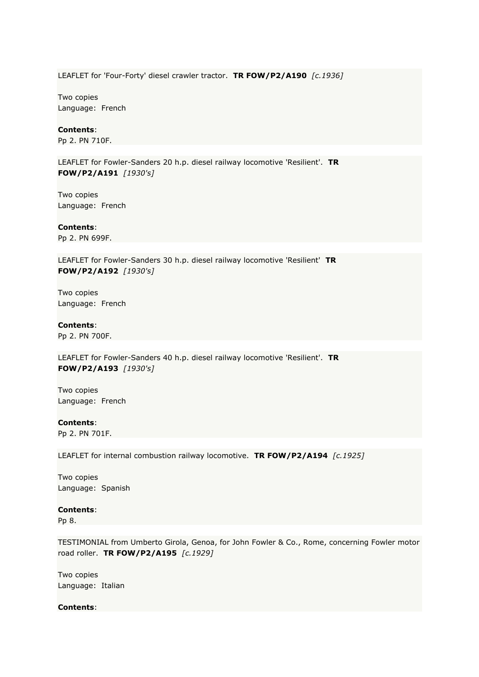LEAFLET for 'Four-Forty' diesel crawler tractor. **TR FOW/P2/A190** *[c.1936]*

Two copies Language: French

## **Contents**:

Pp 2. PN 710F.

LEAFLET for Fowler-Sanders 20 h.p. diesel railway locomotive 'Resilient'. **TR FOW/P2/A191** *[1930's]*

Two copies Language: French

**Contents**: Pp 2. PN 699F.

LEAFLET for Fowler-Sanders 30 h.p. diesel railway locomotive 'Resilient' **TR** 

**FOW/P2/A192** *[1930's]*

Two copies Language: French

**Contents**:

Pp 2. PN 700F.

LEAFLET for Fowler-Sanders 40 h.p. diesel railway locomotive 'Resilient'. **TR FOW/P2/A193** *[1930's]*

Two copies Language: French

**Contents**: Pp 2. PN 701F.

LEAFLET for internal combustion railway locomotive. **TR FOW/P2/A194** *[c.1925]*

Two copies Language: Spanish

**Contents**:

Pp 8.

TESTIMONIAL from Umberto Girola, Genoa, for John Fowler & Co., Rome, concerning Fowler motor road roller. **TR FOW/P2/A195** *[c.1929]*

Two copies Language: Italian

**Contents**: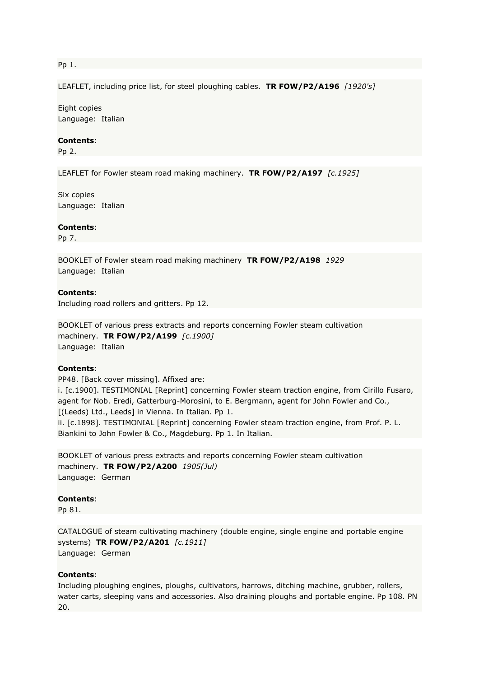## Pp 1.

LEAFLET, including price list, for steel ploughing cables. **TR FOW/P2/A196** *[1920's]*

Eight copies Language: Italian

## **Contents**:

Pp 2.

LEAFLET for Fowler steam road making machinery. **TR FOW/P2/A197** *[c.1925]*

Six copies Language: Italian

#### **Contents**:

Pp 7.

BOOKLET of Fowler steam road making machinery **TR FOW/P2/A198** *1929* Language: Italian

#### **Contents**:

Including road rollers and gritters. Pp 12.

BOOKLET of various press extracts and reports concerning Fowler steam cultivation machinery. **TR FOW/P2/A199** *[c.1900]* Language: Italian

# **Contents**:

PP48. [Back cover missing]. Affixed are:

i. [c.1900]. TESTIMONIAL [Reprint] concerning Fowler steam traction engine, from Cirillo Fusaro, agent for Nob. Eredi, Gatterburg-Morosini, to E. Bergmann, agent for John Fowler and Co., [(Leeds) Ltd., Leeds] in Vienna. In Italian. Pp 1. ii. [c.1898]. TESTIMONIAL [Reprint] concerning Fowler steam traction engine, from Prof. P. L.

Biankini to John Fowler & Co., Magdeburg. Pp 1. In Italian.

BOOKLET of various press extracts and reports concerning Fowler steam cultivation machinery. **TR FOW/P2/A200** *1905(Jul)* Language: German

## **Contents**:

Pp 81.

CATALOGUE of steam cultivating machinery (double engine, single engine and portable engine systems) **TR FOW/P2/A201** *[c.1911]* Language: German

#### **Contents**:

Including ploughing engines, ploughs, cultivators, harrows, ditching machine, grubber, rollers, water carts, sleeping vans and accessories. Also draining ploughs and portable engine. Pp 108. PN 20.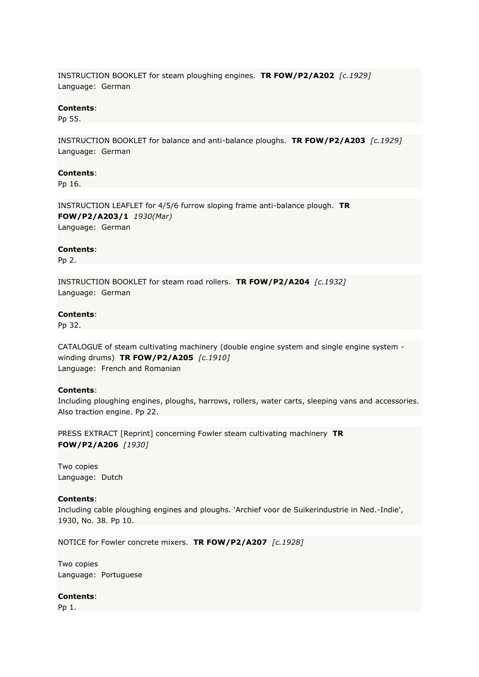INSTRUCTION BOOKLET for steam ploughing engines. **TR FOW/P2/A202** *[c.1929]* Language: German

## **Contents**:

Pp 55.

INSTRUCTION BOOKLET for balance and anti-balance ploughs. **TR FOW/P2/A203** *[c.1929]* Language: German

## **Contents**:

Pp 16.

INSTRUCTION LEAFLET for 4/5/6 furrow sloping frame anti-balance plough. **TR FOW/P2/A203/1** *1930(Mar)* Language: German

## **Contents**:

Pp 2.

INSTRUCTION BOOKLET for steam road rollers. **TR FOW/P2/A204** *[c.1932]* Language: German

## **Contents**:

Pp 32.

CATALOGUE of steam cultivating machinery (double engine system and single engine system winding drums) **TR FOW/P2/A205** *[c.1910]* Language: French and Romanian

## **Contents**:

Including ploughing engines, ploughs, harrows, rollers, water carts, sleeping vans and accessories. Also traction engine. Pp 22.

PRESS EXTRACT [Reprint] concerning Fowler steam cultivating machinery **TR FOW/P2/A206** *[1930]*

Two copies Language: Dutch

# **Contents**:

Including cable ploughing engines and ploughs. 'Archief voor de Suikerindustrie in Ned.-Indie', 1930, No. 38. Pp 10.

NOTICE for Fowler concrete mixers. **TR FOW/P2/A207** *[c.1928]*

Two copies Language: Portuguese

### **Contents**:

Pp 1.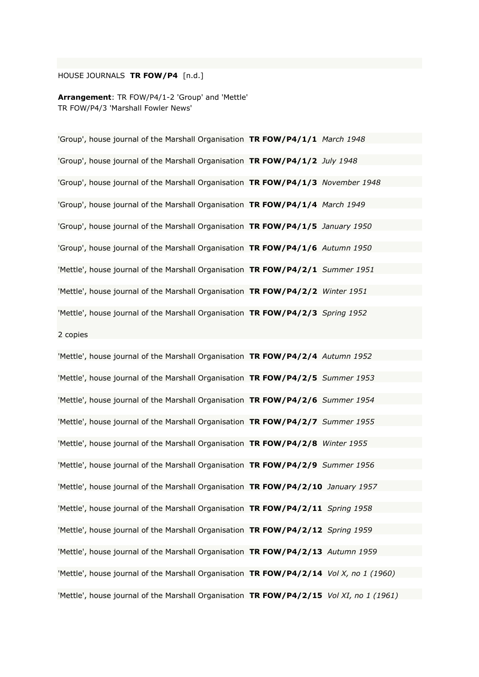# HOUSE JOURNALS **TR FOW/P4** [n.d.]

**Arrangement**: TR FOW/P4/1-2 'Group' and 'Mettle' TR FOW/P4/3 'Marshall Fowler News'

'Group', house journal of the Marshall Organisation **TR FOW/P4/1/1** *March 1948* 'Group', house journal of the Marshall Organisation **TR FOW/P4/1/2** *July 1948* 'Group', house journal of the Marshall Organisation **TR FOW/P4/1/3** *November 1948* 'Group', house journal of the Marshall Organisation **TR FOW/P4/1/4** *March 1949* 'Group', house journal of the Marshall Organisation **TR FOW/P4/1/5** *January 1950* 'Group', house journal of the Marshall Organisation **TR FOW/P4/1/6** *Autumn 1950* 'Mettle', house journal of the Marshall Organisation **TR FOW/P4/2/1** *Summer 1951* 'Mettle', house journal of the Marshall Organisation **TR FOW/P4/2/2** *Winter 1951* 'Mettle', house journal of the Marshall Organisation **TR FOW/P4/2/3** *Spring 1952* 2 copies

'Mettle', house journal of the Marshall Organisation **TR FOW/P4/2/4** *Autumn 1952* 'Mettle', house journal of the Marshall Organisation **TR FOW/P4/2/5** *Summer 1953* 'Mettle', house journal of the Marshall Organisation **TR FOW/P4/2/6** *Summer 1954* 'Mettle', house journal of the Marshall Organisation **TR FOW/P4/2/7** *Summer 1955* 'Mettle', house journal of the Marshall Organisation **TR FOW/P4/2/8** *Winter 1955* 'Mettle', house journal of the Marshall Organisation **TR FOW/P4/2/9** *Summer 1956* 'Mettle', house journal of the Marshall Organisation **TR FOW/P4/2/10** *January 1957* 'Mettle', house journal of the Marshall Organisation **TR FOW/P4/2/11** *Spring 1958* 'Mettle', house journal of the Marshall Organisation **TR FOW/P4/2/12** *Spring 1959* 'Mettle', house journal of the Marshall Organisation **TR FOW/P4/2/13** *Autumn 1959* 'Mettle', house journal of the Marshall Organisation **TR FOW/P4/2/14** *Vol X, no 1 (1960)* 'Mettle', house journal of the Marshall Organisation **TR FOW/P4/2/15** *Vol XI, no 1 (1961)*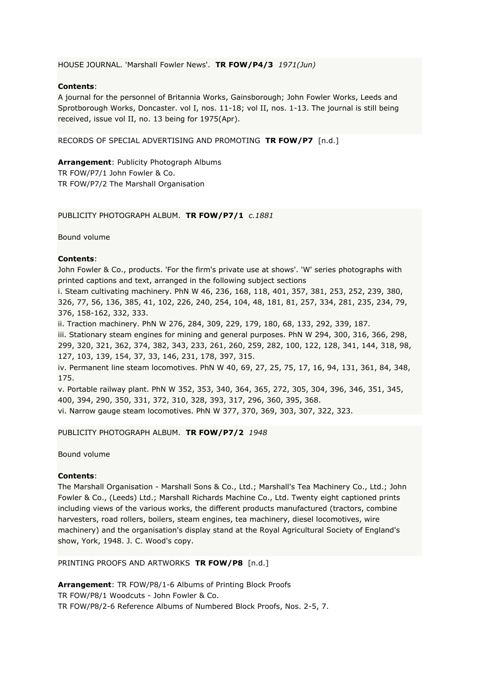HOUSE JOURNAL. 'Marshall Fowler News'. **TR FOW/P4/3** *1971(Jun)*

# **Contents**:

A journal for the personnel of Britannia Works, Gainsborough; John Fowler Works, Leeds and Sprotborough Works, Doncaster. vol I, nos. 11-18; vol II, nos. 1-13. The journal is still being received, issue vol II, no. 13 being for 1975(Apr).

RECORDS OF SPECIAL ADVERTISING AND PROMOTING **TR FOW/P7** [n.d.]

**Arrangement**: Publicity Photograph Albums TR FOW/P7/1 John Fowler & Co. TR FOW/P7/2 The Marshall Organisation

PUBLICITY PHOTOGRAPH ALBUM. **TR FOW/P7/1** *c.1881*

Bound volume

# **Contents**:

John Fowler & Co., products. 'For the firm's private use at shows'. 'W' series photographs with printed captions and text, arranged in the following subject sections

i. Steam cultivating machinery. PhN W 46, 236, 168, 118, 401, 357, 381, 253, 252, 239, 380, 326, 77, 56, 136, 385, 41, 102, 226, 240, 254, 104, 48, 181, 81, 257, 334, 281, 235, 234, 79, 376, 158-162, 332, 333.

ii. Traction machinery. PhN W 276, 284, 309, 229, 179, 180, 68, 133, 292, 339, 187.

iii. Stationary steam engines for mining and general purposes. PhN W 294, 300, 316, 366, 298, 299, 320, 321, 362, 374, 382, 343, 233, 261, 260, 259, 282, 100, 122, 128, 341, 144, 318, 98, 127, 103, 139, 154, 37, 33, 146, 231, 178, 397, 315.

iv. Permanent line steam locomotives. PhN W 40, 69, 27, 25, 75, 17, 16, 94, 131, 361, 84, 348, 175.

v. Portable railway plant. PhN W 352, 353, 340, 364, 365, 272, 305, 304, 396, 346, 351, 345, 400, 394, 290, 350, 331, 372, 310, 328, 393, 317, 296, 360, 395, 368. vi. Narrow gauge steam locomotives. PhN W 377, 370, 369, 303, 307, 322, 323.

PUBLICITY PHOTOGRAPH ALBUM. **TR FOW/P7/2** *1948*

Bound volume

## **Contents**:

The Marshall Organisation - Marshall Sons & Co., Ltd.; Marshall's Tea Machinery Co., Ltd.; John Fowler & Co., (Leeds) Ltd.; Marshall Richards Machine Co., Ltd. Twenty eight captioned prints including views of the various works, the different products manufactured (tractors, combine harvesters, road rollers, boilers, steam engines, tea machinery, diesel locomotives, wire machinery) and the organisation's display stand at the Royal Agricultural Society of England's show, York, 1948. J. C. Wood's copy.

PRINTING PROOFS AND ARTWORKS **TR FOW/P8** [n.d.]

**Arrangement**: TR FOW/P8/1-6 Albums of Printing Block Proofs TR FOW/P8/1 Woodcuts - John Fowler & Co. TR FOW/P8/2-6 Reference Albums of Numbered Block Proofs, Nos. 2-5, 7.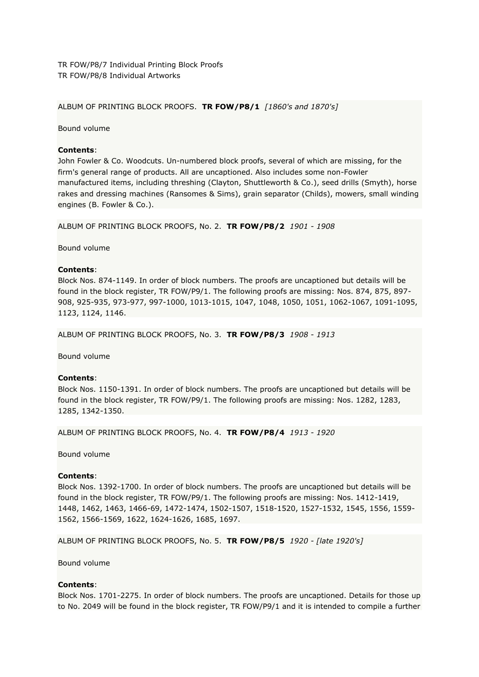ALBUM OF PRINTING BLOCK PROOFS. **TR FOW/P8/1** *[1860's and 1870's]*

Bound volume

# **Contents**:

John Fowler & Co. Woodcuts. Un-numbered block proofs, several of which are missing, for the firm's general range of products. All are uncaptioned. Also includes some non-Fowler manufactured items, including threshing (Clayton, Shuttleworth & Co.), seed drills (Smyth), horse rakes and dressing machines (Ransomes & Sims), grain separator (Childs), mowers, small winding engines (B. Fowler & Co.).

ALBUM OF PRINTING BLOCK PROOFS, No. 2. **TR FOW/P8/2** *1901 - 1908*

Bound volume

# **Contents**:

Block Nos. 874-1149. In order of block numbers. The proofs are uncaptioned but details will be found in the block register, TR FOW/P9/1. The following proofs are missing: Nos. 874, 875, 897- 908, 925-935, 973-977, 997-1000, 1013-1015, 1047, 1048, 1050, 1051, 1062-1067, 1091-1095, 1123, 1124, 1146.

ALBUM OF PRINTING BLOCK PROOFS, No. 3. **TR FOW/P8/3** *1908 - 1913*

Bound volume

## **Contents**:

Block Nos. 1150-1391. In order of block numbers. The proofs are uncaptioned but details will be found in the block register, TR FOW/P9/1. The following proofs are missing: Nos. 1282, 1283, 1285, 1342-1350.

ALBUM OF PRINTING BLOCK PROOFS, No. 4. **TR FOW/P8/4** *1913 - 1920*

Bound volume

## **Contents**:

Block Nos. 1392-1700. In order of block numbers. The proofs are uncaptioned but details will be found in the block register, TR FOW/P9/1. The following proofs are missing: Nos. 1412-1419, 1448, 1462, 1463, 1466-69, 1472-1474, 1502-1507, 1518-1520, 1527-1532, 1545, 1556, 1559- 1562, 1566-1569, 1622, 1624-1626, 1685, 1697.

ALBUM OF PRINTING BLOCK PROOFS, No. 5. **TR FOW/P8/5** *1920 - [late 1920's]*

Bound volume

# **Contents**:

Block Nos. 1701-2275. In order of block numbers. The proofs are uncaptioned. Details for those up to No. 2049 will be found in the block register, TR FOW/P9/1 and it is intended to compile a further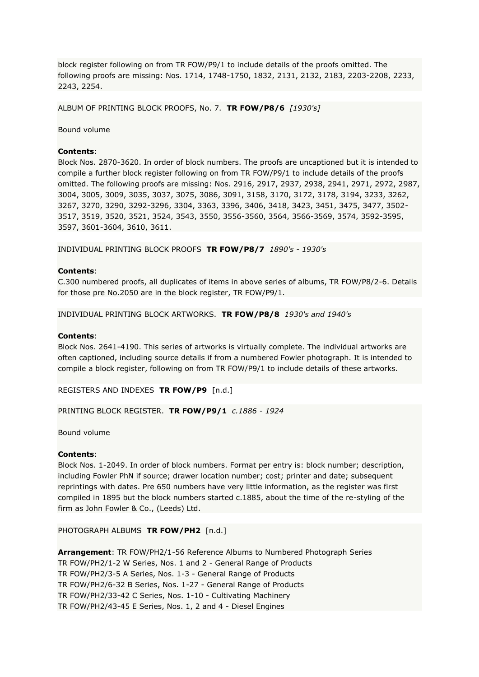block register following on from TR FOW/P9/1 to include details of the proofs omitted. The following proofs are missing: Nos. 1714, 1748-1750, 1832, 2131, 2132, 2183, 2203-2208, 2233, 2243, 2254.

ALBUM OF PRINTING BLOCK PROOFS, No. 7. **TR FOW/P8/6** *[1930's]*

Bound volume

## **Contents**:

Block Nos. 2870-3620. In order of block numbers. The proofs are uncaptioned but it is intended to compile a further block register following on from TR FOW/P9/1 to include details of the proofs omitted. The following proofs are missing: Nos. 2916, 2917, 2937, 2938, 2941, 2971, 2972, 2987, 3004, 3005, 3009, 3035, 3037, 3075, 3086, 3091, 3158, 3170, 3172, 3178, 3194, 3233, 3262, 3267, 3270, 3290, 3292-3296, 3304, 3363, 3396, 3406, 3418, 3423, 3451, 3475, 3477, 3502- 3517, 3519, 3520, 3521, 3524, 3543, 3550, 3556-3560, 3564, 3566-3569, 3574, 3592-3595, 3597, 3601-3604, 3610, 3611.

INDIVIDUAL PRINTING BLOCK PROOFS **TR FOW/P8/7** *1890's - 1930's*

### **Contents**:

C.300 numbered proofs, all duplicates of items in above series of albums, TR FOW/P8/2-6. Details for those pre No.2050 are in the block register, TR FOW/P9/1.

INDIVIDUAL PRINTING BLOCK ARTWORKS. **TR FOW/P8/8** *1930's and 1940's*

### **Contents**:

Block Nos. 2641-4190. This series of artworks is virtually complete. The individual artworks are often captioned, including source details if from a numbered Fowler photograph. It is intended to compile a block register, following on from TR FOW/P9/1 to include details of these artworks.

REGISTERS AND INDEXES **TR FOW/P9** [n.d.]

### PRINTING BLOCK REGISTER. **TR FOW/P9/1** *c.1886 - 1924*

Bound volume

## **Contents**:

Block Nos. 1-2049. In order of block numbers. Format per entry is: block number; description, including Fowler PhN if source; drawer location number; cost; printer and date; subsequent reprintings with dates. Pre 650 numbers have very little information, as the register was first compiled in 1895 but the block numbers started c.1885, about the time of the re-styling of the firm as John Fowler & Co., (Leeds) Ltd.

### PHOTOGRAPH ALBUMS **TR FOW/PH2** [n.d.]

**Arrangement**: TR FOW/PH2/1-56 Reference Albums to Numbered Photograph Series TR FOW/PH2/1-2 W Series, Nos. 1 and 2 - General Range of Products TR FOW/PH2/3-5 A Series, Nos. 1-3 - General Range of Products TR FOW/PH2/6-32 B Series, Nos. 1-27 - General Range of Products TR FOW/PH2/33-42 C Series, Nos. 1-10 - Cultivating Machinery TR FOW/PH2/43-45 E Series, Nos. 1, 2 and 4 - Diesel Engines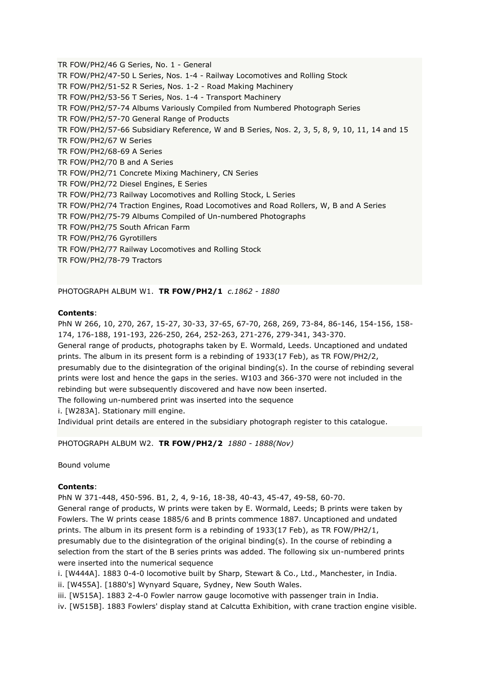TR FOW/PH2/46 G Series, No. 1 - General TR FOW/PH2/47-50 L Series, Nos. 1-4 - Railway Locomotives and Rolling Stock TR FOW/PH2/51-52 R Series, Nos. 1-2 - Road Making Machinery TR FOW/PH2/53-56 T Series, Nos. 1-4 - Transport Machinery TR FOW/PH2/57-74 Albums Variously Compiled from Numbered Photograph Series TR FOW/PH2/57-70 General Range of Products TR FOW/PH2/57-66 Subsidiary Reference, W and B Series, Nos. 2, 3, 5, 8, 9, 10, 11, 14 and 15 TR FOW/PH2/67 W Series TR FOW/PH2/68-69 A Series TR FOW/PH2/70 B and A Series TR FOW/PH2/71 Concrete Mixing Machinery, CN Series TR FOW/PH2/72 Diesel Engines, E Series TR FOW/PH2/73 Railway Locomotives and Rolling Stock, L Series TR FOW/PH2/74 Traction Engines, Road Locomotives and Road Rollers, W, B and A Series TR FOW/PH2/75-79 Albums Compiled of Un-numbered Photographs TR FOW/PH2/75 South African Farm TR FOW/PH2/76 Gyrotillers TR FOW/PH2/77 Railway Locomotives and Rolling Stock TR FOW/PH2/78-79 Tractors

PHOTOGRAPH ALBUM W1. **TR FOW/PH2/1** *c.1862 - 1880*

# **Contents**:

PhN W 266, 10, 270, 267, 15-27, 30-33, 37-65, 67-70, 268, 269, 73-84, 86-146, 154-156, 158- 174, 176-188, 191-193, 226-250, 264, 252-263, 271-276, 279-341, 343-370.

General range of products, photographs taken by E. Wormald, Leeds. Uncaptioned and undated prints. The album in its present form is a rebinding of 1933(17 Feb), as TR FOW/PH2/2, presumably due to the disintegration of the original binding(s). In the course of rebinding several prints were lost and hence the gaps in the series. W103 and 366-370 were not included in the rebinding but were subsequently discovered and have now been inserted.

The following un-numbered print was inserted into the sequence

i. [W283A]. Stationary mill engine.

Individual print details are entered in the subsidiary photograph register to this catalogue.

PHOTOGRAPH ALBUM W2. **TR FOW/PH2/2** *1880 - 1888(Nov)*

Bound volume

# **Contents**:

PhN W 371-448, 450-596. B1, 2, 4, 9-16, 18-38, 40-43, 45-47, 49-58, 60-70.

General range of products, W prints were taken by E. Wormald, Leeds; B prints were taken by Fowlers. The W prints cease 1885/6 and B prints commence 1887. Uncaptioned and undated prints. The album in its present form is a rebinding of 1933(17 Feb), as TR FOW/PH2/1, presumably due to the disintegration of the original binding(s). In the course of rebinding a selection from the start of the B series prints was added. The following six un-numbered prints were inserted into the numerical sequence

i. [W444A]. 1883 0-4-0 locomotive built by Sharp, Stewart & Co., Ltd., Manchester, in India.

ii. [W455A]. [1880's] Wynyard Square, Sydney, New South Wales.

iii. [W515A]. 1883 2-4-0 Fowler narrow gauge locomotive with passenger train in India.

iv. [W515B]. 1883 Fowlers' display stand at Calcutta Exhibition, with crane traction engine visible.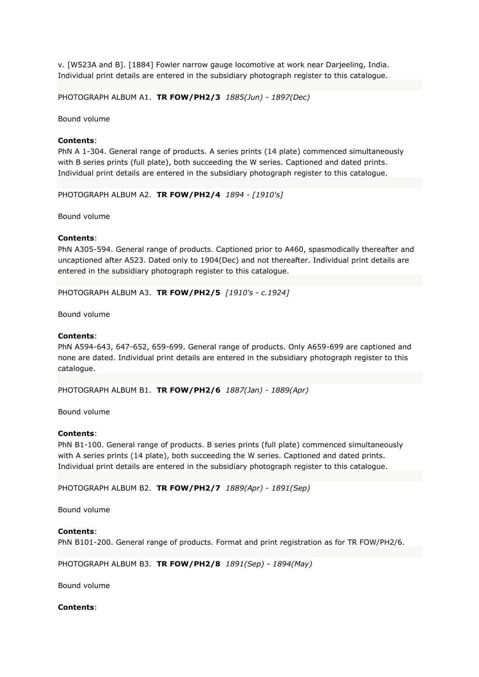v. [W523A and B]. [1884] Fowler narrow gauge locomotive at work near Darjeeling, India. Individual print details are entered in the subsidiary photograph register to this catalogue.

PHOTOGRAPH ALBUM A1. **TR FOW/PH2/3** *1885(Jun) - 1897(Dec)*

Bound volume

## **Contents**:

PhN A 1-304. General range of products. A series prints (14 plate) commenced simultaneously with B series prints (full plate), both succeeding the W series. Captioned and dated prints. Individual print details are entered in the subsidiary photograph register to this catalogue.

PHOTOGRAPH ALBUM A2. **TR FOW/PH2/4** *1894 - [1910's]*

Bound volume

## **Contents**:

PhN A305-594. General range of products. Captioned prior to A460, spasmodically thereafter and uncaptioned after A523. Dated only to 1904(Dec) and not thereafter. Individual print details are entered in the subsidiary photograph register to this catalogue.

PHOTOGRAPH ALBUM A3. **TR FOW/PH2/5** *[1910's - c.1924]*

Bound volume

## **Contents**:

PhN A594-643, 647-652, 659-699. General range of products. Only A659-699 are captioned and none are dated. Individual print details are entered in the subsidiary photograph register to this catalogue.

PHOTOGRAPH ALBUM B1. **TR FOW/PH2/6** *1887(Jan) - 1889(Apr)*

Bound volume

### **Contents**:

PhN B1-100. General range of products. B series prints (full plate) commenced simultaneously with A series prints (14 plate), both succeeding the W series. Captioned and dated prints. Individual print details are entered in the subsidiary photograph register to this catalogue.

PHOTOGRAPH ALBUM B2. **TR FOW/PH2/7** *1889(Apr) - 1891(Sep)*

Bound volume

## **Contents**:

PhN B101-200. General range of products. Format and print registration as for TR FOW/PH2/6.

PHOTOGRAPH ALBUM B3. **TR FOW/PH2/8** *1891(Sep) - 1894(May)*

Bound volume

**Contents**: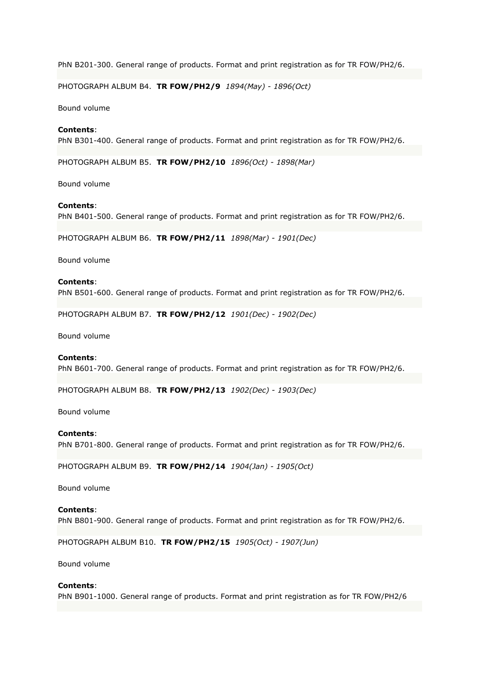PhN B201-300. General range of products. Format and print registration as for TR FOW/PH2/6.

PHOTOGRAPH ALBUM B4. **TR FOW/PH2/9** *1894(May) - 1896(Oct)*

Bound volume

## **Contents**:

PhN B301-400. General range of products. Format and print registration as for TR FOW/PH2/6.

PHOTOGRAPH ALBUM B5. **TR FOW/PH2/10** *1896(Oct) - 1898(Mar)*

Bound volume

### **Contents**:

PhN B401-500. General range of products. Format and print registration as for TR FOW/PH2/6.

PHOTOGRAPH ALBUM B6. **TR FOW/PH2/11** *1898(Mar) - 1901(Dec)*

Bound volume

### **Contents**:

PhN B501-600. General range of products. Format and print registration as for TR FOW/PH2/6.

PHOTOGRAPH ALBUM B7. **TR FOW/PH2/12** *1901(Dec) - 1902(Dec)*

Bound volume

### **Contents**:

PhN B601-700. General range of products. Format and print registration as for TR FOW/PH2/6.

PHOTOGRAPH ALBUM B8. **TR FOW/PH2/13** *1902(Dec) - 1903(Dec)*

Bound volume

### **Contents**:

PhN B701-800. General range of products. Format and print registration as for TR FOW/PH2/6.

PHOTOGRAPH ALBUM B9. **TR FOW/PH2/14** *1904(Jan) - 1905(Oct)*

Bound volume

#### **Contents**:

PhN B801-900. General range of products. Format and print registration as for TR FOW/PH2/6.

PHOTOGRAPH ALBUM B10. **TR FOW/PH2/15** *1905(Oct) - 1907(Jun)*

Bound volume

#### **Contents**:

PhN B901-1000. General range of products. Format and print registration as for TR FOW/PH2/6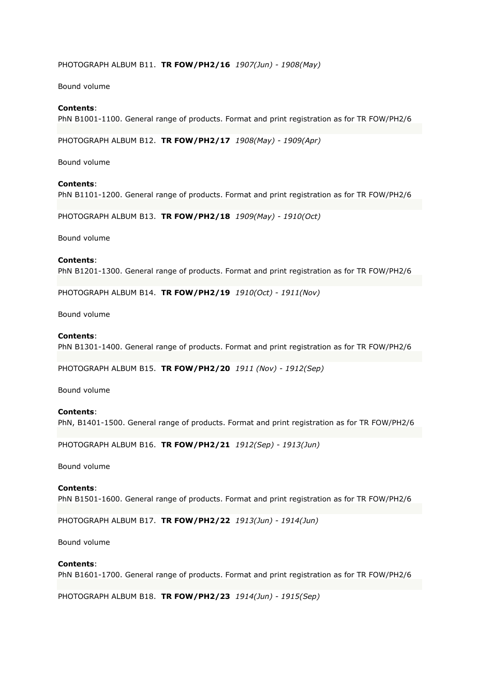## PHOTOGRAPH ALBUM B11. **TR FOW/PH2/16** *1907(Jun) - 1908(May)*

Bound volume

### **Contents**:

PhN B1001-1100. General range of products. Format and print registration as for TR FOW/PH2/6

PHOTOGRAPH ALBUM B12. **TR FOW/PH2/17** *1908(May) - 1909(Apr)*

Bound volume

## **Contents**:

PhN B1101-1200. General range of products. Format and print registration as for TR FOW/PH2/6

PHOTOGRAPH ALBUM B13. **TR FOW/PH2/18** *1909(May) - 1910(Oct)*

Bound volume

## **Contents**:

PhN B1201-1300. General range of products. Format and print registration as for TR FOW/PH2/6

PHOTOGRAPH ALBUM B14. **TR FOW/PH2/19** *1910(Oct) - 1911(Nov)*

Bound volume

### **Contents**:

PhN B1301-1400. General range of products. Format and print registration as for TR FOW/PH2/6

PHOTOGRAPH ALBUM B15. **TR FOW/PH2/20** *1911 (Nov) - 1912(Sep)*

Bound volume

### **Contents**:

PhN, B1401-1500. General range of products. Format and print registration as for TR FOW/PH2/6

PHOTOGRAPH ALBUM B16. **TR FOW/PH2/21** *1912(Sep) - 1913(Jun)*

Bound volume

## **Contents**:

PhN B1501-1600. General range of products. Format and print registration as for TR FOW/PH2/6

PHOTOGRAPH ALBUM B17. **TR FOW/PH2/22** *1913(Jun) - 1914(Jun)*

Bound volume

### **Contents**:

PhN B1601-1700. General range of products. Format and print registration as for TR FOW/PH2/6

PHOTOGRAPH ALBUM B18. **TR FOW/PH2/23** *1914(Jun) - 1915(Sep)*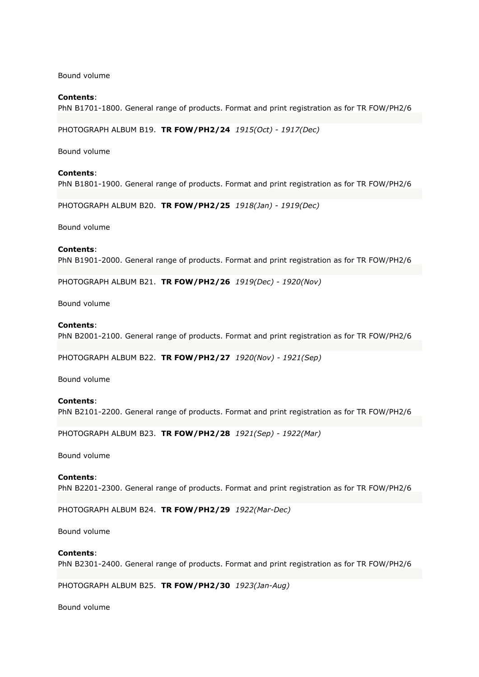Bound volume

## **Contents**:

PhN B1701-1800. General range of products. Format and print registration as for TR FOW/PH2/6

PHOTOGRAPH ALBUM B19. **TR FOW/PH2/24** *1915(Oct) - 1917(Dec)*

Bound volume

## **Contents**:

PhN B1801-1900. General range of products. Format and print registration as for TR FOW/PH2/6

PHOTOGRAPH ALBUM B20. **TR FOW/PH2/25** *1918(Jan) - 1919(Dec)*

Bound volume

#### **Contents**:

PhN B1901-2000. General range of products. Format and print registration as for TR FOW/PH2/6

PHOTOGRAPH ALBUM B21. **TR FOW/PH2/26** *1919(Dec) - 1920(Nov)*

Bound volume

## **Contents**:

PhN B2001-2100. General range of products. Format and print registration as for TR FOW/PH2/6

PHOTOGRAPH ALBUM B22. **TR FOW/PH2/27** *1920(Nov) - 1921(Sep)*

Bound volume

### **Contents**:

PhN B2101-2200. General range of products. Format and print registration as for TR FOW/PH2/6

PHOTOGRAPH ALBUM B23. **TR FOW/PH2/28** *1921(Sep) - 1922(Mar)*

Bound volume

## **Contents**:

PhN B2201-2300. General range of products. Format and print registration as for TR FOW/PH2/6

PHOTOGRAPH ALBUM B24. **TR FOW/PH2/29** *1922(Mar-Dec)*

Bound volume

## **Contents**:

PhN B2301-2400. General range of products. Format and print registration as for TR FOW/PH2/6

PHOTOGRAPH ALBUM B25. **TR FOW/PH2/30** *1923(Jan-Aug)*

Bound volume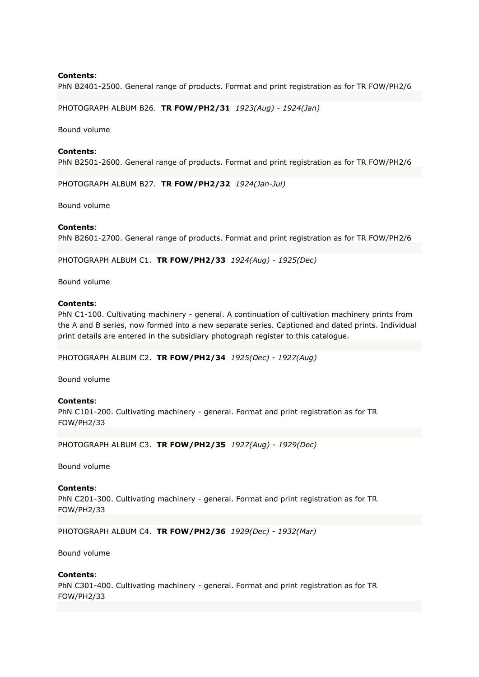PhN B2401-2500. General range of products. Format and print registration as for TR FOW/PH2/6

PHOTOGRAPH ALBUM B26. **TR FOW/PH2/31** *1923(Aug) - 1924(Jan)*

Bound volume

**Contents**: PhN B2501-2600. General range of products. Format and print registration as for TR FOW/PH2/6

PHOTOGRAPH ALBUM B27. **TR FOW/PH2/32** *1924(Jan-Jul)*

Bound volume

### **Contents**:

PhN B2601-2700. General range of products. Format and print registration as for TR FOW/PH2/6

PHOTOGRAPH ALBUM C1. **TR FOW/PH2/33** *1924(Aug) - 1925(Dec)*

Bound volume

### **Contents**:

PhN C1-100. Cultivating machinery - general. A continuation of cultivation machinery prints from the A and B series, now formed into a new separate series. Captioned and dated prints. Individual print details are entered in the subsidiary photograph register to this catalogue.

PHOTOGRAPH ALBUM C2. **TR FOW/PH2/34** *1925(Dec) - 1927(Aug)*

Bound volume

### **Contents**:

PhN C101-200. Cultivating machinery - general. Format and print registration as for TR FOW/PH2/33

PHOTOGRAPH ALBUM C3. **TR FOW/PH2/35** *1927(Aug) - 1929(Dec)*

Bound volume

## **Contents**:

PhN C201-300. Cultivating machinery - general. Format and print registration as for TR FOW/PH2/33

PHOTOGRAPH ALBUM C4. **TR FOW/PH2/36** *1929(Dec) - 1932(Mar)*

Bound volume

### **Contents**:

PhN C301-400. Cultivating machinery - general. Format and print registration as for TR FOW/PH2/33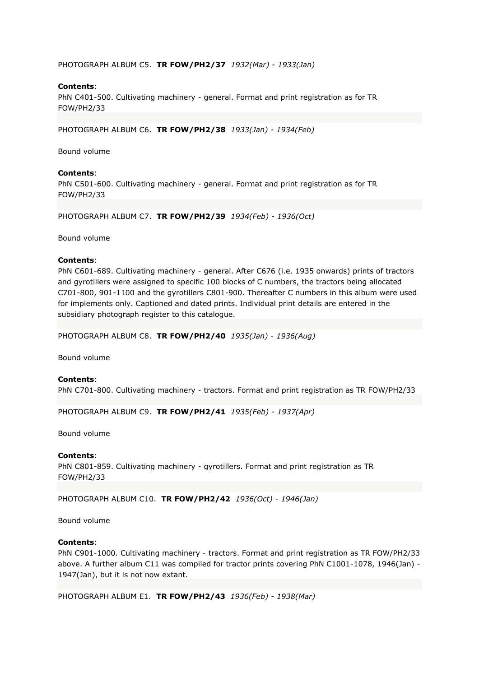PHOTOGRAPH ALBUM C5. **TR FOW/PH2/37** *1932(Mar) - 1933(Jan)*

# **Contents**:

PhN C401-500. Cultivating machinery - general. Format and print registration as for TR FOW/PH2/33

PHOTOGRAPH ALBUM C6. **TR FOW/PH2/38** *1933(Jan) - 1934(Feb)*

Bound volume

## **Contents**:

PhN C501-600. Cultivating machinery - general. Format and print registration as for TR FOW/PH2/33

PHOTOGRAPH ALBUM C7. **TR FOW/PH2/39** *1934(Feb) - 1936(Oct)*

Bound volume

## **Contents**:

PhN C601-689. Cultivating machinery - general. After C676 (i.e. 1935 onwards) prints of tractors and gyrotillers were assigned to specific 100 blocks of C numbers, the tractors being allocated C701-800, 901-1100 and the gyrotillers C801-900. Thereafter C numbers in this album were used for implements only. Captioned and dated prints. Individual print details are entered in the subsidiary photograph register to this catalogue.

PHOTOGRAPH ALBUM C8. **TR FOW/PH2/40** *1935(Jan) - 1936(Aug)*

Bound volume

## **Contents**:

PhN C701-800. Cultivating machinery - tractors. Format and print registration as TR FOW/PH2/33

PHOTOGRAPH ALBUM C9. **TR FOW/PH2/41** *1935(Feb) - 1937(Apr)*

Bound volume

### **Contents**:

PhN C801-859. Cultivating machinery - gyrotillers. Format and print registration as TR FOW/PH2/33

PHOTOGRAPH ALBUM C10. **TR FOW/PH2/42** *1936(Oct) - 1946(Jan)*

Bound volume

## **Contents**:

PhN C901-1000. Cultivating machinery - tractors. Format and print registration as TR FOW/PH2/33 above. A further album C11 was compiled for tractor prints covering PhN C1001-1078, 1946(Jan) - 1947(Jan), but it is not now extant.

PHOTOGRAPH ALBUM E1. **TR FOW/PH2/43** *1936(Feb) - 1938(Mar)*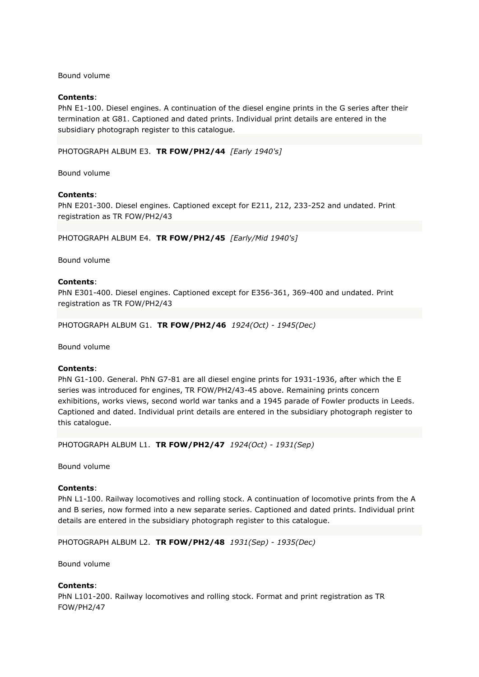Bound volume

## **Contents**:

PhN E1-100. Diesel engines. A continuation of the diesel engine prints in the G series after their termination at G81. Captioned and dated prints. Individual print details are entered in the subsidiary photograph register to this catalogue.

PHOTOGRAPH ALBUM E3. **TR FOW/PH2/44** *[Early 1940's]*

Bound volume

### **Contents**:

PhN E201-300. Diesel engines. Captioned except for E211, 212, 233-252 and undated. Print registration as TR FOW/PH2/43

PHOTOGRAPH ALBUM E4. **TR FOW/PH2/45** *[Early/Mid 1940's]*

Bound volume

### **Contents**:

PhN E301-400. Diesel engines. Captioned except for E356-361, 369-400 and undated. Print registration as TR FOW/PH2/43

PHOTOGRAPH ALBUM G1. **TR FOW/PH2/46** *1924(Oct) - 1945(Dec)*

Bound volume

### **Contents**:

PhN G1-100. General. PhN G7-81 are all diesel engine prints for 1931-1936, after which the E series was introduced for engines, TR FOW/PH2/43-45 above. Remaining prints concern exhibitions, works views, second world war tanks and a 1945 parade of Fowler products in Leeds. Captioned and dated. Individual print details are entered in the subsidiary photograph register to this catalogue.

PHOTOGRAPH ALBUM L1. **TR FOW/PH2/47** *1924(Oct) - 1931(Sep)*

Bound volume

## **Contents**:

PhN L1-100. Railway locomotives and rolling stock. A continuation of locomotive prints from the A and B series, now formed into a new separate series. Captioned and dated prints. Individual print details are entered in the subsidiary photograph register to this catalogue.

PHOTOGRAPH ALBUM L2. **TR FOW/PH2/48** *1931(Sep) - 1935(Dec)*

Bound volume

### **Contents**:

PhN L101-200. Railway locomotives and rolling stock. Format and print registration as TR FOW/PH2/47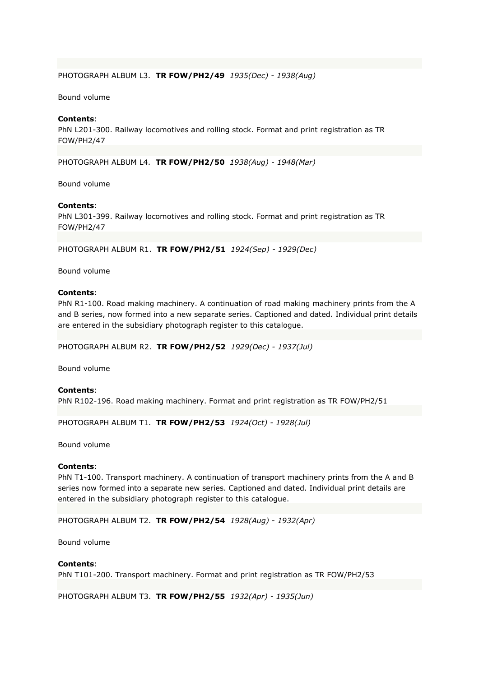## PHOTOGRAPH ALBUM L3. **TR FOW/PH2/49** *1935(Dec) - 1938(Aug)*

## Bound volume

## **Contents**:

PhN L201-300. Railway locomotives and rolling stock. Format and print registration as TR FOW/PH2/47

PHOTOGRAPH ALBUM L4. **TR FOW/PH2/50** *1938(Aug) - 1948(Mar)*

Bound volume

## **Contents**:

PhN L301-399. Railway locomotives and rolling stock. Format and print registration as TR FOW/PH2/47

PHOTOGRAPH ALBUM R1. **TR FOW/PH2/51** *1924(Sep) - 1929(Dec)*

Bound volume

#### **Contents**:

PhN R1-100. Road making machinery. A continuation of road making machinery prints from the A and B series, now formed into a new separate series. Captioned and dated. Individual print details are entered in the subsidiary photograph register to this catalogue.

PHOTOGRAPH ALBUM R2. **TR FOW/PH2/52** *1929(Dec) - 1937(Jul)*

Bound volume

### **Contents**:

PhN R102-196. Road making machinery. Format and print registration as TR FOW/PH2/51

PHOTOGRAPH ALBUM T1. **TR FOW/PH2/53** *1924(Oct) - 1928(Jul)*

Bound volume

#### **Contents**:

PhN T1-100. Transport machinery. A continuation of transport machinery prints from the A and B series now formed into a separate new series. Captioned and dated. Individual print details are entered in the subsidiary photograph register to this catalogue.

PHOTOGRAPH ALBUM T2. **TR FOW/PH2/54** *1928(Aug) - 1932(Apr)*

Bound volume

## **Contents**:

PhN T101-200. Transport machinery. Format and print registration as TR FOW/PH2/53

PHOTOGRAPH ALBUM T3. **TR FOW/PH2/55** *1932(Apr) - 1935(Jun)*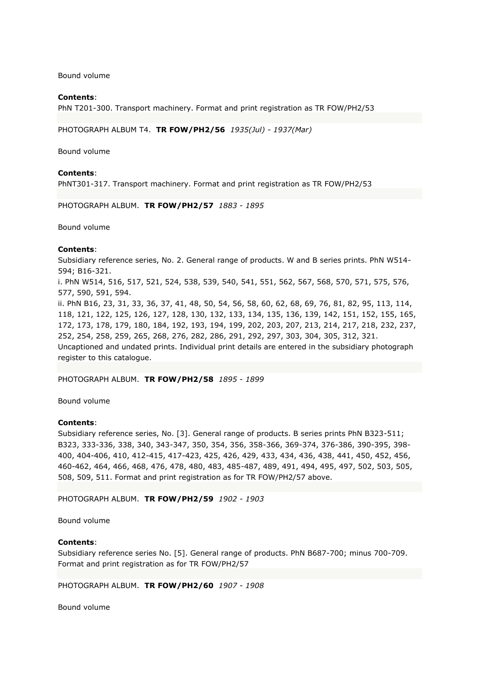Bound volume

## **Contents**:

PhN T201-300. Transport machinery. Format and print registration as TR FOW/PH2/53

PHOTOGRAPH ALBUM T4. **TR FOW/PH2/56** *1935(Jul) - 1937(Mar)*

Bound volume

#### **Contents**:

PhNT301-317. Transport machinery. Format and print registration as TR FOW/PH2/53

PHOTOGRAPH ALBUM. **TR FOW/PH2/57** *1883 - 1895*

Bound volume

### **Contents**:

Subsidiary reference series, No. 2. General range of products. W and B series prints. PhN W514- 594; B16-321.

i. PhN W514, 516, 517, 521, 524, 538, 539, 540, 541, 551, 562, 567, 568, 570, 571, 575, 576, 577, 590, 591, 594.

ii. PhN B16, 23, 31, 33, 36, 37, 41, 48, 50, 54, 56, 58, 60, 62, 68, 69, 76, 81, 82, 95, 113, 114, 118, 121, 122, 125, 126, 127, 128, 130, 132, 133, 134, 135, 136, 139, 142, 151, 152, 155, 165, 172, 173, 178, 179, 180, 184, 192, 193, 194, 199, 202, 203, 207, 213, 214, 217, 218, 232, 237, 252, 254, 258, 259, 265, 268, 276, 282, 286, 291, 292, 297, 303, 304, 305, 312, 321. Uncaptioned and undated prints. Individual print details are entered in the subsidiary photograph register to this catalogue.

PHOTOGRAPH ALBUM. **TR FOW/PH2/58** *1895 - 1899*

Bound volume

## **Contents**:

Subsidiary reference series, No. [3]. General range of products. B series prints PhN B323-511; B323, 333-336, 338, 340, 343-347, 350, 354, 356, 358-366, 369-374, 376-386, 390-395, 398- 400, 404-406, 410, 412-415, 417-423, 425, 426, 429, 433, 434, 436, 438, 441, 450, 452, 456, 460-462, 464, 466, 468, 476, 478, 480, 483, 485-487, 489, 491, 494, 495, 497, 502, 503, 505, 508, 509, 511. Format and print registration as for TR FOW/PH2/57 above.

PHOTOGRAPH ALBUM. **TR FOW/PH2/59** *1902 - 1903*

Bound volume

## **Contents**:

Subsidiary reference series No. [5]. General range of products. PhN B687-700; minus 700-709. Format and print registration as for TR FOW/PH2/57

PHOTOGRAPH ALBUM. **TR FOW/PH2/60** *1907 - 1908*

Bound volume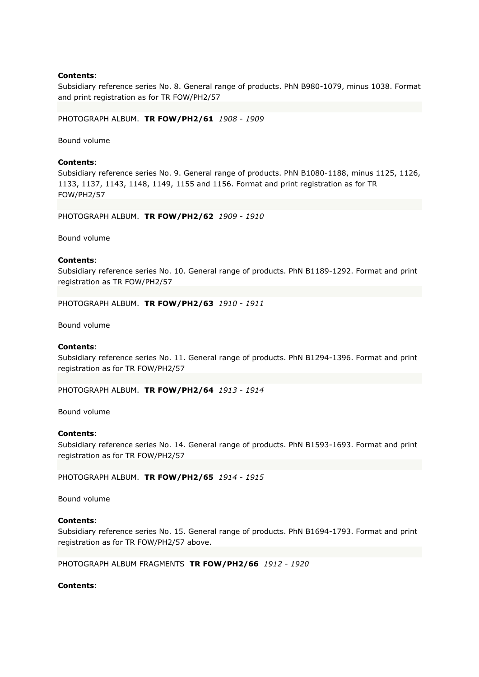Subsidiary reference series No. 8. General range of products. PhN B980-1079, minus 1038. Format and print registration as for TR FOW/PH2/57

PHOTOGRAPH ALBUM. **TR FOW/PH2/61** *1908 - 1909*

Bound volume

## **Contents**:

Subsidiary reference series No. 9. General range of products. PhN B1080-1188, minus 1125, 1126, 1133, 1137, 1143, 1148, 1149, 1155 and 1156. Format and print registration as for TR FOW/PH2/57

PHOTOGRAPH ALBUM. **TR FOW/PH2/62** *1909 - 1910*

Bound volume

## **Contents**:

Subsidiary reference series No. 10. General range of products. PhN B1189-1292. Format and print registration as TR FOW/PH2/57

PHOTOGRAPH ALBUM. **TR FOW/PH2/63** *1910 - 1911*

Bound volume

## **Contents**:

Subsidiary reference series No. 11. General range of products. PhN B1294-1396. Format and print registration as for TR FOW/PH2/57

PHOTOGRAPH ALBUM. **TR FOW/PH2/64** *1913 - 1914*

Bound volume

### **Contents**:

Subsidiary reference series No. 14. General range of products. PhN B1593-1693. Format and print registration as for TR FOW/PH2/57

PHOTOGRAPH ALBUM. **TR FOW/PH2/65** *1914 - 1915*

Bound volume

## **Contents**:

Subsidiary reference series No. 15. General range of products. PhN B1694-1793. Format and print registration as for TR FOW/PH2/57 above.

PHOTOGRAPH ALBUM FRAGMENTS **TR FOW/PH2/66** *1912 - 1920*

## **Contents**: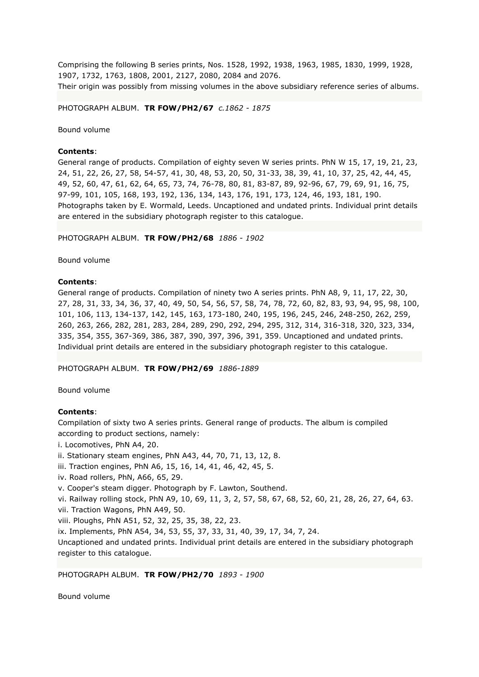Comprising the following B series prints, Nos. 1528, 1992, 1938, 1963, 1985, 1830, 1999, 1928, 1907, 1732, 1763, 1808, 2001, 2127, 2080, 2084 and 2076. Their origin was possibly from missing volumes in the above subsidiary reference series of albums.

PHOTOGRAPH ALBUM. **TR FOW/PH2/67** *c.1862 - 1875*

Bound volume

## **Contents**:

General range of products. Compilation of eighty seven W series prints. PhN W 15, 17, 19, 21, 23, 24, 51, 22, 26, 27, 58, 54-57, 41, 30, 48, 53, 20, 50, 31-33, 38, 39, 41, 10, 37, 25, 42, 44, 45, 49, 52, 60, 47, 61, 62, 64, 65, 73, 74, 76-78, 80, 81, 83-87, 89, 92-96, 67, 79, 69, 91, 16, 75, 97-99, 101, 105, 168, 193, 192, 136, 134, 143, 176, 191, 173, 124, 46, 193, 181, 190. Photographs taken by E. Wormald, Leeds. Uncaptioned and undated prints. Individual print details are entered in the subsidiary photograph register to this catalogue.

PHOTOGRAPH ALBUM. **TR FOW/PH2/68** *1886 - 1902*

Bound volume

## **Contents**:

General range of products. Compilation of ninety two A series prints. PhN A8, 9, 11, 17, 22, 30, 27, 28, 31, 33, 34, 36, 37, 40, 49, 50, 54, 56, 57, 58, 74, 78, 72, 60, 82, 83, 93, 94, 95, 98, 100, 101, 106, 113, 134-137, 142, 145, 163, 173-180, 240, 195, 196, 245, 246, 248-250, 262, 259, 260, 263, 266, 282, 281, 283, 284, 289, 290, 292, 294, 295, 312, 314, 316-318, 320, 323, 334, 335, 354, 355, 367-369, 386, 387, 390, 397, 396, 391, 359. Uncaptioned and undated prints. Individual print details are entered in the subsidiary photograph register to this catalogue.

PHOTOGRAPH ALBUM. **TR FOW/PH2/69** *1886-1889*

Bound volume

## **Contents**:

Compilation of sixty two A series prints. General range of products. The album is compiled according to product sections, namely:

- i. Locomotives, PhN A4, 20.
- ii. Stationary steam engines, PhN A43, 44, 70, 71, 13, 12, 8.
- iii. Traction engines, PhN A6, 15, 16, 14, 41, 46, 42, 45, 5.
- iv. Road rollers, PhN, A66, 65, 29.
- v. Cooper's steam digger. Photograph by F. Lawton, Southend.
- vi. Railway rolling stock, PhN A9, 10, 69, 11, 3, 2, 57, 58, 67, 68, 52, 60, 21, 28, 26, 27, 64, 63. vii. Traction Wagons, PhN A49, 50.
- viii. Ploughs, PhN A51, 52, 32, 25, 35, 38, 22, 23.

ix. Implements, PhN A54, 34, 53, 55, 37, 33, 31, 40, 39, 17, 34, 7, 24.

Uncaptioned and undated prints. Individual print details are entered in the subsidiary photograph register to this catalogue.

PHOTOGRAPH ALBUM. **TR FOW/PH2/70** *1893 - 1900*

Bound volume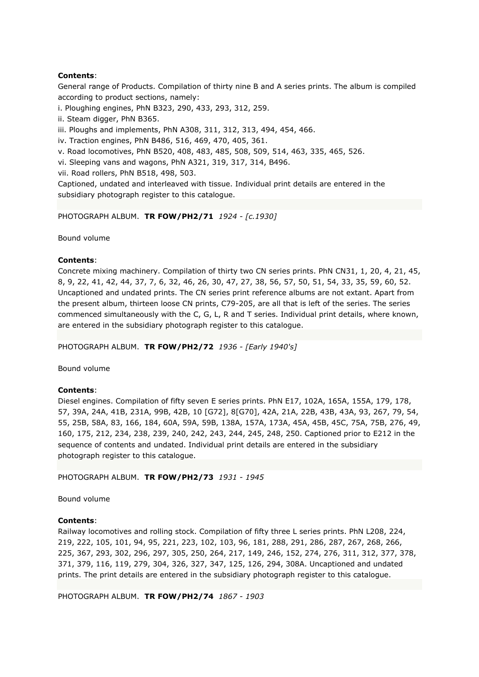General range of Products. Compilation of thirty nine B and A series prints. The album is compiled according to product sections, namely:

i. Ploughing engines, PhN B323, 290, 433, 293, 312, 259.

ii. Steam digger, PhN B365.

iii. Ploughs and implements, PhN A308, 311, 312, 313, 494, 454, 466.

iv. Traction engines, PhN B486, 516, 469, 470, 405, 361.

v. Road locomotives, PhN B520, 408, 483, 485, 508, 509, 514, 463, 335, 465, 526.

vi. Sleeping vans and wagons, PhN A321, 319, 317, 314, B496.

vii. Road rollers, PhN B518, 498, 503.

Captioned, undated and interleaved with tissue. Individual print details are entered in the subsidiary photograph register to this catalogue.

PHOTOGRAPH ALBUM. **TR FOW/PH2/71** *1924 - [c.1930]*

Bound volume

# **Contents**:

Concrete mixing machinery. Compilation of thirty two CN series prints. PhN CN31, 1, 20, 4, 21, 45, 8, 9, 22, 41, 42, 44, 37, 7, 6, 32, 46, 26, 30, 47, 27, 38, 56, 57, 50, 51, 54, 33, 35, 59, 60, 52. Uncaptioned and undated prints. The CN series print reference albums are not extant. Apart from the present album, thirteen loose CN prints, C79-205, are all that is left of the series. The series commenced simultaneously with the C, G, L, R and T series. Individual print details, where known, are entered in the subsidiary photograph register to this catalogue.

PHOTOGRAPH ALBUM. **TR FOW/PH2/72** *1936 - [Early 1940's]*

Bound volume

## **Contents**:

Diesel engines. Compilation of fifty seven E series prints. PhN E17, 102A, 165A, 155A, 179, 178, 57, 39A, 24A, 41B, 231A, 99B, 42B, 10 [G72], 8[G70], 42A, 21A, 22B, 43B, 43A, 93, 267, 79, 54, 55, 25B, 58A, 83, 166, 184, 60A, 59A, 59B, 138A, 157A, 173A, 45A, 45B, 45C, 75A, 75B, 276, 49, 160, 175, 212, 234, 238, 239, 240, 242, 243, 244, 245, 248, 250. Captioned prior to E212 in the sequence of contents and undated. Individual print details are entered in the subsidiary photograph register to this catalogue.

PHOTOGRAPH ALBUM. **TR FOW/PH2/73** *1931 - 1945*

Bound volume

## **Contents**:

Railway locomotives and rolling stock. Compilation of fifty three L series prints. PhN L208, 224, 219, 222, 105, 101, 94, 95, 221, 223, 102, 103, 96, 181, 288, 291, 286, 287, 267, 268, 266, 225, 367, 293, 302, 296, 297, 305, 250, 264, 217, 149, 246, 152, 274, 276, 311, 312, 377, 378, 371, 379, 116, 119, 279, 304, 326, 327, 347, 125, 126, 294, 308A. Uncaptioned and undated prints. The print details are entered in the subsidiary photograph register to this catalogue.

PHOTOGRAPH ALBUM. **TR FOW/PH2/74** *1867 - 1903*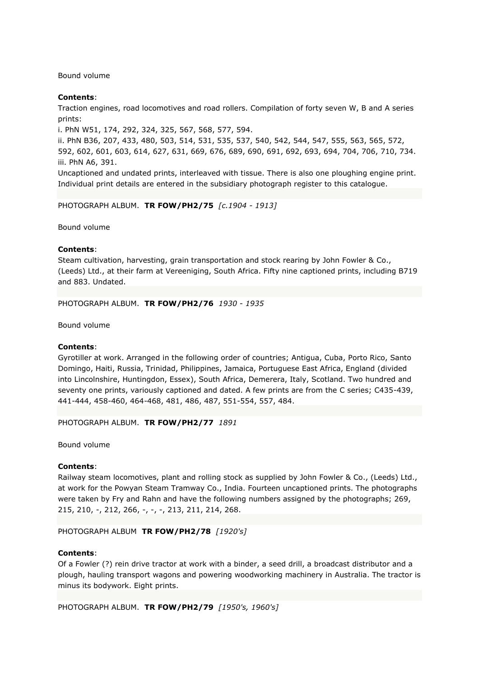Bound volume

# **Contents**:

Traction engines, road locomotives and road rollers. Compilation of forty seven W, B and A series prints:

i. PhN W51, 174, 292, 324, 325, 567, 568, 577, 594.

ii. PhN B36, 207, 433, 480, 503, 514, 531, 535, 537, 540, 542, 544, 547, 555, 563, 565, 572, 592, 602, 601, 603, 614, 627, 631, 669, 676, 689, 690, 691, 692, 693, 694, 704, 706, 710, 734. iii. PhN A6, 391.

Uncaptioned and undated prints, interleaved with tissue. There is also one ploughing engine print. Individual print details are entered in the subsidiary photograph register to this catalogue.

PHOTOGRAPH ALBUM. **TR FOW/PH2/75** *[c.1904 - 1913]*

Bound volume

## **Contents**:

Steam cultivation, harvesting, grain transportation and stock rearing by John Fowler & Co., (Leeds) Ltd., at their farm at Vereeniging, South Africa. Fifty nine captioned prints, including B719 and 883. Undated.

PHOTOGRAPH ALBUM. **TR FOW/PH2/76** *1930 - 1935*

Bound volume

## **Contents**:

Gyrotiller at work. Arranged in the following order of countries; Antigua, Cuba, Porto Rico, Santo Domingo, Haiti, Russia, Trinidad, Philippines, Jamaica, Portuguese East Africa, England (divided into Lincolnshire, Huntingdon, Essex), South Africa, Demerera, Italy, Scotland. Two hundred and seventy one prints, variously captioned and dated. A few prints are from the C series; C435-439, 441-444, 458-460, 464-468, 481, 486, 487, 551-554, 557, 484.

PHOTOGRAPH ALBUM. **TR FOW/PH2/77** *1891*

Bound volume

## **Contents**:

Railway steam locomotives, plant and rolling stock as supplied by John Fowler & Co., (Leeds) Ltd., at work for the Powyan Steam Tramway Co., India. Fourteen uncaptioned prints. The photographs were taken by Fry and Rahn and have the following numbers assigned by the photographs; 269, 215, 210, -, 212, 266, -, -, -, 213, 211, 214, 268.

PHOTOGRAPH ALBUM **TR FOW/PH2/78** *[1920's]*

### **Contents**:

Of a Fowler (?) rein drive tractor at work with a binder, a seed drill, a broadcast distributor and a plough, hauling transport wagons and powering woodworking machinery in Australia. The tractor is minus its bodywork. Eight prints.

PHOTOGRAPH ALBUM. **TR FOW/PH2/79** *[1950's, 1960's]*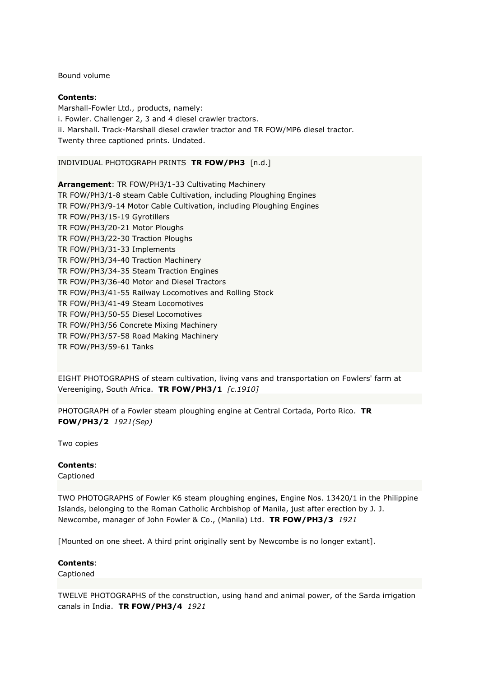Bound volume

# **Contents**:

Marshall-Fowler Ltd., products, namely: i. Fowler. Challenger 2, 3 and 4 diesel crawler tractors. ii. Marshall. Track-Marshall diesel crawler tractor and TR FOW/MP6 diesel tractor. Twenty three captioned prints. Undated.

# INDIVIDUAL PHOTOGRAPH PRINTS **TR FOW/PH3** [n.d.]

**Arrangement**: TR FOW/PH3/1-33 Cultivating Machinery TR FOW/PH3/1-8 steam Cable Cultivation, including Ploughing Engines TR FOW/PH3/9-14 Motor Cable Cultivation, including Ploughing Engines TR FOW/PH3/15-19 Gyrotillers TR FOW/PH3/20-21 Motor Ploughs TR FOW/PH3/22-30 Traction Ploughs TR FOW/PH3/31-33 Implements TR FOW/PH3/34-40 Traction Machinery TR FOW/PH3/34-35 Steam Traction Engines TR FOW/PH3/36-40 Motor and Diesel Tractors TR FOW/PH3/41-55 Railway Locomotives and Rolling Stock TR FOW/PH3/41-49 Steam Locomotives TR FOW/PH3/50-55 Diesel Locomotives TR FOW/PH3/56 Concrete Mixing Machinery TR FOW/PH3/57-58 Road Making Machinery TR FOW/PH3/59-61 Tanks

EIGHT PHOTOGRAPHS of steam cultivation, living vans and transportation on Fowlers' farm at Vereeniging, South Africa. **TR FOW/PH3/1** *[c.1910]*

PHOTOGRAPH of a Fowler steam ploughing engine at Central Cortada, Porto Rico. **TR FOW/PH3/2** *1921(Sep)*

Two copies

## **Contents**:

Captioned

TWO PHOTOGRAPHS of Fowler K6 steam ploughing engines, Engine Nos. 13420/1 in the Philippine Islands, belonging to the Roman Catholic Archbishop of Manila, just after erection by J. J. Newcombe, manager of John Fowler & Co., (Manila) Ltd. **TR FOW/PH3/3** *1921*

[Mounted on one sheet. A third print originally sent by Newcombe is no longer extant].

## **Contents**:

Captioned

TWELVE PHOTOGRAPHS of the construction, using hand and animal power, of the Sarda irrigation canals in India. **TR FOW/PH3/4** *1921*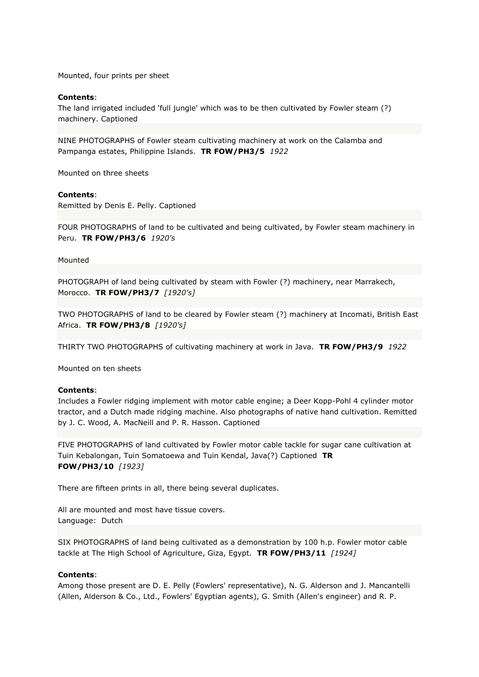Mounted, four prints per sheet

### **Contents**:

The land irrigated included 'full jungle' which was to be then cultivated by Fowler steam (?) machinery. Captioned

NINE PHOTOGRAPHS of Fowler steam cultivating machinery at work on the Calamba and Pampanga estates, Philippine Islands. **TR FOW/PH3/5** *1922*

Mounted on three sheets

### **Contents**:

Remitted by Denis E. Pelly. Captioned

FOUR PHOTOGRAPHS of land to be cultivated and being cultivated, by Fowler steam machinery in Peru. **TR FOW/PH3/6** *1920's*

Mounted

PHOTOGRAPH of land being cultivated by steam with Fowler (?) machinery, near Marrakech, Morocco. **TR FOW/PH3/7** *[1920's]*

TWO PHOTOGRAPHS of land to be cleared by Fowler steam (?) machinery at Incomati, British East Africa. **TR FOW/PH3/8** *[1920's]*

THIRTY TWO PHOTOGRAPHS of cultivating machinery at work in Java. **TR FOW/PH3/9** *1922*

Mounted on ten sheets

### **Contents**:

Includes a Fowler ridging implement with motor cable engine; a Deer Kopp-Pohl 4 cylinder motor tractor, and a Dutch made ridging machine. Also photographs of native hand cultivation. Remitted by J. C. Wood, A. MacNeill and P. R. Hasson. Captioned

FIVE PHOTOGRAPHS of land cultivated by Fowler motor cable tackle for sugar cane cultivation at Tuin Kebalongan, Tuin Somatoewa and Tuin Kendal, Java(?) Captioned **TR FOW/PH3/10** *[1923]*

There are fifteen prints in all, there being several duplicates.

All are mounted and most have tissue covers. Language: Dutch

SIX PHOTOGRAPHS of land being cultivated as a demonstration by 100 h.p. Fowler motor cable tackle at The High School of Agriculture, Giza, Egypt. **TR FOW/PH3/11** *[1924]*

### **Contents**:

Among those present are D. E. Pelly (Fowlers' representative), N. G. Alderson and J. Mancantelli (Allen, Alderson & Co., Ltd., Fowlers' Egyptian agents), G. Smith (Allen's engineer) and R. P.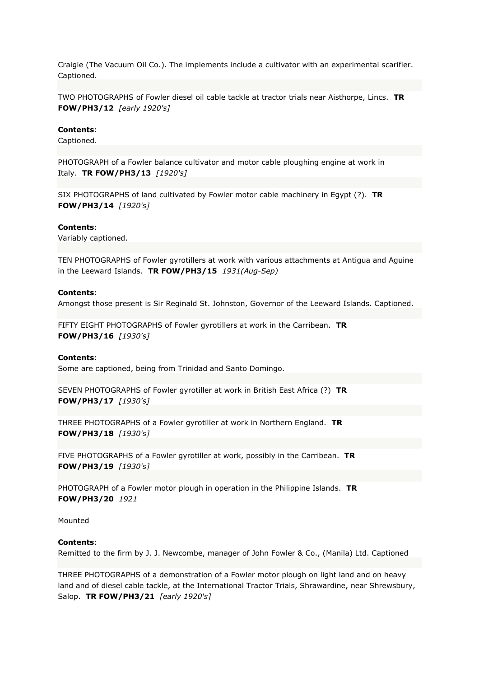Craigie (The Vacuum Oil Co.). The implements include a cultivator with an experimental scarifier. Captioned.

TWO PHOTOGRAPHS of Fowler diesel oil cable tackle at tractor trials near Aisthorpe, Lincs. **TR FOW/PH3/12** *[early 1920's]*

### **Contents**:

Captioned.

PHOTOGRAPH of a Fowler balance cultivator and motor cable ploughing engine at work in Italy. **TR FOW/PH3/13** *[1920's]*

SIX PHOTOGRAPHS of land cultivated by Fowler motor cable machinery in Egypt (?). **TR FOW/PH3/14** *[1920's]*

#### **Contents**:

Variably captioned.

TEN PHOTOGRAPHS of Fowler gyrotillers at work with various attachments at Antigua and Aguine in the Leeward Islands. **TR FOW/PH3/15** *1931(Aug-Sep)*

## **Contents**:

Amongst those present is Sir Reginald St. Johnston, Governor of the Leeward Islands. Captioned.

FIFTY EIGHT PHOTOGRAPHS of Fowler gyrotillers at work in the Carribean. **TR FOW/PH3/16** *[1930's]*

#### **Contents**:

Some are captioned, being from Trinidad and Santo Domingo.

SEVEN PHOTOGRAPHS of Fowler gyrotiller at work in British East Africa (?) **TR FOW/PH3/17** *[1930's]*

THREE PHOTOGRAPHS of a Fowler gyrotiller at work in Northern England. **TR FOW/PH3/18** *[1930's]*

FIVE PHOTOGRAPHS of a Fowler gyrotiller at work, possibly in the Carribean. **TR FOW/PH3/19** *[1930's]*

PHOTOGRAPH of a Fowler motor plough in operation in the Philippine Islands. **TR FOW/PH3/20** *1921*

Mounted

### **Contents**:

Remitted to the firm by J. J. Newcombe, manager of John Fowler & Co., (Manila) Ltd. Captioned

THREE PHOTOGRAPHS of a demonstration of a Fowler motor plough on light land and on heavy land and of diesel cable tackle, at the International Tractor Trials, Shrawardine, near Shrewsbury, Salop. **TR FOW/PH3/21** *[early 1920's]*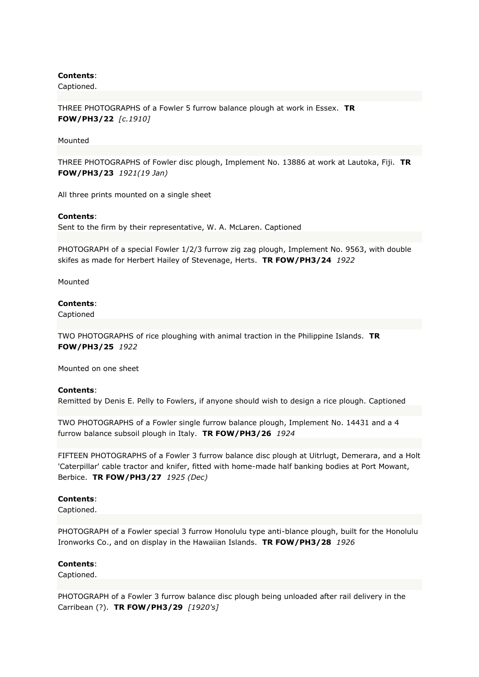Captioned.

THREE PHOTOGRAPHS of a Fowler 5 furrow balance plough at work in Essex. **TR FOW/PH3/22** *[c.1910]*

### Mounted

THREE PHOTOGRAPHS of Fowler disc plough, Implement No. 13886 at work at Lautoka, Fiji. **TR FOW/PH3/23** *1921(19 Jan)*

All three prints mounted on a single sheet

### **Contents**:

Sent to the firm by their representative, W. A. McLaren. Captioned

PHOTOGRAPH of a special Fowler 1/2/3 furrow zig zag plough, Implement No. 9563, with double skifes as made for Herbert Hailey of Stevenage, Herts. **TR FOW/PH3/24** *1922*

Mounted

### **Contents**:

Captioned

TWO PHOTOGRAPHS of rice ploughing with animal traction in the Philippine Islands. **TR FOW/PH3/25** *1922*

Mounted on one sheet

## **Contents**:

Remitted by Denis E. Pelly to Fowlers, if anyone should wish to design a rice plough. Captioned

TWO PHOTOGRAPHS of a Fowler single furrow balance plough, Implement No. 14431 and a 4 furrow balance subsoil plough in Italy. **TR FOW/PH3/26** *1924*

FIFTEEN PHOTOGRAPHS of a Fowler 3 furrow balance disc plough at Uitrlugt, Demerara, and a Holt 'Caterpillar' cable tractor and knifer, fitted with home-made half banking bodies at Port Mowant, Berbice. **TR FOW/PH3/27** *1925 (Dec)*

## **Contents**:

Captioned.

PHOTOGRAPH of a Fowler special 3 furrow Honolulu type anti-blance plough, built for the Honolulu Ironworks Co., and on display in the Hawaiian Islands. **TR FOW/PH3/28** *1926*

### **Contents**:

Captioned.

PHOTOGRAPH of a Fowler 3 furrow balance disc plough being unloaded after rail delivery in the Carribean (?). **TR FOW/PH3/29** *[1920's]*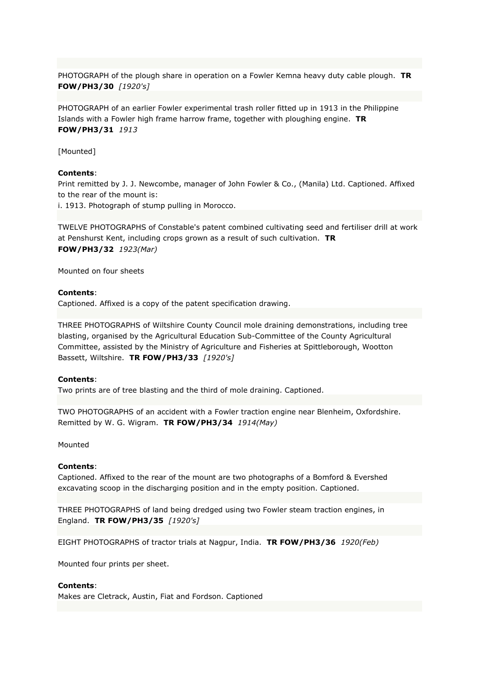PHOTOGRAPH of the plough share in operation on a Fowler Kemna heavy duty cable plough. **TR FOW/PH3/30** *[1920's]*

PHOTOGRAPH of an earlier Fowler experimental trash roller fitted up in 1913 in the Philippine Islands with a Fowler high frame harrow frame, together with ploughing engine. **TR FOW/PH3/31** *1913*

[Mounted]

## **Contents**:

Print remitted by J. J. Newcombe, manager of John Fowler & Co., (Manila) Ltd. Captioned. Affixed to the rear of the mount is:

i. 1913. Photograph of stump pulling in Morocco.

TWELVE PHOTOGRAPHS of Constable's patent combined cultivating seed and fertiliser drill at work at Penshurst Kent, including crops grown as a result of such cultivation. **TR FOW/PH3/32** *1923(Mar)*

Mounted on four sheets

## **Contents**:

Captioned. Affixed is a copy of the patent specification drawing.

THREE PHOTOGRAPHS of Wiltshire County Council mole draining demonstrations, including tree blasting, organised by the Agricultural Education Sub-Committee of the County Agricultural Committee, assisted by the Ministry of Agriculture and Fisheries at Spittleborough, Wootton Bassett, Wiltshire. **TR FOW/PH3/33** *[1920's]*

## **Contents**:

Two prints are of tree blasting and the third of mole draining. Captioned.

TWO PHOTOGRAPHS of an accident with a Fowler traction engine near Blenheim, Oxfordshire. Remitted by W. G. Wigram. **TR FOW/PH3/34** *1914(May)*

Mounted

#### **Contents**:

Captioned. Affixed to the rear of the mount are two photographs of a Bomford & Evershed excavating scoop in the discharging position and in the empty position. Captioned.

THREE PHOTOGRAPHS of land being dredged using two Fowler steam traction engines, in England. **TR FOW/PH3/35** *[1920's]*

EIGHT PHOTOGRAPHS of tractor trials at Nagpur, India. **TR FOW/PH3/36** *1920(Feb)*

Mounted four prints per sheet.

# **Contents**:

Makes are Cletrack, Austin, Fiat and Fordson. Captioned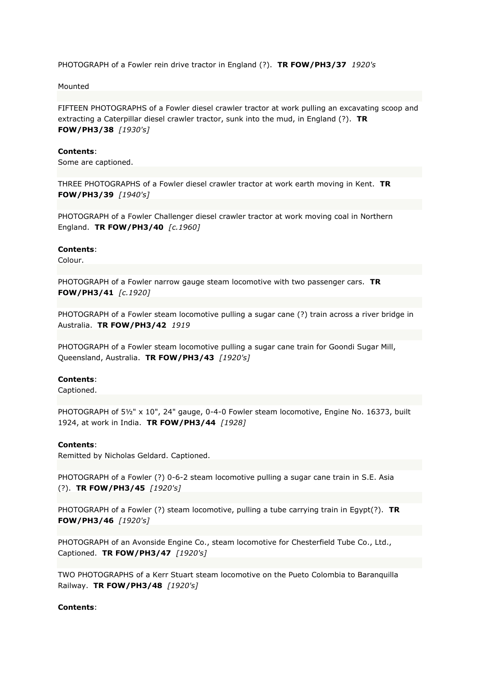PHOTOGRAPH of a Fowler rein drive tractor in England (?). **TR FOW/PH3/37** *1920's*

Mounted

FIFTEEN PHOTOGRAPHS of a Fowler diesel crawler tractor at work pulling an excavating scoop and extracting a Caterpillar diesel crawler tractor, sunk into the mud, in England (?). **TR FOW/PH3/38** *[1930's]*

### **Contents**:

Some are captioned.

THREE PHOTOGRAPHS of a Fowler diesel crawler tractor at work earth moving in Kent. **TR FOW/PH3/39** *[1940's]*

PHOTOGRAPH of a Fowler Challenger diesel crawler tractor at work moving coal in Northern England. **TR FOW/PH3/40** *[c.1960]*

### **Contents**:

Colour.

PHOTOGRAPH of a Fowler narrow gauge steam locomotive with two passenger cars. **TR FOW/PH3/41** *[c.1920]*

PHOTOGRAPH of a Fowler steam locomotive pulling a sugar cane (?) train across a river bridge in Australia. **TR FOW/PH3/42** *1919*

PHOTOGRAPH of a Fowler steam locomotive pulling a sugar cane train for Goondi Sugar Mill, Queensland, Australia. **TR FOW/PH3/43** *[1920's]*

## **Contents**:

Captioned.

PHOTOGRAPH of 51/2" x 10", 24" gauge, 0-4-0 Fowler steam locomotive, Engine No. 16373, built 1924, at work in India. **TR FOW/PH3/44** *[1928]*

### **Contents**:

Remitted by Nicholas Geldard. Captioned.

PHOTOGRAPH of a Fowler (?) 0-6-2 steam locomotive pulling a sugar cane train in S.E. Asia (?). **TR FOW/PH3/45** *[1920's]*

PHOTOGRAPH of a Fowler (?) steam locomotive, pulling a tube carrying train in Egypt(?). **TR FOW/PH3/46** *[1920's]*

PHOTOGRAPH of an Avonside Engine Co., steam locomotive for Chesterfield Tube Co., Ltd., Captioned. **TR FOW/PH3/47** *[1920's]*

TWO PHOTOGRAPHS of a Kerr Stuart steam locomotive on the Pueto Colombia to Baranquilla Railway. **TR FOW/PH3/48** *[1920's]*

## **Contents**: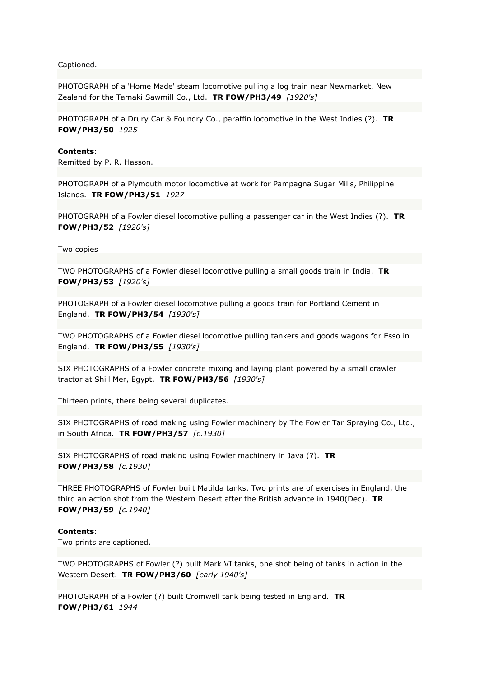Captioned.

PHOTOGRAPH of a 'Home Made' steam locomotive pulling a log train near Newmarket, New Zealand for the Tamaki Sawmill Co., Ltd. **TR FOW/PH3/49** *[1920's]*

PHOTOGRAPH of a Drury Car & Foundry Co., paraffin locomotive in the West Indies (?). **TR FOW/PH3/50** *1925*

#### **Contents**:

Remitted by P. R. Hasson.

PHOTOGRAPH of a Plymouth motor locomotive at work for Pampagna Sugar Mills, Philippine Islands. **TR FOW/PH3/51** *1927*

PHOTOGRAPH of a Fowler diesel locomotive pulling a passenger car in the West Indies (?). **TR FOW/PH3/52** *[1920's]*

Two copies

TWO PHOTOGRAPHS of a Fowler diesel locomotive pulling a small goods train in India. **TR FOW/PH3/53** *[1920's]*

PHOTOGRAPH of a Fowler diesel locomotive pulling a goods train for Portland Cement in England. **TR FOW/PH3/54** *[1930's]*

TWO PHOTOGRAPHS of a Fowler diesel locomotive pulling tankers and goods wagons for Esso in England. **TR FOW/PH3/55** *[1930's]*

SIX PHOTOGRAPHS of a Fowler concrete mixing and laying plant powered by a small crawler tractor at Shill Mer, Egypt. **TR FOW/PH3/56** *[1930's]*

Thirteen prints, there being several duplicates.

SIX PHOTOGRAPHS of road making using Fowler machinery by The Fowler Tar Spraying Co., Ltd., in South Africa. **TR FOW/PH3/57** *[c.1930]*

SIX PHOTOGRAPHS of road making using Fowler machinery in Java (?). **TR FOW/PH3/58** *[c.1930]*

THREE PHOTOGRAPHS of Fowler built Matilda tanks. Two prints are of exercises in England, the third an action shot from the Western Desert after the British advance in 1940(Dec). **TR FOW/PH3/59** *[c.1940]*

## **Contents**:

Two prints are captioned.

TWO PHOTOGRAPHS of Fowler (?) built Mark VI tanks, one shot being of tanks in action in the Western Desert. **TR FOW/PH3/60** *[early 1940's]*

PHOTOGRAPH of a Fowler (?) built Cromwell tank being tested in England. **TR FOW/PH3/61** *1944*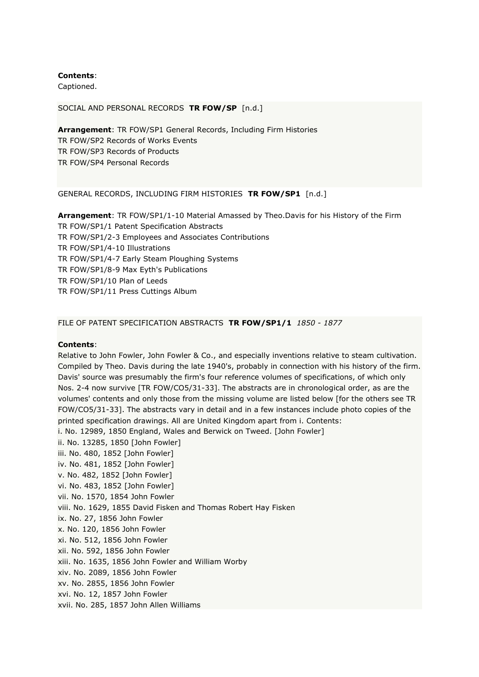Captioned.

## SOCIAL AND PERSONAL RECORDS **TR FOW/SP** [n.d.]

**Arrangement**: TR FOW/SP1 General Records, Including Firm Histories TR FOW/SP2 Records of Works Events TR FOW/SP3 Records of Products TR FOW/SP4 Personal Records

## GENERAL RECORDS, INCLUDING FIRM HISTORIES **TR FOW/SP1** [n.d.]

**Arrangement**: TR FOW/SP1/1-10 Material Amassed by Theo.Davis for his History of the Firm TR FOW/SP1/1 Patent Specification Abstracts TR FOW/SP1/2-3 Employees and Associates Contributions TR FOW/SP1/4-10 Illustrations TR FOW/SP1/4-7 Early Steam Ploughing Systems TR FOW/SP1/8-9 Max Eyth's Publications TR FOW/SP1/10 Plan of Leeds TR FOW/SP1/11 Press Cuttings Album

## FILE OF PATENT SPECIFICATION ABSTRACTS **TR FOW/SP1/1** *1850 - 1877*

## **Contents**:

Relative to John Fowler, John Fowler & Co., and especially inventions relative to steam cultivation. Compiled by Theo. Davis during the late 1940's, probably in connection with his history of the firm. Davis' source was presumably the firm's four reference volumes of specifications, of which only Nos. 2-4 now survive [TR FOW/CO5/31-33]. The abstracts are in chronological order, as are the volumes' contents and only those from the missing volume are listed below [for the others see TR FOW/CO5/31-33]. The abstracts vary in detail and in a few instances include photo copies of the printed specification drawings. All are United Kingdom apart from i. Contents: i. No. 12989, 1850 England, Wales and Berwick on Tweed. [John Fowler] ii. No. 13285, 1850 [John Fowler] iii. No. 480, 1852 [John Fowler] iv. No. 481, 1852 [John Fowler] v. No. 482, 1852 [John Fowler] vi. No. 483, 1852 [John Fowler] vii. No. 1570, 1854 John Fowler viii. No. 1629, 1855 David Fisken and Thomas Robert Hay Fisken ix. No. 27, 1856 John Fowler x. No. 120, 1856 John Fowler xi. No. 512, 1856 John Fowler xii. No. 592, 1856 John Fowler xiii. No. 1635, 1856 John Fowler and William Worby xiv. No. 2089, 1856 John Fowler xv. No. 2855, 1856 John Fowler xvi. No. 12, 1857 John Fowler xvii. No. 285, 1857 John Allen Williams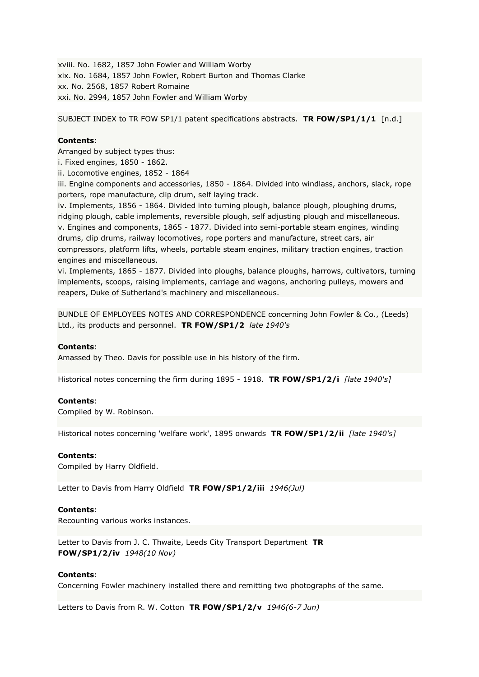xviii. No. 1682, 1857 John Fowler and William Worby xix. No. 1684, 1857 John Fowler, Robert Burton and Thomas Clarke xx. No. 2568, 1857 Robert Romaine xxi. No. 2994, 1857 John Fowler and William Worby

SUBJECT INDEX to TR FOW SP1/1 patent specifications abstracts. **TR FOW/SP1/1/1** [n.d.]

# **Contents**:

Arranged by subject types thus:

i. Fixed engines, 1850 - 1862.

ii. Locomotive engines, 1852 - 1864

iii. Engine components and accessories, 1850 - 1864. Divided into windlass, anchors, slack, rope porters, rope manufacture, clip drum, self laying track.

iv. Implements, 1856 - 1864. Divided into turning plough, balance plough, ploughing drums, ridging plough, cable implements, reversible plough, self adjusting plough and miscellaneous. v. Engines and components, 1865 - 1877. Divided into semi-portable steam engines, winding drums, clip drums, railway locomotives, rope porters and manufacture, street cars, air compressors, platform lifts, wheels, portable steam engines, military traction engines, traction engines and miscellaneous.

vi. Implements, 1865 - 1877. Divided into ploughs, balance ploughs, harrows, cultivators, turning implements, scoops, raising implements, carriage and wagons, anchoring pulleys, mowers and reapers, Duke of Sutherland's machinery and miscellaneous.

BUNDLE OF EMPLOYEES NOTES AND CORRESPONDENCE concerning John Fowler & Co., (Leeds) Ltd., its products and personnel. **TR FOW/SP1/2** *late 1940's*

## **Contents**:

Amassed by Theo. Davis for possible use in his history of the firm.

Historical notes concerning the firm during 1895 - 1918. **TR FOW/SP1/2/i** *[late 1940's]*

## **Contents**:

Compiled by W. Robinson.

Historical notes concerning 'welfare work', 1895 onwards **TR FOW/SP1/2/ii** *[late 1940's]*

## **Contents**:

Compiled by Harry Oldfield.

Letter to Davis from Harry Oldfield **TR FOW/SP1/2/iii** *1946(Jul)*

## **Contents**:

Recounting various works instances.

Letter to Davis from J. C. Thwaite, Leeds City Transport Department **TR FOW/SP1/2/iv** *1948(10 Nov)*

## **Contents**:

Concerning Fowler machinery installed there and remitting two photographs of the same.

Letters to Davis from R. W. Cotton **TR FOW/SP1/2/v** *1946(6-7 Jun)*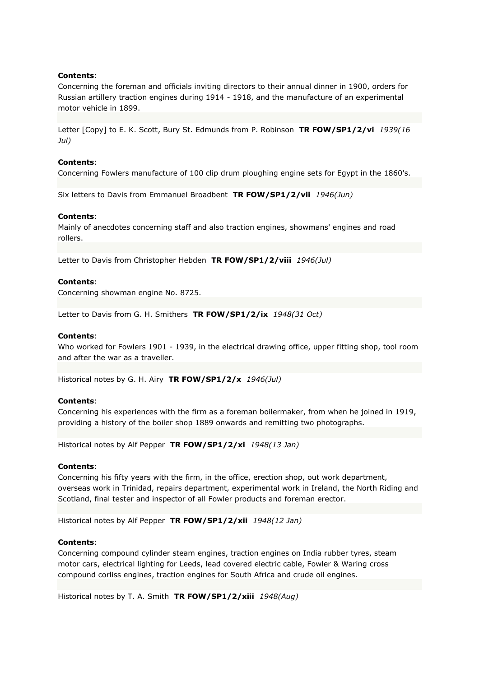Concerning the foreman and officials inviting directors to their annual dinner in 1900, orders for Russian artillery traction engines during 1914 - 1918, and the manufacture of an experimental motor vehicle in 1899.

Letter [Copy] to E. K. Scott, Bury St. Edmunds from P. Robinson **TR FOW/SP1/2/vi** *1939(16 Jul)*

### **Contents**:

Concerning Fowlers manufacture of 100 clip drum ploughing engine sets for Egypt in the 1860's.

Six letters to Davis from Emmanuel Broadbent **TR FOW/SP1/2/vii** *1946(Jun)*

### **Contents**:

Mainly of anecdotes concerning staff and also traction engines, showmans' engines and road rollers.

Letter to Davis from Christopher Hebden **TR FOW/SP1/2/viii** *1946(Jul)*

## **Contents**:

Concerning showman engine No. 8725.

Letter to Davis from G. H. Smithers **TR FOW/SP1/2/ix** *1948(31 Oct)*

### **Contents**:

Who worked for Fowlers 1901 - 1939, in the electrical drawing office, upper fitting shop, tool room and after the war as a traveller.

Historical notes by G. H. Airy **TR FOW/SP1/2/x** *1946(Jul)*

## **Contents**:

Concerning his experiences with the firm as a foreman boilermaker, from when he joined in 1919, providing a history of the boiler shop 1889 onwards and remitting two photographs.

Historical notes by Alf Pepper **TR FOW/SP1/2/xi** *1948(13 Jan)*

#### **Contents**:

Concerning his fifty years with the firm, in the office, erection shop, out work department, overseas work in Trinidad, repairs department, experimental work in Ireland, the North Riding and Scotland, final tester and inspector of all Fowler products and foreman erector.

Historical notes by Alf Pepper **TR FOW/SP1/2/xii** *1948(12 Jan)*

### **Contents**:

Concerning compound cylinder steam engines, traction engines on India rubber tyres, steam motor cars, electrical lighting for Leeds, lead covered electric cable, Fowler & Waring cross compound corliss engines, traction engines for South Africa and crude oil engines.

Historical notes by T. A. Smith **TR FOW/SP1/2/xiii** *1948(Aug)*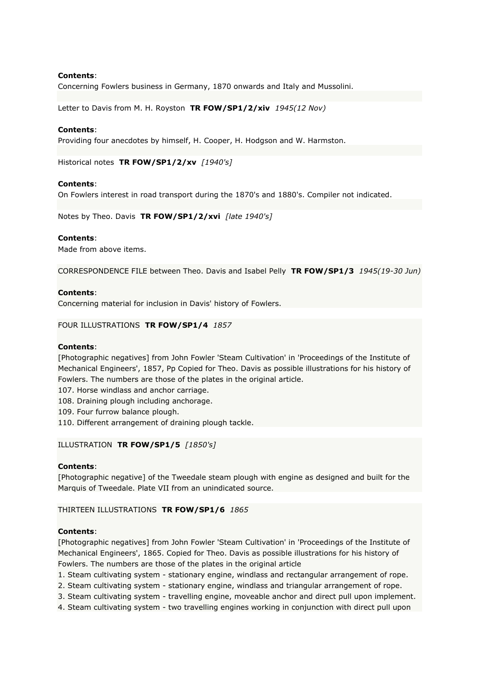Concerning Fowlers business in Germany, 1870 onwards and Italy and Mussolini.

Letter to Davis from M. H. Royston **TR FOW/SP1/2/xiv** *1945(12 Nov)*

### **Contents**:

Providing four anecdotes by himself, H. Cooper, H. Hodgson and W. Harmston.

Historical notes **TR FOW/SP1/2/xv** *[1940's]*

### **Contents**:

On Fowlers interest in road transport during the 1870's and 1880's. Compiler not indicated.

Notes by Theo. Davis **TR FOW/SP1/2/xvi** *[late 1940's]*

### **Contents**:

Made from above items.

CORRESPONDENCE FILE between Theo. Davis and Isabel Pelly **TR FOW/SP1/3** *1945(19-30 Jun)*

### **Contents**:

Concerning material for inclusion in Davis' history of Fowlers.

#### FOUR ILLUSTRATIONS **TR FOW/SP1/4** *1857*

#### **Contents**:

[Photographic negatives] from John Fowler 'Steam Cultivation' in 'Proceedings of the Institute of Mechanical Engineers', 1857, Pp Copied for Theo. Davis as possible illustrations for his history of Fowlers. The numbers are those of the plates in the original article.

- 107. Horse windlass and anchor carriage.
- 108. Draining plough including anchorage.
- 109. Four furrow balance plough.
- 110. Different arrangement of draining plough tackle.

## ILLUSTRATION **TR FOW/SP1/5** *[1850's]*

#### **Contents**:

[Photographic negative] of the Tweedale steam plough with engine as designed and built for the Marquis of Tweedale. Plate VII from an unindicated source.

## THIRTEEN ILLUSTRATIONS **TR FOW/SP1/6** *1865*

### **Contents**:

[Photographic negatives] from John Fowler 'Steam Cultivation' in 'Proceedings of the Institute of Mechanical Engineers', 1865. Copied for Theo. Davis as possible illustrations for his history of Fowlers. The numbers are those of the plates in the original article

- 1. Steam cultivating system stationary engine, windlass and rectangular arrangement of rope.
- 2. Steam cultivating system stationary engine, windlass and triangular arrangement of rope.
- 3. Steam cultivating system travelling engine, moveable anchor and direct pull upon implement.
- 4. Steam cultivating system two travelling engines working in conjunction with direct pull upon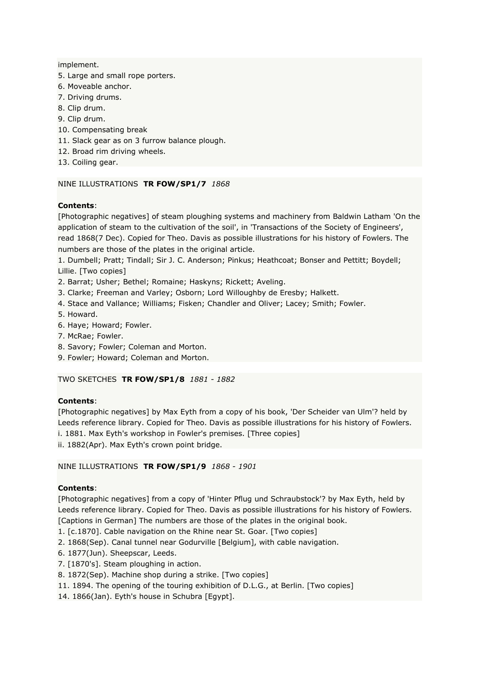implement.

- 5. Large and small rope porters.
- 6. Moveable anchor.
- 7. Driving drums.
- 8. Clip drum.
- 9. Clip drum.
- 10. Compensating break
- 11. Slack gear as on 3 furrow balance plough.
- 12. Broad rim driving wheels.
- 13. Coiling gear.

## NINE ILLUSTRATIONS **TR FOW/SP1/7** *1868*

## **Contents**:

[Photographic negatives] of steam ploughing systems and machinery from Baldwin Latham 'On the application of steam to the cultivation of the soil', in 'Transactions of the Society of Engineers', read 1868(7 Dec). Copied for Theo. Davis as possible illustrations for his history of Fowlers. The numbers are those of the plates in the original article.

1. Dumbell; Pratt; Tindall; Sir J. C. Anderson; Pinkus; Heathcoat; Bonser and Pettitt; Boydell; Lillie. [Two copies]

- 2. Barrat; Usher; Bethel; Romaine; Haskyns; Rickett; Aveling.
- 3. Clarke; Freeman and Varley; Osborn; Lord Willoughby de Eresby; Halkett.
- 4. Stace and Vallance; Williams; Fisken; Chandler and Oliver; Lacey; Smith; Fowler.
- 5. Howard.
- 6. Haye; Howard; Fowler.
- 7. McRae; Fowler.
- 8. Savory; Fowler; Coleman and Morton.
- 9. Fowler; Howard; Coleman and Morton.

# TWO SKETCHES **TR FOW/SP1/8** *1881 - 1882*

# **Contents**:

[Photographic negatives] by Max Eyth from a copy of his book, 'Der Scheider van Ulm'? held by Leeds reference library. Copied for Theo. Davis as possible illustrations for his history of Fowlers. i. 1881. Max Eyth's workshop in Fowler's premises. [Three copies]

ii. 1882(Apr). Max Eyth's crown point bridge.

## NINE ILLUSTRATIONS **TR FOW/SP1/9** *1868 - 1901*

# **Contents**:

[Photographic negatives] from a copy of 'Hinter Pflug und Schraubstock'? by Max Eyth, held by Leeds reference library. Copied for Theo. Davis as possible illustrations for his history of Fowlers. [Captions in German] The numbers are those of the plates in the original book.

1. [c.1870]. Cable navigation on the Rhine near St. Goar. [Two copies]

- 2. 1868(Sep). Canal tunnel near Godurville [Belgium], with cable navigation.
- 6. 1877(Jun). Sheepscar, Leeds.
- 7. [1870's]. Steam ploughing in action.
- 8. 1872(Sep). Machine shop during a strike. [Two copies]
- 11. 1894. The opening of the touring exhibition of D.L.G., at Berlin. [Two copies]
- 14. 1866(Jan). Eyth's house in Schubra [Egypt].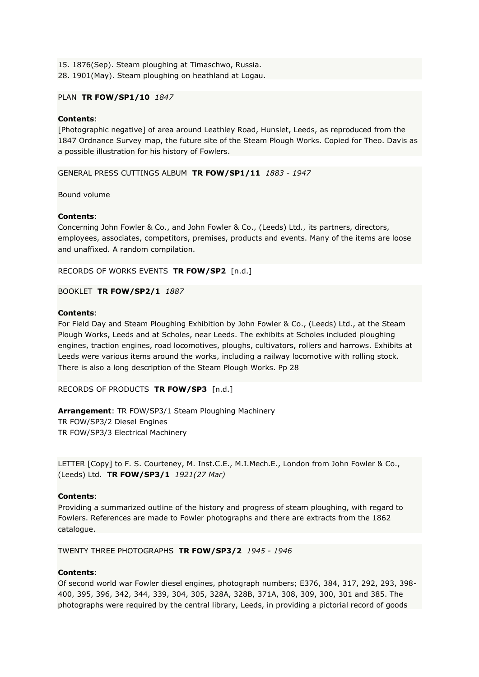15. 1876(Sep). Steam ploughing at Timaschwo, Russia. 28. 1901(May). Steam ploughing on heathland at Logau.

## PLAN **TR FOW/SP1/10** *1847*

## **Contents**:

[Photographic negative] of area around Leathley Road, Hunslet, Leeds, as reproduced from the 1847 Ordnance Survey map, the future site of the Steam Plough Works. Copied for Theo. Davis as a possible illustration for his history of Fowlers.

GENERAL PRESS CUTTINGS ALBUM **TR FOW/SP1/11** *1883 - 1947*

Bound volume

## **Contents**:

Concerning John Fowler & Co., and John Fowler & Co., (Leeds) Ltd., its partners, directors, employees, associates, competitors, premises, products and events. Many of the items are loose and unaffixed. A random compilation.

RECORDS OF WORKS EVENTS **TR FOW/SP2** [n.d.]

BOOKLET **TR FOW/SP2/1** *1887*

## **Contents**:

For Field Day and Steam Ploughing Exhibition by John Fowler & Co., (Leeds) Ltd., at the Steam Plough Works, Leeds and at Scholes, near Leeds. The exhibits at Scholes included ploughing engines, traction engines, road locomotives, ploughs, cultivators, rollers and harrows. Exhibits at Leeds were various items around the works, including a railway locomotive with rolling stock. There is also a long description of the Steam Plough Works. Pp 28

RECORDS OF PRODUCTS **TR FOW/SP3** [n.d.]

**Arrangement**: TR FOW/SP3/1 Steam Ploughing Machinery TR FOW/SP3/2 Diesel Engines TR FOW/SP3/3 Electrical Machinery

LETTER [Copy] to F. S. Courteney, M. Inst.C.E., M.I.Mech.E., London from John Fowler & Co., (Leeds) Ltd. **TR FOW/SP3/1** *1921(27 Mar)*

# **Contents**:

Providing a summarized outline of the history and progress of steam ploughing, with regard to Fowlers. References are made to Fowler photographs and there are extracts from the 1862 catalogue.

TWENTY THREE PHOTOGRAPHS **TR FOW/SP3/2** *1945 - 1946*

# **Contents**:

Of second world war Fowler diesel engines, photograph numbers; E376, 384, 317, 292, 293, 398- 400, 395, 396, 342, 344, 339, 304, 305, 328A, 328B, 371A, 308, 309, 300, 301 and 385. The photographs were required by the central library, Leeds, in providing a pictorial record of goods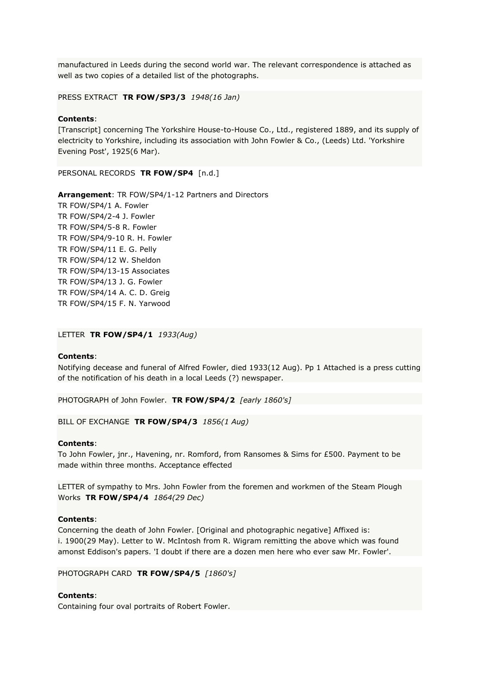manufactured in Leeds during the second world war. The relevant correspondence is attached as well as two copies of a detailed list of the photographs.

PRESS EXTRACT **TR FOW/SP3/3** *1948(16 Jan)*

### **Contents**:

[Transcript] concerning The Yorkshire House-to-House Co., Ltd., registered 1889, and its supply of electricity to Yorkshire, including its association with John Fowler & Co., (Leeds) Ltd. 'Yorkshire Evening Post', 1925(6 Mar).

PERSONAL RECORDS **TR FOW/SP4** [n.d.]

**Arrangement**: TR FOW/SP4/1-12 Partners and Directors TR FOW/SP4/1 A. Fowler TR FOW/SP4/2-4 J. Fowler TR FOW/SP4/5-8 R. Fowler TR FOW/SP4/9-10 R. H. Fowler TR FOW/SP4/11 E. G. Pelly TR FOW/SP4/12 W. Sheldon TR FOW/SP4/13-15 Associates TR FOW/SP4/13 J. G. Fowler TR FOW/SP4/14 A. C. D. Greig TR FOW/SP4/15 F. N. Yarwood

#### LETTER **TR FOW/SP4/1** *1933(Aug)*

#### **Contents**:

Notifying decease and funeral of Alfred Fowler, died 1933(12 Aug). Pp 1 Attached is a press cutting of the notification of his death in a local Leeds (?) newspaper.

PHOTOGRAPH of John Fowler. **TR FOW/SP4/2** *[early 1860's]*

BILL OF EXCHANGE **TR FOW/SP4/3** *1856(1 Aug)*

### **Contents**:

To John Fowler, jnr., Havening, nr. Romford, from Ransomes & Sims for £500. Payment to be made within three months. Acceptance effected

LETTER of sympathy to Mrs. John Fowler from the foremen and workmen of the Steam Plough Works **TR FOW/SP4/4** *1864(29 Dec)*

#### **Contents**:

Concerning the death of John Fowler. [Original and photographic negative] Affixed is: i. 1900(29 May). Letter to W. McIntosh from R. Wigram remitting the above which was found amonst Eddison's papers. 'I doubt if there are a dozen men here who ever saw Mr. Fowler'.

PHOTOGRAPH CARD **TR FOW/SP4/5** *[1860's]*

#### **Contents**:

Containing four oval portraits of Robert Fowler.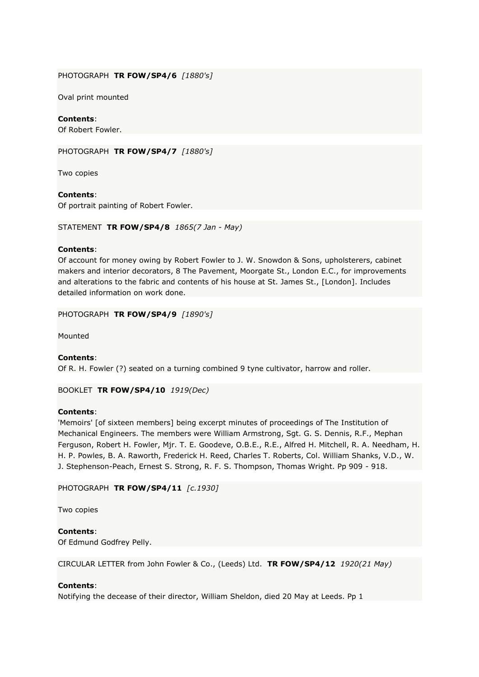## PHOTOGRAPH **TR FOW/SP4/6** *[1880's]*

Oval print mounted

# **Contents**:

Of Robert Fowler.

PHOTOGRAPH **TR FOW/SP4/7** *[1880's]*

Two copies

# **Contents**:

Of portrait painting of Robert Fowler.

STATEMENT **TR FOW/SP4/8** *1865(7 Jan - May)*

## **Contents**:

Of account for money owing by Robert Fowler to J. W. Snowdon & Sons, upholsterers, cabinet makers and interior decorators, 8 The Pavement, Moorgate St., London E.C., for improvements and alterations to the fabric and contents of his house at St. James St., [London]. Includes detailed information on work done.

PHOTOGRAPH **TR FOW/SP4/9** *[1890's]*

Mounted

# **Contents**:

Of R. H. Fowler (?) seated on a turning combined 9 tyne cultivator, harrow and roller.

BOOKLET **TR FOW/SP4/10** *1919(Dec)*

# **Contents**:

'Memoirs' [of sixteen members] being excerpt minutes of proceedings of The Institution of Mechanical Engineers. The members were William Armstrong, Sgt. G. S. Dennis, R.F., Mephan Ferguson, Robert H. Fowler, Mjr. T. E. Goodeve, O.B.E., R.E., Alfred H. Mitchell, R. A. Needham, H. H. P. Powles, B. A. Raworth, Frederick H. Reed, Charles T. Roberts, Col. William Shanks, V.D., W. J. Stephenson-Peach, Ernest S. Strong, R. F. S. Thompson, Thomas Wright. Pp 909 - 918.

PHOTOGRAPH **TR FOW/SP4/11** *[c.1930]*

Two copies

**Contents**: Of Edmund Godfrey Pelly.

CIRCULAR LETTER from John Fowler & Co., (Leeds) Ltd. **TR FOW/SP4/12** *1920(21 May)*

# **Contents**:

Notifying the decease of their director, William Sheldon, died 20 May at Leeds. Pp 1